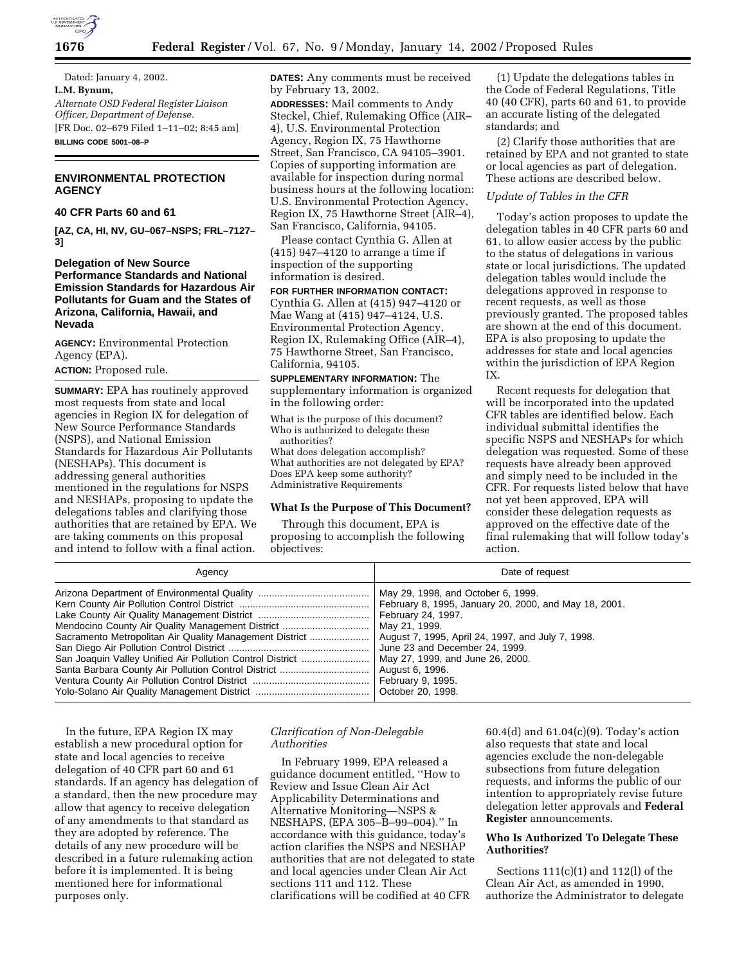

Dated: January 4, 2002. **L.M. Bynum,** *Alternate OSD Federal Register Liaison Officer, Department of Defense.* [FR Doc. 02–679 Filed 1–11–02; 8:45 am] **BILLING CODE 5001–08–P**

## **ENVIRONMENTAL PROTECTION AGENCY**

## **40 CFR Parts 60 and 61**

**[AZ, CA, HI, NV, GU–067–NSPS; FRL–7127– 3]**

### **Delegation of New Source Performance Standards and National Emission Standards for Hazardous Air Pollutants for Guam and the States of Arizona, California, Hawaii, and Nevada**

**AGENCY:** Environmental Protection Agency (EPA).

**ACTION:** Proposed rule.

**SUMMARY:** EPA has routinely approved most requests from state and local agencies in Region IX for delegation of New Source Performance Standards (NSPS), and National Emission Standards for Hazardous Air Pollutants (NESHAPs). This document is addressing general authorities mentioned in the regulations for NSPS and NESHAPs, proposing to update the delegations tables and clarifying those authorities that are retained by EPA. We are taking comments on this proposal and intend to follow with a final action.

**DATES:** Any comments must be received by February 13, 2002.

**ADDRESSES:** Mail comments to Andy Steckel, Chief, Rulemaking Office (AIR– 4), U.S. Environmental Protection Agency, Region IX, 75 Hawthorne Street, San Francisco, CA 94105–3901. Copies of supporting information are available for inspection during normal business hours at the following location: U.S. Environmental Protection Agency, Region IX, 75 Hawthorne Street (AIR–4), San Francisco, California, 94105.

Please contact Cynthia G. Allen at (415) 947–4120 to arrange a time if inspection of the supporting information is desired.

**FOR FURTHER INFORMATION CONTACT:** Cynthia G. Allen at (415) 947–4120 or Mae Wang at (415) 947–4124, U.S. Environmental Protection Agency, Region IX, Rulemaking Office (AIR–4), 75 Hawthorne Street, San Francisco, California, 94105.

**SUPPLEMENTARY INFORMATION:** The supplementary information is organized in the following order:

What is the purpose of this document? Who is authorized to delegate these authorities?

What does delegation accomplish? What authorities are not delegated by EPA? Does EPA keep some authority? Administrative Requirements

### **What Is the Purpose of This Document?**

Through this document, EPA is proposing to accomplish the following objectives:

(1) Update the delegations tables in the Code of Federal Regulations, Title 40 (40 CFR), parts 60 and 61, to provide an accurate listing of the delegated standards; and

(2) Clarify those authorities that are retained by EPA and not granted to state or local agencies as part of delegation. These actions are described below.

#### *Update of Tables in the CFR*

Today's action proposes to update the delegation tables in 40 CFR parts 60 and 61, to allow easier access by the public to the status of delegations in various state or local jurisdictions. The updated delegation tables would include the delegations approved in response to recent requests, as well as those previously granted. The proposed tables are shown at the end of this document. EPA is also proposing to update the addresses for state and local agencies within the jurisdiction of EPA Region IX.

Recent requests for delegation that will be incorporated into the updated CFR tables are identified below. Each individual submittal identifies the specific NSPS and NESHAPs for which delegation was requested. Some of these requests have already been approved and simply need to be included in the CFR. For requests listed below that have not yet been approved, EPA will consider these delegation requests as approved on the effective date of the final rulemaking that will follow today's action.

| Agency                                                    | Date of request                                       |
|-----------------------------------------------------------|-------------------------------------------------------|
|                                                           | May 29, 1998, and October 6, 1999.                    |
|                                                           | February 8, 1995, January 20, 2000, and May 18, 2001. |
|                                                           | February 24, 1997.                                    |
| Mendocino County Air Quality Management District          | May 21, 1999.                                         |
| Sacramento Metropolitan Air Quality Management District   | August 7, 1995, April 24, 1997, and July 7, 1998.     |
|                                                           | June 23 and December 24, 1999.                        |
| San Joaquin Valley Unified Air Pollution Control District | May 27, 1999, and June 26, 2000.                      |
|                                                           | August 6, 1996.                                       |
|                                                           | February 9, 1995.                                     |
|                                                           | October 20, 1998.                                     |

In the future, EPA Region IX may establish a new procedural option for state and local agencies to receive delegation of 40 CFR part 60 and 61 standards. If an agency has delegation of a standard, then the new procedure may allow that agency to receive delegation of any amendments to that standard as they are adopted by reference. The details of any new procedure will be described in a future rulemaking action before it is implemented. It is being mentioned here for informational purposes only.

## *Clarification of Non-Delegable Authorities*

In February 1999, EPA released a guidance document entitled, ''How to Review and Issue Clean Air Act Applicability Determinations and Alternative Monitoring—NSPS & NESHAPS, (EPA 305–B–99–004).'' In accordance with this guidance, today's action clarifies the NSPS and NESHAP authorities that are not delegated to state and local agencies under Clean Air Act sections 111 and 112. These clarifications will be codified at 40 CFR

60.4(d) and 61.04(c)(9). Today's action also requests that state and local agencies exclude the non-delegable subsections from future delegation requests, and informs the public of our intention to appropriately revise future delegation letter approvals and **Federal Register** announcements.

### **Who Is Authorized To Delegate These Authorities?**

Sections 111(c)(1) and 112(l) of the Clean Air Act, as amended in 1990, authorize the Administrator to delegate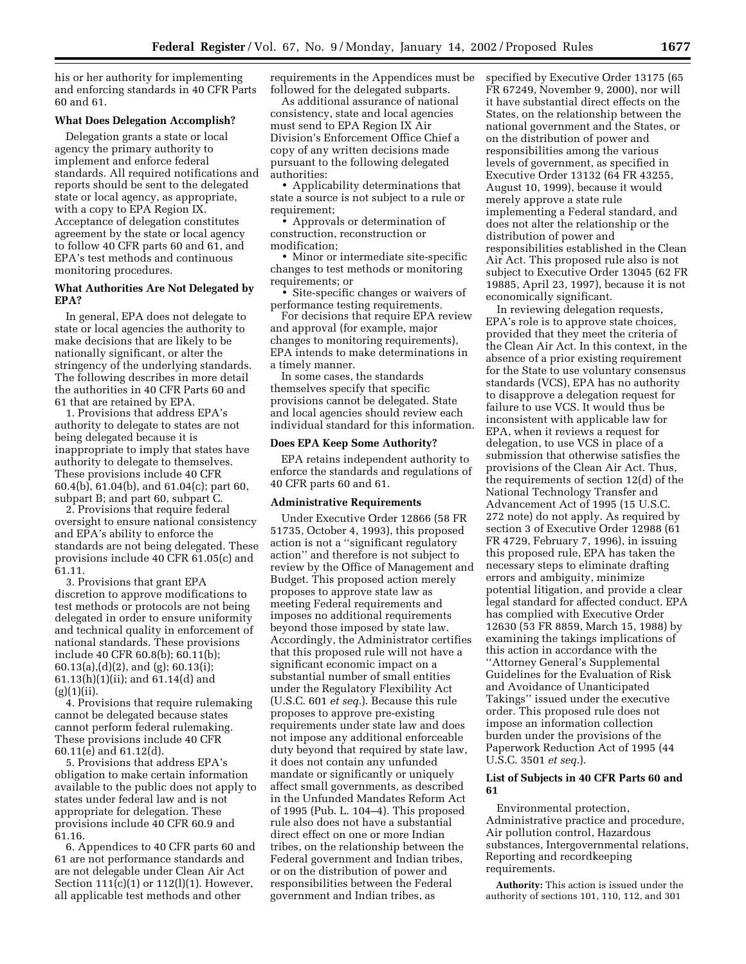his or her authority for implementing and enforcing standards in 40 CFR Parts 60 and 61.

#### **What Does Delegation Accomplish?**

Delegation grants a state or local agency the primary authority to implement and enforce federal standards. All required notifications and reports should be sent to the delegated state or local agency, as appropriate, with a copy to EPA Region IX. Acceptance of delegation constitutes agreement by the state or local agency to follow 40 CFR parts 60 and 61, and EPA's test methods and continuous monitoring procedures.

### **What Authorities Are Not Delegated by EPA?**

In general, EPA does not delegate to state or local agencies the authority to make decisions that are likely to be nationally significant, or alter the stringency of the underlying standards. The following describes in more detail the authorities in 40 CFR Parts 60 and 61 that are retained by EPA.

1. Provisions that address EPA's authority to delegate to states are not being delegated because it is inappropriate to imply that states have authority to delegate to themselves. These provisions include 40 CFR 60.4(b), 61.04(b), and 61.04(c); part 60, subpart B; and part 60, subpart C.

2. Provisions that require federal oversight to ensure national consistency and EPA's ability to enforce the standards are not being delegated. These provisions include 40 CFR 61.05(c) and 61.11.

3. Provisions that grant EPA discretion to approve modifications to test methods or protocols are not being delegated in order to ensure uniformity and technical quality in enforcement of national standards. These provisions include 40 CFR 60.8(b); 60.11(b); 60.13(a),(d)(2), and (g); 60.13(i); 61.13(h)(1)(ii); and 61.14(d) and  $(g)(1)(ii)$ .

4. Provisions that require rulemaking cannot be delegated because states cannot perform federal rulemaking. These provisions include 40 CFR 60.11(e) and 61.12(d).

5. Provisions that address EPA's obligation to make certain information available to the public does not apply to states under federal law and is not appropriate for delegation. These provisions include 40 CFR 60.9 and 61.16.

6. Appendices to 40 CFR parts 60 and 61 are not performance standards and are not delegable under Clean Air Act Section 111(c)(1) or 112(l)(1). However, all applicable test methods and other

requirements in the Appendices must be followed for the delegated subparts.

As additional assurance of national consistency, state and local agencies must send to EPA Region IX Air Division's Enforcement Office Chief a copy of any written decisions made pursuant to the following delegated authorities:

• Applicability determinations that state a source is not subject to a rule or requirement;

• Approvals or determination of construction, reconstruction or modification;

• Minor or intermediate site-specific changes to test methods or monitoring requirements; or

• Site-specific changes or waivers of performance testing requirements.

For decisions that require EPA review and approval (for example, major changes to monitoring requirements), EPA intends to make determinations in a timely manner.

In some cases, the standards themselves specify that specific provisions cannot be delegated. State and local agencies should review each individual standard for this information.

#### **Does EPA Keep Some Authority?**

EPA retains independent authority to enforce the standards and regulations of 40 CFR parts 60 and 61.

#### **Administrative Requirements**

Under Executive Order 12866 (58 FR 51735, October 4, 1993), this proposed action is not a ''significant regulatory action'' and therefore is not subject to review by the Office of Management and Budget. This proposed action merely proposes to approve state law as meeting Federal requirements and imposes no additional requirements beyond those imposed by state law. Accordingly, the Administrator certifies that this proposed rule will not have a significant economic impact on a substantial number of small entities under the Regulatory Flexibility Act (U.S.C. 601 *et seq.*). Because this rule proposes to approve pre-existing requirements under state law and does not impose any additional enforceable duty beyond that required by state law, it does not contain any unfunded mandate or significantly or uniquely affect small governments, as described in the Unfunded Mandates Reform Act of 1995 (Pub. L. 104–4). This proposed rule also does not have a substantial direct effect on one or more Indian tribes, on the relationship between the Federal government and Indian tribes, or on the distribution of power and responsibilities between the Federal government and Indian tribes, as

specified by Executive Order 13175 (65 FR 67249, November 9, 2000), nor will it have substantial direct effects on the States, on the relationship between the national government and the States, or on the distribution of power and responsibilities among the various levels of government, as specified in Executive Order 13132 (64 FR 43255, August 10, 1999), because it would merely approve a state rule implementing a Federal standard, and does not alter the relationship or the distribution of power and responsibilities established in the Clean Air Act. This proposed rule also is not subject to Executive Order 13045 (62 FR 19885, April 23, 1997), because it is not economically significant.

In reviewing delegation requests, EPA's role is to approve state choices, provided that they meet the criteria of the Clean Air Act. In this context, in the absence of a prior existing requirement for the State to use voluntary consensus standards (VCS), EPA has no authority to disapprove a delegation request for failure to use VCS. It would thus be inconsistent with applicable law for EPA, when it reviews a request for delegation, to use VCS in place of a submission that otherwise satisfies the provisions of the Clean Air Act. Thus, the requirements of section 12(d) of the National Technology Transfer and Advancement Act of 1995 (15 U.S.C. 272 note) do not apply. As required by section 3 of Executive Order 12988 (61 FR 4729, February 7, 1996), in issuing this proposed rule, EPA has taken the necessary steps to eliminate drafting errors and ambiguity, minimize potential litigation, and provide a clear legal standard for affected conduct. EPA has complied with Executive Order 12630 (53 FR 8859, March 15, 1988) by examining the takings implications of this action in accordance with the ''Attorney General's Supplemental Guidelines for the Evaluation of Risk and Avoidance of Unanticipated Takings'' issued under the executive order. This proposed rule does not impose an information collection burden under the provisions of the Paperwork Reduction Act of 1995 (44 U.S.C. 3501 *et seq.*).

### **List of Subjects in 40 CFR Parts 60 and 61**

Environmental protection, Administrative practice and procedure, Air pollution control, Hazardous substances, Intergovernmental relations, Reporting and recordkeeping requirements.

**Authority:** This action is issued under the authority of sections 101, 110, 112, and 301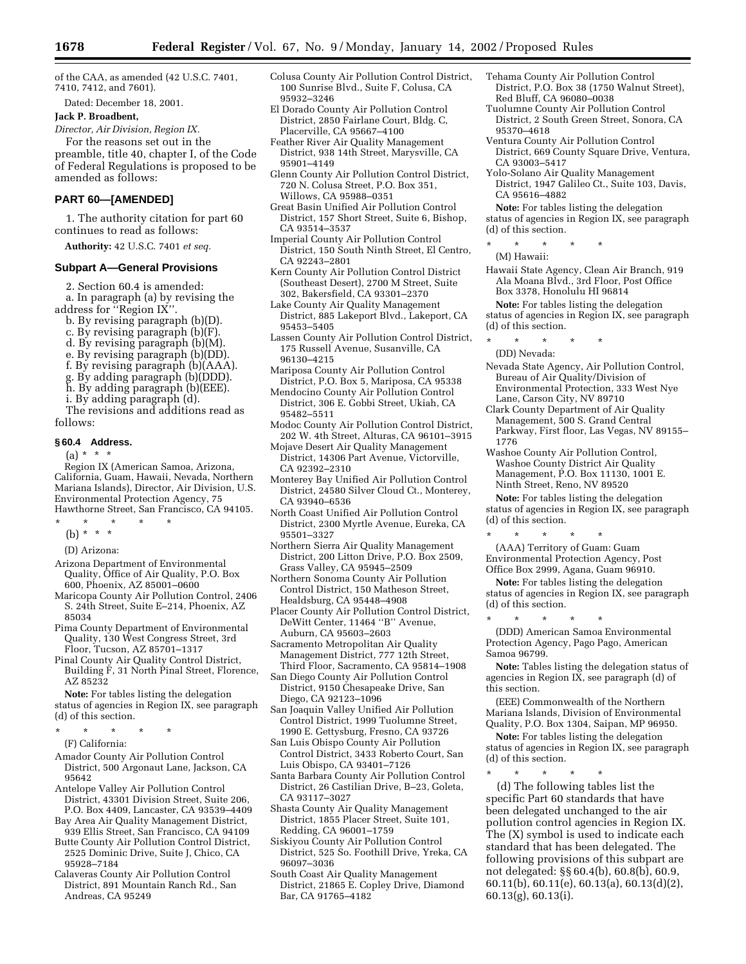of the CAA, as amended (42 U.S.C. 7401, 7410, 7412, and 7601).

Dated: December 18, 2001.

#### **Jack P. Broadbent,**

*Director, Air Division, Region IX.* For the reasons set out in the preamble, title 40, chapter I, of the Code of Federal Regulations is proposed to be amended as follows:

### **PART 60—[AMENDED]**

1. The authority citation for part 60 continues to read as follows:

**Authority:** 42 U.S.C. 7401 *et seq.*

### **Subpart A—General Provisions**

2. Section 60.4 is amended:

a. In paragraph (a) by revising the address for ''Region IX''.

- b. By revising paragraph (b)(D).
- c. By revising paragraph (b)(F).
- d. By revising paragraph (b)(M).
- e. By revising paragraph (b)(DD).
- f. By revising paragraph (b)(AAA).
- g. By adding paragraph (b)(DDD).
- h. By adding paragraph (b)(EEE).
- i. By adding paragraph (d).

The revisions and additions read as follows:

#### **§ 60.4 Address.**

 $(a) * * * *$ 

Region IX (American Samoa, Arizona, California, Guam, Hawaii, Nevada, Northern Mariana Islands), Director, Air Division, U.S. Environmental Protection Agency, 75 Hawthorne Street, San Francisco, CA 94105.

- \* \* \* \* \*
	- (b) \* \* \*
	- (D) Arizona:
- Arizona Department of Environmental Quality, Office of Air Quality, P.O. Box 600, Phoenix, AZ 85001–0600
- Maricopa County Air Pollution Control, 2406 S. 24th Street, Suite E–214, Phoenix, AZ 85034
- Pima County Department of Environmental Quality, 130 West Congress Street, 3rd Floor, Tucson, AZ 85701–1317
- Pinal County Air Quality Control District, Building F, 31 North Pinal Street, Florence, AZ 85232

**Note:** For tables listing the delegation status of agencies in Region IX, see paragraph (d) of this section.

\* \* \* \* \*

- (F) California:
- Amador County Air Pollution Control District, 500 Argonaut Lane, Jackson, CA 95642
- Antelope Valley Air Pollution Control District, 43301 Division Street, Suite 206, P.O. Box 4409, Lancaster, CA 93539–4409
- Bay Area Air Quality Management District, 939 Ellis Street, San Francisco, CA 94109 Butte County Air Pollution Control District,
- 2525 Dominic Drive, Suite J, Chico, CA 95928–7184
- Calaveras County Air Pollution Control District, 891 Mountain Ranch Rd., San Andreas, CA 95249
- Colusa County Air Pollution Control District, 100 Sunrise Blvd., Suite F, Colusa, CA 95932–3246
- El Dorado County Air Pollution Control District, 2850 Fairlane Court, Bldg. C, Placerville, CA 95667–4100
- Feather River Air Quality Management District, 938 14th Street, Marysville, CA 95901–4149
- Glenn County Air Pollution Control District, 720 N. Colusa Street, P.O. Box 351, Willows, CA 95988–0351
- Great Basin Unified Air Pollution Control District, 157 Short Street, Suite 6, Bishop, CA 93514–3537
- Imperial County Air Pollution Control District, 150 South Ninth Street, El Centro, CA 92243–2801
- Kern County Air Pollution Control District (Southeast Desert), 2700 M Street, Suite 302, Bakersfield, CA 93301–2370
- Lake County Air Quality Management District, 885 Lakeport Blvd., Lakeport, CA 95453–5405
- Lassen County Air Pollution Control District, 175 Russell Avenue, Susanville, CA 96130–4215
- Mariposa County Air Pollution Control District, P.O. Box 5, Mariposa, CA 95338
- Mendocino County Air Pollution Control District, 306 E. Gobbi Street, Ukiah, CA 95482–5511
- Modoc County Air Pollution Control District, 202 W. 4th Street, Alturas, CA 96101–3915
- Mojave Desert Air Quality Management District, 14306 Part Avenue, Victorville, CA 92392–2310
- Monterey Bay Unified Air Pollution Control District, 24580 Silver Cloud Ct., Monterey, CA 93940–6536
- North Coast Unified Air Pollution Control District, 2300 Myrtle Avenue, Eureka, CA 95501–3327
- Northern Sierra Air Quality Management District, 200 Litton Drive, P.O. Box 2509, Grass Valley, CA 95945–2509
- Northern Sonoma County Air Pollution Control District, 150 Matheson Street, Healdsburg, CA 95448–4908
- Placer County Air Pollution Control District, DeWitt Center, 11464 ''B'' Avenue, Auburn, CA 95603–2603
- Sacramento Metropolitan Air Quality Management District, 777 12th Street, Third Floor, Sacramento, CA 95814–1908
- San Diego County Air Pollution Control District, 9150 Chesapeake Drive, San Diego, CA 92123–1096
- San Joaquin Valley Unified Air Pollution Control District, 1999 Tuolumne Street, 1990 E. Gettysburg, Fresno, CA 93726
- San Luis Obispo County Air Pollution Control District, 3433 Roberto Court, San Luis Obispo, CA 93401–7126
- Santa Barbara County Air Pollution Control District, 26 Castilian Drive, B–23, Goleta, CA 93117–3027
- Shasta County Air Quality Management District, 1855 Placer Street, Suite 101, Redding, CA 96001–1759
- Siskiyou County Air Pollution Control District, 525 So. Foothill Drive, Yreka, CA 96097–3036
- South Coast Air Quality Management District, 21865 E. Copley Drive, Diamond Bar, CA 91765–4182
- Tehama County Air Pollution Control District, P.O. Box 38 (1750 Walnut Street), Red Bluff, CA 96080–0038
- Tuolumne County Air Pollution Control District, 2 South Green Street, Sonora, CA 95370–4618
- Ventura County Air Pollution Control District, 669 County Square Drive, Ventura, CA 93003–5417
- Yolo-Solano Air Quality Management District, 1947 Galileo Ct., Suite 103, Davis, CA 95616–4882

**Note:** For tables listing the delegation status of agencies in Region IX, see paragraph (d) of this section.

- \* \* \* \* \*
- (M) Hawaii:
- Hawaii State Agency, Clean Air Branch, 919 Ala Moana Blvd., 3rd Floor, Post Office Box 3378, Honolulu HI 96814 **Note:** For tables listing the delegation

status of agencies in Region IX, see paragraph (d) of this section.

- \* \* \* \* \* (DD) Nevada:
- Nevada State Agency, Air Pollution Control, Bureau of Air Quality/Division of Environmental Protection, 333 West Nye Lane, Carson City, NV 89710
- Clark County Department of Air Quality Management, 500 S. Grand Central Parkway, First floor, Las Vegas, NV 89155– 1776
- Washoe County Air Pollution Control, Washoe County District Air Quality Management, P.O. Box 11130, 1001 E. Ninth Street, Reno, NV 89520
- **Note:** For tables listing the delegation status of agencies in Region IX, see paragraph (d) of this section.
- \* \* \* \* \* (AAA) Territory of Guam: Guam Environmental Protection Agency, Post Office Box 2999, Agana, Guam 96910.

**Note:** For tables listing the delegation status of agencies in Region IX, see paragraph (d) of this section.

\* \* \* \* \* (DDD) American Samoa Environmental Protection Agency, Pago Pago, American Samoa 96799.

**Note:** Tables listing the delegation status of agencies in Region IX, see paragraph (d) of this section.

(EEE) Commonwealth of the Northern Mariana Islands, Division of Environmental Quality, P.O. Box 1304, Saipan, MP 96950.

**Note:** For tables listing the delegation status of agencies in Region IX, see paragraph (d) of this section.

\* \* \* \* \*

(d) The following tables list the specific Part 60 standards that have been delegated unchanged to the air pollution control agencies in Region IX. The (X) symbol is used to indicate each standard that has been delegated. The following provisions of this subpart are not delegated: §§ 60.4(b), 60.8(b), 60.9, 60.11(b), 60.11(e), 60.13(a), 60.13(d)(2), 60.13(g), 60.13(i).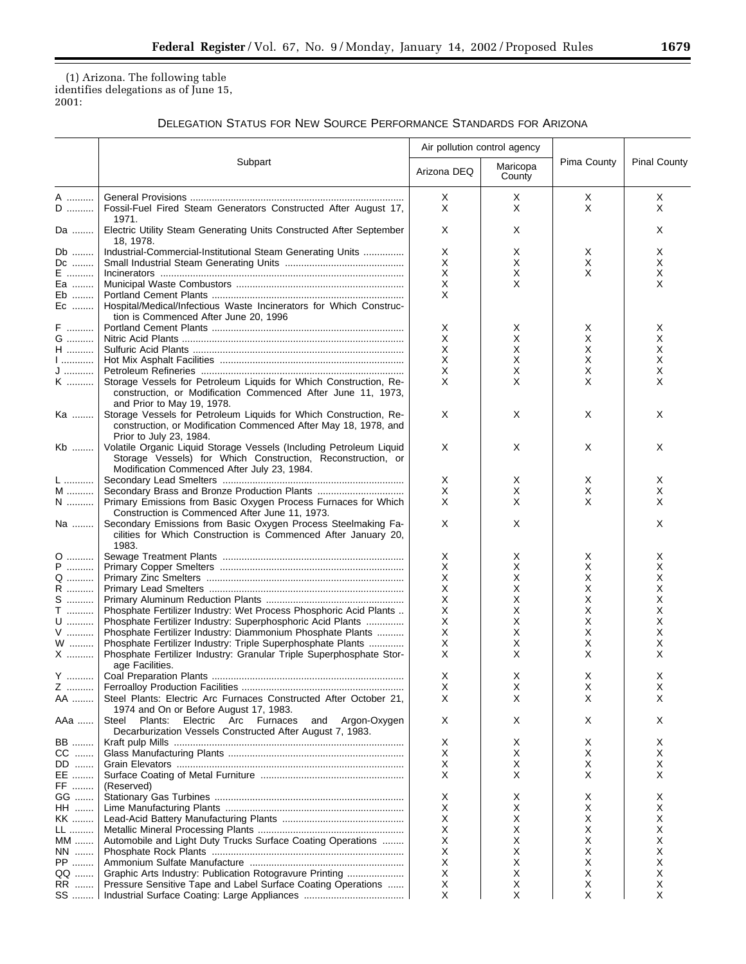▀

(1) Arizona. The following table identifies delegations as of June 15, 2001:

# DELEGATION STATUS FOR NEW SOURCE PERFORMANCE STANDARDS FOR ARIZONA

|               |                                                                                                                                                                                   | Air pollution control agency |                    |             |                     |  |
|---------------|-----------------------------------------------------------------------------------------------------------------------------------------------------------------------------------|------------------------------|--------------------|-------------|---------------------|--|
|               | Subpart                                                                                                                                                                           | Arizona DEQ                  | Maricopa<br>County | Pima County | <b>Pinal County</b> |  |
| A             |                                                                                                                                                                                   | Х                            | Χ                  | Х           | X.                  |  |
| D             | Fossil-Fuel Fired Steam Generators Constructed After August 17,                                                                                                                   | X                            | X                  | X           | X                   |  |
| Da            | 1971.<br>Electric Utility Steam Generating Units Constructed After September<br>18, 1978.                                                                                         | Х                            | X                  |             | X.                  |  |
| Db            | Industrial-Commercial-Institutional Steam Generating Units                                                                                                                        | Х                            | х                  | Χ           | X                   |  |
| Dc            |                                                                                                                                                                                   | X                            | X                  | X           | X                   |  |
| $\mathsf{E}$  |                                                                                                                                                                                   | X                            | Х                  | X           | X                   |  |
| Ea            |                                                                                                                                                                                   | X                            | X                  |             | X                   |  |
| Eb<br>Ec      | Hospital/Medical/Infectious Waste Incinerators for Which Construc-<br>tion is Commenced After June 20, 1996                                                                       | X                            |                    |             |                     |  |
| F             |                                                                                                                                                                                   | х                            | х                  | X           | X                   |  |
| ${\mathsf G}$ |                                                                                                                                                                                   | Х                            | Х                  | Х           | X                   |  |
| $\mathsf H$   |                                                                                                                                                                                   | X                            | X                  | X           | X                   |  |
| 1             |                                                                                                                                                                                   | X                            | Х                  | Х           | X                   |  |
| J             |                                                                                                                                                                                   | X<br>X                       | Х<br>X             | Х<br>X      | X<br>х              |  |
| K             | Storage Vessels for Petroleum Liquids for Which Construction, Re-<br>construction, or Modification Commenced After June 11, 1973,<br>and Prior to May 19, 1978.                   |                              |                    |             |                     |  |
| Ka            | Storage Vessels for Petroleum Liquids for Which Construction, Re-<br>construction, or Modification Commenced After May 18, 1978, and<br>Prior to July 23, 1984.                   | Х                            | X                  | Χ           | X                   |  |
| Kb            | Volatile Organic Liquid Storage Vessels (Including Petroleum Liquid<br>Storage Vessels) for Which Construction, Reconstruction, or<br>Modification Commenced After July 23, 1984. | X                            | X                  | Χ           | X                   |  |
| L             |                                                                                                                                                                                   | Х                            | X                  | Х           | X                   |  |
| M             | Secondary Brass and Bronze Production Plants                                                                                                                                      | X                            | X                  | X           | X                   |  |
| $\mathsf{N}$  | Primary Emissions from Basic Oxygen Process Furnaces for Which<br>Construction is Commenced After June 11, 1973.                                                                  | X                            | X                  | X           | X                   |  |
| Na            | Secondary Emissions from Basic Oxygen Process Steelmaking Fa-<br>cilities for Which Construction is Commenced After January 20,<br>1983.                                          | X                            | X                  |             | X                   |  |
| 0             |                                                                                                                                                                                   | Х                            | х                  | X           | X                   |  |
| P             |                                                                                                                                                                                   | Х                            | X                  | X           | X                   |  |
| Q             |                                                                                                                                                                                   | X                            | X                  | х           | х                   |  |
| R             |                                                                                                                                                                                   | X                            | X                  | X           | х                   |  |
| $S$           |                                                                                                                                                                                   | Χ                            | х                  | х           | х                   |  |
| $\mathsf T$   | Phosphate Fertilizer Industry: Wet Process Phosphoric Acid Plants                                                                                                                 | X                            | X                  | X           | х                   |  |
| U             | Phosphate Fertilizer Industry: Superphosphoric Acid Plants                                                                                                                        | X                            | X                  | X           | X                   |  |
| V             | Phosphate Fertilizer Industry: Diammonium Phosphate Plants                                                                                                                        | X                            | X                  | Х           | X                   |  |
| W             | Phosphate Fertilizer Industry: Triple Superphosphate Plants                                                                                                                       | X                            | X                  | Х           | х                   |  |
| X             | Phosphate Fertilizer Industry: Granular Triple Superphosphate Stor-<br>age Facilities.                                                                                            | X                            | X                  | X           | X.                  |  |
| Y             |                                                                                                                                                                                   | X                            | X                  | X           | X                   |  |
| Z             |                                                                                                                                                                                   | X                            | х                  | х           | х                   |  |
| AA            | Steel Plants: Electric Arc Furnaces Constructed After October 21,<br>1974 and On or Before August 17, 1983.                                                                       | X                            | X                  | X           | X                   |  |
| AAa           | Steel<br>Plants:<br>Electric Arc Furnaces<br>and Argon-Oxygen<br>Decarburization Vessels Constructed After August 7, 1983.                                                        | X                            | X                  | X           | X.                  |  |
| BB            |                                                                                                                                                                                   | х                            | X                  | X           | X.                  |  |
| CC            |                                                                                                                                                                                   | X                            | X                  | X           | X                   |  |
| DD            |                                                                                                                                                                                   | Х                            | х                  | х           | X.                  |  |
| EE            |                                                                                                                                                                                   | X                            | X                  | X           | X.                  |  |
| FF            | (Reserved)                                                                                                                                                                        |                              |                    |             |                     |  |
| GG            |                                                                                                                                                                                   | х                            | х                  | x           | х                   |  |
| <b>HH</b>     |                                                                                                                                                                                   | х                            | х                  | X           | х                   |  |
| KK            |                                                                                                                                                                                   | Х                            | х                  | х           | х                   |  |
| LL            |                                                                                                                                                                                   | Х                            | х                  | X           | х                   |  |
| MM            | Automobile and Light Duty Trucks Surface Coating Operations                                                                                                                       | Х                            | х                  | х           | х                   |  |
| NN            |                                                                                                                                                                                   | X<br>X                       | х                  | X           | х                   |  |
| PP            |                                                                                                                                                                                   | Х                            | х<br>X             | Х<br>X      | х<br>х              |  |
| QQ<br>RR …….  | Graphic Arts Industry: Publication Rotogravure Printing<br>Pressure Sensitive Tape and Label Surface Coating Operations                                                           | х                            | Х                  | х           | X.                  |  |
| SS            |                                                                                                                                                                                   | X                            | X                  | X           | X                   |  |
|               |                                                                                                                                                                                   |                              |                    |             |                     |  |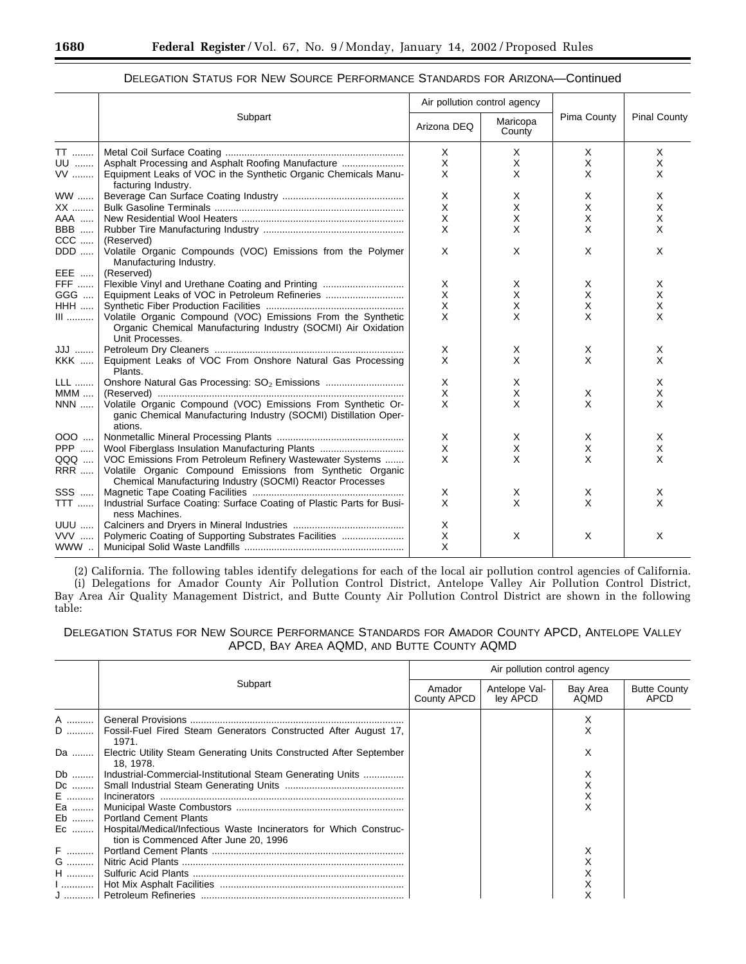|                       |                                                                                                                                                  | Air pollution control agency |                    |             |                     |
|-----------------------|--------------------------------------------------------------------------------------------------------------------------------------------------|------------------------------|--------------------|-------------|---------------------|
|                       | Subpart                                                                                                                                          | Arizona DEQ                  | Maricopa<br>County | Pima County | <b>Pinal County</b> |
| TT                    |                                                                                                                                                  | $\times$                     | X                  | X           | Χ                   |
| UU                    |                                                                                                                                                  | X                            | X                  | X           | X                   |
| VV                    | Equipment Leaks of VOC in the Synthetic Organic Chemicals Manu-<br>facturing Industry.                                                           | $\times$                     | X                  | X           | X                   |
| <b>WW</b>             |                                                                                                                                                  | X                            | X                  | X           | Χ                   |
| XX                    |                                                                                                                                                  | X                            | X                  | X           | X                   |
| AAA                   |                                                                                                                                                  | X                            | X                  | X           | X                   |
| <b>BBB</b>            |                                                                                                                                                  | X                            | X                  | X           | X                   |
| $CCC$                 | (Reserved)                                                                                                                                       |                              |                    |             |                     |
| DDD                   | Volatile Organic Compounds (VOC) Emissions from the Polymer<br>Manufacturing Industry.                                                           | X                            | X                  | $\times$    | X                   |
| EEE                   | (Reserved)                                                                                                                                       |                              |                    |             |                     |
| <b>FFF</b>            | Flexible Vinyl and Urethane Coating and Printing                                                                                                 | X                            | X                  | X           | Χ                   |
| GGG                   |                                                                                                                                                  | X                            | X                  | X           | X                   |
| <b>HHH</b>            |                                                                                                                                                  | $\times$                     | X                  | X           | X                   |
| $\scriptstyle\rm III$ | Volatile Organic Compound (VOC) Emissions From the Synthetic<br>Organic Chemical Manufacturing Industry (SOCMI) Air Oxidation<br>Unit Processes. | $\times$                     | X                  | X           | X                   |
| JJJ                   |                                                                                                                                                  | X                            | X                  | Х           | Χ                   |
| <b>KKK </b>           | Equipment Leaks of VOC From Onshore Natural Gas Processing<br>Plants.                                                                            | $\times$                     | X                  | X           | X                   |
| <b>LLL</b>            |                                                                                                                                                  | X                            | X                  |             | X                   |
| $MMM$                 |                                                                                                                                                  | X                            | X                  | X           | X                   |
| <b>NNN</b>            | Volatile Organic Compound (VOC) Emissions From Synthetic Or-<br>ganic Chemical Manufacturing Industry (SOCMI) Distillation Oper-<br>ations.      | $\times$                     | X                  | X           | X                   |
| 000                   |                                                                                                                                                  | X                            | X                  | Х           | Χ                   |
| PPP                   | Wool Fiberglass Insulation Manufacturing Plants                                                                                                  | $\times$                     | X                  | X           | X                   |
| QQQ                   | VOC Emissions From Petroleum Refinery Wastewater Systems                                                                                         | $\times$                     | X                  | X           | X                   |
| <b>RRR</b>            | Volatile Organic Compound Emissions from Synthetic Organic<br>Chemical Manufacturing Industry (SOCMI) Reactor Processes                          |                              |                    |             |                     |
| SSS                   |                                                                                                                                                  | X                            | X                  | Х           | X                   |
| $TTT$                 | Industrial Surface Coating: Surface Coating of Plastic Parts for Busi-<br>ness Machines.                                                         | $\times$                     | X                  | X           | X                   |
| <b>UUU </b>           |                                                                                                                                                  | X                            |                    |             |                     |
| VVV                   | Polymeric Coating of Supporting Substrates Facilities                                                                                            | $\times$                     | X                  | X           | X                   |
| WWW                   |                                                                                                                                                  | $\times$                     |                    |             |                     |

# DELEGATION STATUS FOR NEW SOURCE PERFORMANCE STANDARDS FOR ARIZONA—Continued

(2) California. The following tables identify delegations for each of the local air pollution control agencies of California. (i) Delegations for Amador County Air Pollution Control District, Antelope Valley Air Pollution Control District, Bay Area Air Quality Management District, and Butte County Air Pollution Control District are shown in the following table:

DELEGATION STATUS FOR NEW SOURCE PERFORMANCE STANDARDS FOR AMADOR COUNTY APCD, ANTELOPE VALLEY APCD, BAY AREA AQMD, AND BUTTE COUNTY AQMD

|    |                                                                                                                   | Air pollution control agency |                           |                   |                             |  |  |
|----|-------------------------------------------------------------------------------------------------------------------|------------------------------|---------------------------|-------------------|-----------------------------|--|--|
|    | Subpart                                                                                                           | Amador<br>County APCD        | Antelope Val-<br>ley APCD | Bay Area<br>AOMD. | <b>Butte County</b><br>APCD |  |  |
|    |                                                                                                                   |                              |                           | Х                 |                             |  |  |
|    | D    Fossil-Fuel Fired Steam Generators Constructed After August 17,<br>1971.                                     |                              |                           |                   |                             |  |  |
| Da | Electric Utility Steam Generating Units Constructed After September<br>18.1978.                                   |                              |                           | х                 |                             |  |  |
| Db | Industrial-Commercial-Institutional Steam Generating Units                                                        |                              |                           |                   |                             |  |  |
| Dc |                                                                                                                   |                              |                           |                   |                             |  |  |
| E  |                                                                                                                   |                              |                           |                   |                             |  |  |
| Ea |                                                                                                                   |                              |                           |                   |                             |  |  |
| Eb | <b>Portland Cement Plants</b>                                                                                     |                              |                           |                   |                             |  |  |
|    | Ec    Hospital/Medical/Infectious Waste Incinerators for Which Construc-<br>tion is Commenced After June 20, 1996 |                              |                           |                   |                             |  |  |
|    |                                                                                                                   |                              |                           |                   |                             |  |  |
| G  |                                                                                                                   |                              |                           |                   |                             |  |  |
| H  |                                                                                                                   |                              |                           |                   |                             |  |  |
|    |                                                                                                                   |                              |                           |                   |                             |  |  |
|    |                                                                                                                   |                              |                           |                   |                             |  |  |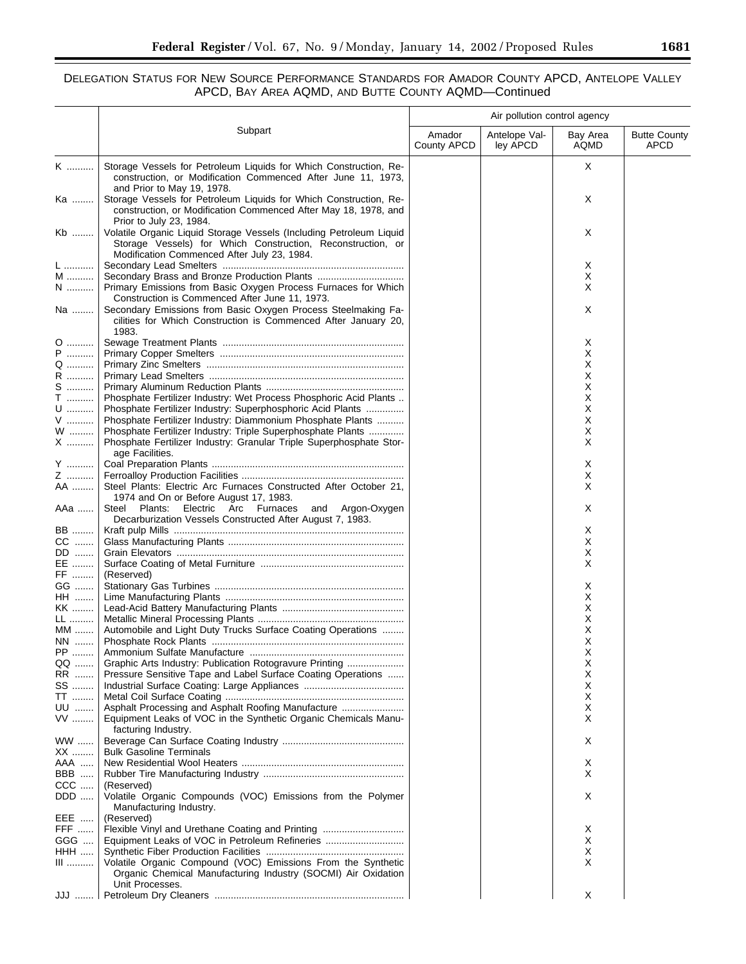▀

# DELEGATION STATUS FOR NEW SOURCE PERFORMANCE STANDARDS FOR AMADOR COUNTY APCD, ANTELOPE VALLEY APCD, BAY AREA AQMD, AND BUTTE COUNTY AQMD—Continued

|              |                                                                                                                                                                                                              | Air pollution control agency |                           |                  |                                    |  |  |
|--------------|--------------------------------------------------------------------------------------------------------------------------------------------------------------------------------------------------------------|------------------------------|---------------------------|------------------|------------------------------------|--|--|
|              | Subpart                                                                                                                                                                                                      | Amador<br>County APCD        | Antelope Val-<br>ley APCD | Bay Area<br>AQMD | <b>Butte County</b><br><b>APCD</b> |  |  |
| K            | Storage Vessels for Petroleum Liquids for Which Construction, Re-<br>construction, or Modification Commenced After June 11, 1973,                                                                            |                              |                           | X                |                                    |  |  |
| Ka           | and Prior to May 19, 1978.<br>Storage Vessels for Petroleum Liquids for Which Construction, Re-<br>construction, or Modification Commenced After May 18, 1978, and                                           |                              |                           | Χ                |                                    |  |  |
| Kb           | Prior to July 23, 1984.<br>Volatile Organic Liquid Storage Vessels (Including Petroleum Liquid<br>Storage Vessels) for Which Construction, Reconstruction, or<br>Modification Commenced After July 23, 1984. |                              |                           | Χ                |                                    |  |  |
| L<br>M       |                                                                                                                                                                                                              |                              |                           | Х<br>Х           |                                    |  |  |
| $N$          | Primary Emissions from Basic Oxygen Process Furnaces for Which<br>Construction is Commenced After June 11, 1973.                                                                                             |                              |                           | Х                |                                    |  |  |
| Na           | Secondary Emissions from Basic Oxygen Process Steelmaking Fa-<br>cilities for Which Construction is Commenced After January 20,<br>1983.                                                                     |                              |                           | Χ                |                                    |  |  |
| 0            |                                                                                                                                                                                                              |                              |                           | Х                |                                    |  |  |
| $\mathsf{P}$ |                                                                                                                                                                                                              |                              |                           | х                |                                    |  |  |
| Q ……….<br>R  |                                                                                                                                                                                                              |                              |                           | х<br>х           |                                    |  |  |
| S            |                                                                                                                                                                                                              |                              |                           | х                |                                    |  |  |
| $\mathsf T$  | Phosphate Fertilizer Industry: Wet Process Phosphoric Acid Plants                                                                                                                                            |                              |                           | Х                |                                    |  |  |
| U            | Phosphate Fertilizer Industry: Superphosphoric Acid Plants                                                                                                                                                   |                              |                           | Х                |                                    |  |  |
| V<br>W       | Phosphate Fertilizer Industry: Diammonium Phosphate Plants<br>Phosphate Fertilizer Industry: Triple Superphosphate Plants                                                                                    |                              |                           | Х<br>Х           |                                    |  |  |
| X            | Phosphate Fertilizer Industry: Granular Triple Superphosphate Stor-<br>age Facilities.                                                                                                                       |                              |                           | X                |                                    |  |  |
| Y            |                                                                                                                                                                                                              |                              |                           | Х                |                                    |  |  |
| Z<br>AA      | Steel Plants: Electric Arc Furnaces Constructed After October 21,                                                                                                                                            |                              |                           | Х<br>Х           |                                    |  |  |
| AAa          | 1974 and On or Before August 17, 1983.<br>Steel<br>Plants: Electric Arc Furnaces and Argon-Oxygen<br>Decarburization Vessels Constructed After August 7, 1983.                                               |                              |                           | X                |                                    |  |  |
| BB           |                                                                                                                                                                                                              |                              |                           | Х                |                                    |  |  |
| CC           |                                                                                                                                                                                                              |                              |                           | Х                |                                    |  |  |
| DD<br>EE     |                                                                                                                                                                                                              |                              |                           | х<br>X           |                                    |  |  |
| FF ………       | (Reserved)                                                                                                                                                                                                   |                              |                           |                  |                                    |  |  |
| GG           |                                                                                                                                                                                                              |                              |                           | X                |                                    |  |  |
| HH …….       |                                                                                                                                                                                                              |                              |                           | х                |                                    |  |  |
| KK           |                                                                                                                                                                                                              |                              |                           | х                |                                    |  |  |
| LL<br>$MM$   | Automobile and Light Duty Trucks Surface Coating Operations                                                                                                                                                  |                              |                           | х<br>х           |                                    |  |  |
| NN ……        |                                                                                                                                                                                                              |                              |                           | X                |                                    |  |  |
| PP           |                                                                                                                                                                                                              |                              |                           | Х                |                                    |  |  |
| QQ           | Graphic Arts Industry: Publication Rotogravure Printing                                                                                                                                                      |                              |                           | Х                |                                    |  |  |
| RR<br>SS     | Pressure Sensitive Tape and Label Surface Coating Operations                                                                                                                                                 |                              |                           | х<br>X           |                                    |  |  |
| TT           |                                                                                                                                                                                                              |                              |                           | х                |                                    |  |  |
| UU<br>VV     | Asphalt Processing and Asphalt Roofing Manufacture<br>Equipment Leaks of VOC in the Synthetic Organic Chemicals Manu-                                                                                        |                              |                           | Х<br>Х           |                                    |  |  |
| WW<br>XX     | facturing Industry.<br><b>Bulk Gasoline Terminals</b>                                                                                                                                                        |                              |                           | Χ                |                                    |  |  |
| AAA          |                                                                                                                                                                                                              |                              |                           | Х                |                                    |  |  |
| BBB          |                                                                                                                                                                                                              |                              |                           | X                |                                    |  |  |
| $CCC$        | (Reserved)                                                                                                                                                                                                   |                              |                           |                  |                                    |  |  |
| DDD<br>EEE   | Volatile Organic Compounds (VOC) Emissions from the Polymer<br>Manufacturing Industry.<br>(Reserved)                                                                                                         |                              |                           | Χ                |                                    |  |  |
| <b>FFF</b>   |                                                                                                                                                                                                              |                              |                           | Х                |                                    |  |  |
| GGG          |                                                                                                                                                                                                              |                              |                           | Х                |                                    |  |  |
| HHH          |                                                                                                                                                                                                              |                              |                           | X                |                                    |  |  |
| $III$        | Volatile Organic Compound (VOC) Emissions From the Synthetic<br>Organic Chemical Manufacturing Industry (SOCMI) Air Oxidation<br>Unit Processes.                                                             |                              |                           | X                |                                    |  |  |
|              |                                                                                                                                                                                                              |                              |                           | X                |                                    |  |  |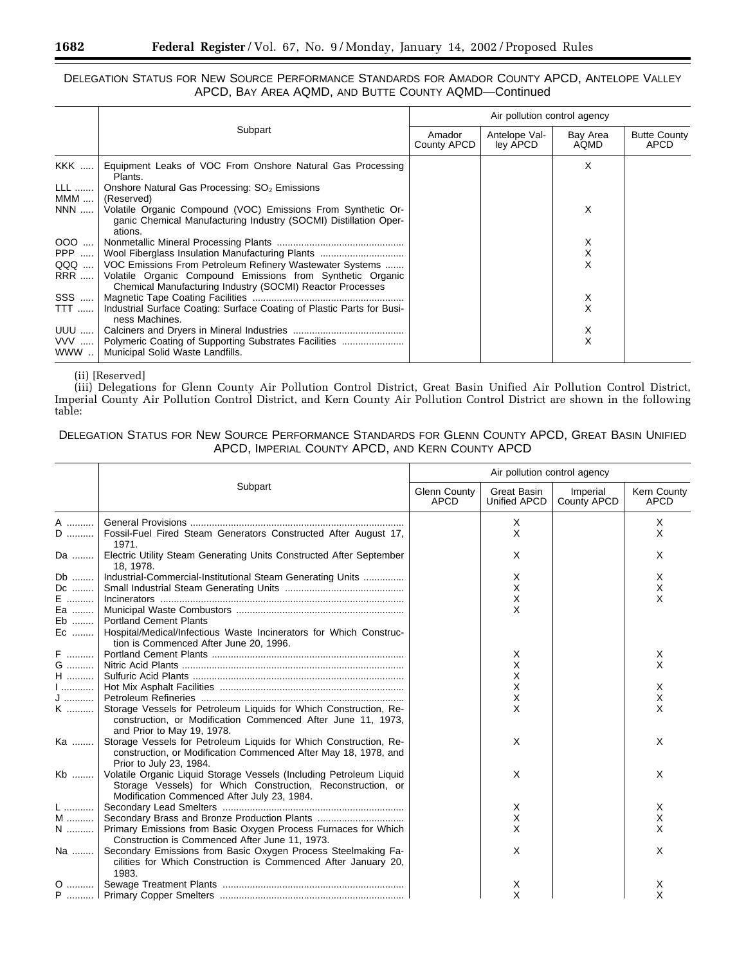## DELEGATION STATUS FOR NEW SOURCE PERFORMANCE STANDARDS FOR AMADOR COUNTY APCD, ANTELOPE VALLEY APCD, BAY AREA AQMD, AND BUTTE COUNTY AQMD—Continued

|            |                                                                                                                                             | Air pollution control agency |                           |                  |                                    |  |
|------------|---------------------------------------------------------------------------------------------------------------------------------------------|------------------------------|---------------------------|------------------|------------------------------------|--|
|            | Subpart                                                                                                                                     | Amador<br>County APCD        | Antelope Val-<br>ley APCD | Bay Area<br>AQMD | <b>Butte County</b><br><b>APCD</b> |  |
| <b>KKK</b> | Equipment Leaks of VOC From Onshore Natural Gas Processing<br>Plants.                                                                       |                              |                           | X                |                                    |  |
| <b>LLL</b> | Onshore Natural Gas Processing: SO <sub>2</sub> Emissions                                                                                   |                              |                           |                  |                                    |  |
| MMM        | (Reserved)                                                                                                                                  |                              |                           |                  |                                    |  |
| NNN        | Volatile Organic Compound (VOC) Emissions From Synthetic Or-<br>ganic Chemical Manufacturing Industry (SOCMI) Distillation Oper-<br>ations. |                              |                           | X                |                                    |  |
|            |                                                                                                                                             |                              |                           | Х                |                                    |  |
|            |                                                                                                                                             |                              |                           | $\sf X$          |                                    |  |
| QQQ        | VOC Emissions From Petroleum Refinery Wastewater Systems                                                                                    |                              |                           | X                |                                    |  |
| <b>RRR</b> | Volatile Organic Compound Emissions from Synthetic Organic<br>Chemical Manufacturing Industry (SOCMI) Reactor Processes                     |                              |                           |                  |                                    |  |
| SSS        |                                                                                                                                             |                              |                           | Х                |                                    |  |
| TTT        | Industrial Surface Coating: Surface Coating of Plastic Parts for Busi-<br>ness Machines.                                                    |                              |                           | X                |                                    |  |
| UUU        |                                                                                                                                             |                              |                           | х                |                                    |  |
| VVV        | Polymeric Coating of Supporting Substrates Facilities                                                                                       |                              |                           | X                |                                    |  |
| WWW        | Municipal Solid Waste Landfills.                                                                                                            |                              |                           |                  |                                    |  |

## (ii) [Reserved]

(iii) Delegations for Glenn County Air Pollution Control District, Great Basin Unified Air Pollution Control District, Imperial County Air Pollution Control District, and Kern County Air Pollution Control District are shown in the following table:

# DELEGATION STATUS FOR NEW SOURCE PERFORMANCE STANDARDS FOR GLENN COUNTY APCD, GREAT BASIN UNIFIED APCD, IMPERIAL COUNTY APCD, AND KERN COUNTY APCD

|                  |                                                                                                                                                                                   | Air pollution control agency       |                             |                         |                            |  |
|------------------|-----------------------------------------------------------------------------------------------------------------------------------------------------------------------------------|------------------------------------|-----------------------------|-------------------------|----------------------------|--|
|                  | Subpart                                                                                                                                                                           | <b>Glenn County</b><br><b>APCD</b> | Great Basin<br>Unified APCD | Imperial<br>County APCD | Kern County<br><b>APCD</b> |  |
| A<br>$\mathsf D$ | Fossil-Fuel Fired Steam Generators Constructed After August 17,<br>1971.                                                                                                          |                                    | X<br>X                      |                         | X<br>X                     |  |
| Da               | Electric Utility Steam Generating Units Constructed After September<br>18. 1978.                                                                                                  |                                    | X                           |                         | X                          |  |
| Db               | Industrial-Commercial-Institutional Steam Generating Units                                                                                                                        |                                    | X                           |                         | X                          |  |
| Dc               |                                                                                                                                                                                   |                                    | X                           |                         | х                          |  |
| E                |                                                                                                                                                                                   |                                    | X                           |                         | X                          |  |
| Ea               |                                                                                                                                                                                   |                                    | X                           |                         |                            |  |
| Eb               | <b>Portland Cement Plants</b>                                                                                                                                                     |                                    |                             |                         |                            |  |
| Ec               | Hospital/Medical/Infectious Waste Incinerators for Which Construc-<br>tion is Commenced After June 20, 1996.                                                                      |                                    |                             |                         |                            |  |
| F                |                                                                                                                                                                                   |                                    | X                           |                         | X                          |  |
| G                |                                                                                                                                                                                   |                                    | Χ                           |                         | X                          |  |
| ${\sf H}$        |                                                                                                                                                                                   |                                    | X                           |                         |                            |  |
| $1$              |                                                                                                                                                                                   |                                    | Χ                           |                         | X                          |  |
| ${\sf J}$        |                                                                                                                                                                                   |                                    | Χ                           |                         | X                          |  |
| K                | Storage Vessels for Petroleum Liquids for Which Construction, Re-<br>construction, or Modification Commenced After June 11, 1973,<br>and Prior to May 19, 1978.                   |                                    | X                           |                         | X                          |  |
| Ka               | Storage Vessels for Petroleum Liquids for Which Construction, Re-<br>construction, or Modification Commenced After May 18, 1978, and<br>Prior to July 23, 1984.                   |                                    | X                           |                         | X                          |  |
| Kb               | Volatile Organic Liquid Storage Vessels (Including Petroleum Liquid<br>Storage Vessels) for Which Construction, Reconstruction, or<br>Modification Commenced After July 23, 1984. |                                    | X                           |                         | X                          |  |
| L                |                                                                                                                                                                                   |                                    | X                           |                         | X                          |  |
| M                |                                                                                                                                                                                   |                                    | X                           |                         | X                          |  |
| $N$              | Primary Emissions from Basic Oxygen Process Furnaces for Which<br>Construction is Commenced After June 11, 1973.                                                                  |                                    | X                           |                         | X                          |  |
| Na               | Secondary Emissions from Basic Oxygen Process Steelmaking Fa-<br>cilities for Which Construction is Commenced After January 20,<br>1983.                                          |                                    | X                           |                         | X                          |  |
|                  |                                                                                                                                                                                   |                                    | х                           |                         | х                          |  |
|                  |                                                                                                                                                                                   |                                    | X                           |                         | X                          |  |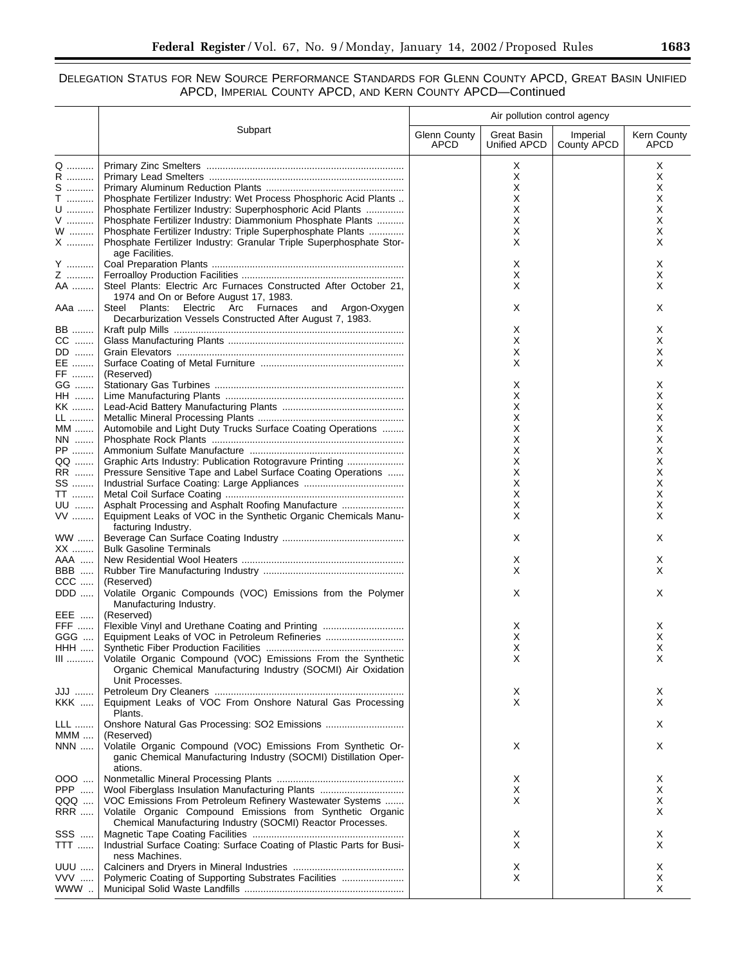# DELEGATION STATUS FOR NEW SOURCE PERFORMANCE STANDARDS FOR GLENN COUNTY APCD, GREAT BASIN UNIFIED APCD, IMPERIAL COUNTY APCD, AND KERN COUNTY APCD—Continued

|                             |                                                                                                                                  | Air pollution control agency |                             |                         |                            |  |
|-----------------------------|----------------------------------------------------------------------------------------------------------------------------------|------------------------------|-----------------------------|-------------------------|----------------------------|--|
|                             | Subpart                                                                                                                          | Glenn County<br>APCD         | Great Basin<br>Unified APCD | Imperial<br>County APCD | Kern County<br><b>APCD</b> |  |
| Q                           |                                                                                                                                  |                              | X                           |                         | Χ                          |  |
| R                           |                                                                                                                                  |                              | X                           |                         | X                          |  |
| $S$                         |                                                                                                                                  |                              | X                           |                         | X                          |  |
| $\mathsf T$                 | Phosphate Fertilizer Industry: Wet Process Phosphoric Acid Plants                                                                |                              | Х<br>Х                      |                         | X                          |  |
| $\mathsf{U}$<br>${\sf V}$   | Phosphate Fertilizer Industry: Superphosphoric Acid Plants<br>Phosphate Fertilizer Industry: Diammonium Phosphate Plants         |                              | Х                           |                         | х<br>х                     |  |
| $\mathsf{W}$                | Phosphate Fertilizer Industry: Triple Superphosphate Plants                                                                      |                              | Х                           |                         | X                          |  |
| ${\sf X}$                   | Phosphate Fertilizer Industry: Granular Triple Superphosphate Stor-                                                              |                              | Х                           |                         | X                          |  |
|                             | age Facilities.                                                                                                                  |                              |                             |                         |                            |  |
| Y                           |                                                                                                                                  |                              | Х                           |                         | X                          |  |
| Z                           |                                                                                                                                  |                              | X                           |                         | X                          |  |
| AA                          | Steel Plants: Electric Arc Furnaces Constructed After October 21,                                                                |                              | X                           |                         | X                          |  |
| AAa                         | 1974 and On or Before August 17, 1983.<br>Steel Plants:<br>Electric Arc Furnaces and Argon-Oxygen                                |                              | Х                           |                         | X                          |  |
|                             | Decarburization Vessels Constructed After August 7, 1983.                                                                        |                              |                             |                         |                            |  |
| BB                          |                                                                                                                                  |                              | X                           |                         | X                          |  |
| $CC$                        |                                                                                                                                  |                              | Х                           |                         | X                          |  |
| DD                          |                                                                                                                                  |                              | X                           |                         | X                          |  |
| EE                          |                                                                                                                                  |                              | Х                           |                         | X                          |  |
| FF                          | (Reserved)                                                                                                                       |                              |                             |                         |                            |  |
| GG                          |                                                                                                                                  |                              | х                           |                         | X                          |  |
| HH                          |                                                                                                                                  |                              | Х                           |                         | х                          |  |
| KK<br>LL                    |                                                                                                                                  |                              | Х<br>х                      |                         | х<br>X                     |  |
| $MM$                        | Automobile and Light Duty Trucks Surface Coating Operations                                                                      |                              | Х                           |                         | х                          |  |
| NN                          |                                                                                                                                  |                              | Х                           |                         | X                          |  |
| PP                          |                                                                                                                                  |                              | х                           |                         | X                          |  |
| QQ                          | Graphic Arts Industry: Publication Rotogravure Printing                                                                          |                              | Х                           |                         | х                          |  |
| RR                          | Pressure Sensitive Tape and Label Surface Coating Operations                                                                     |                              | х                           |                         | х                          |  |
| SS                          |                                                                                                                                  |                              | Х                           |                         | х                          |  |
| TT                          |                                                                                                                                  |                              | Х                           |                         | X                          |  |
| UU                          | Asphalt Processing and Asphalt Roofing Manufacture                                                                               |                              | X                           |                         | X                          |  |
| $VV$                        | Equipment Leaks of VOC in the Synthetic Organic Chemicals Manu-<br>facturing Industry.                                           |                              | Х                           |                         | X                          |  |
| <b>WW</b><br>XX             | <b>Bulk Gasoline Terminals</b>                                                                                                   |                              | Х                           |                         | X                          |  |
| AAA                         |                                                                                                                                  |                              | Х                           |                         | X                          |  |
| <b>BBB</b>                  |                                                                                                                                  |                              | X                           |                         | X                          |  |
| $CCC$                       | (Reserved)                                                                                                                       |                              |                             |                         |                            |  |
| DDD                         | Volatile Organic Compounds (VOC) Emissions from the Polymer<br>Manufacturing Industry.                                           |                              | Х                           |                         | X                          |  |
| EEE                         | (Reserved)                                                                                                                       |                              |                             |                         |                            |  |
| FFF                         |                                                                                                                                  |                              | X                           |                         | X                          |  |
| GGG                         | Equipment Leaks of VOC in Petroleum Refineries                                                                                   |                              | X                           |                         | X                          |  |
| HHH<br>$\hfill\blacksquare$ | Volatile Organic Compound (VOC) Emissions From the Synthetic                                                                     |                              | Χ<br>Х                      |                         | Χ<br>X                     |  |
|                             | Organic Chemical Manufacturing Industry (SOCMI) Air Oxidation<br>Unit Processes.                                                 |                              |                             |                         |                            |  |
| JJJ                         |                                                                                                                                  |                              | Х                           |                         | Χ                          |  |
| KKK                         | Equipment Leaks of VOC From Onshore Natural Gas Processing<br>Plants.                                                            |                              | Х                           |                         | X                          |  |
| LLL                         | Onshore Natural Gas Processing: SO2 Emissions                                                                                    |                              |                             |                         | Χ                          |  |
| <b>MMM</b>                  | (Reserved)                                                                                                                       |                              |                             |                         |                            |  |
| NNN                         | Volatile Organic Compound (VOC) Emissions From Synthetic Or-<br>ganic Chemical Manufacturing Industry (SOCMI) Distillation Oper- |                              | X                           |                         | X                          |  |
| 000                         | ations.                                                                                                                          |                              |                             |                         | Χ                          |  |
| PPP                         | Wool Fiberglass Insulation Manufacturing Plants                                                                                  |                              | Х<br>х                      |                         | X                          |  |
| QQQ                         | VOC Emissions From Petroleum Refinery Wastewater Systems                                                                         |                              | X                           |                         | X                          |  |
| <b>RRR</b>                  | Volatile Organic Compound Emissions from Synthetic Organic<br>Chemical Manufacturing Industry (SOCMI) Reactor Processes.         |                              |                             |                         | X.                         |  |
| SSS                         |                                                                                                                                  |                              | X                           |                         | X                          |  |
| TTT                         | Industrial Surface Coating: Surface Coating of Plastic Parts for Busi-<br>ness Machines.                                         |                              | Х                           |                         | X.                         |  |
| <b>UUU</b>                  |                                                                                                                                  |                              | Х                           |                         | Χ                          |  |
| VVV                         | Polymeric Coating of Supporting Substrates Facilities                                                                            |                              | X                           |                         | X                          |  |
| www                         |                                                                                                                                  |                              |                             |                         | X                          |  |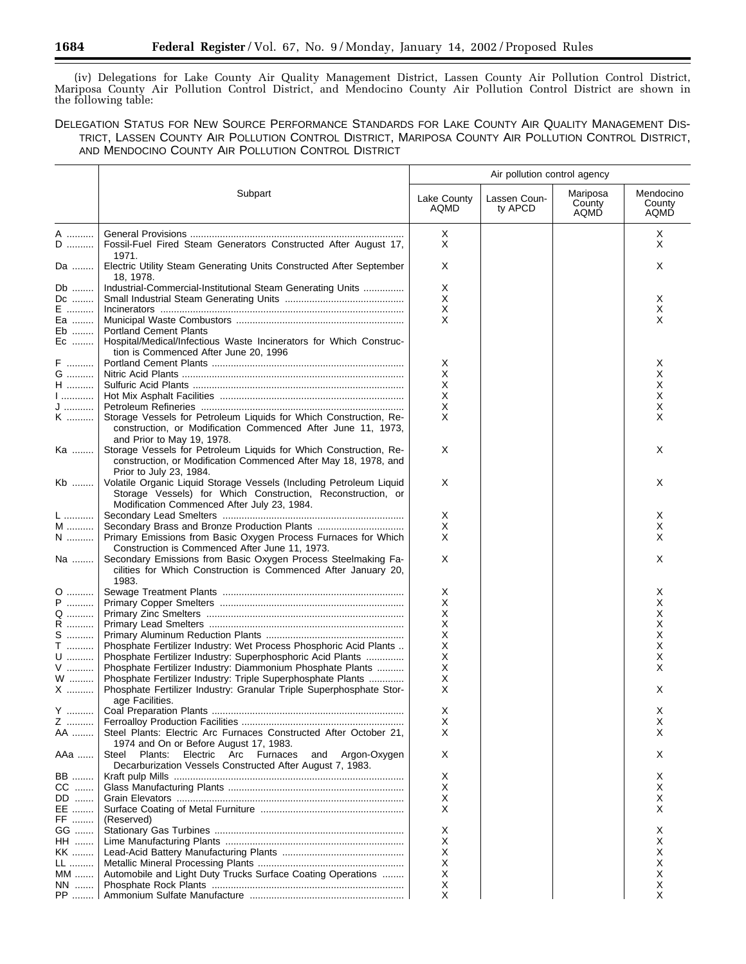(iv) Delegations for Lake County Air Quality Management District, Lassen County Air Pollution Control District, Mariposa County Air Pollution Control District, and Mendocino County Air Pollution Control District are shown in the following table:

DELEGATION STATUS FOR NEW SOURCE PERFORMANCE STANDARDS FOR LAKE COUNTY AIR QUALITY MANAGEMENT DIS-TRICT, LASSEN COUNTY AIR POLLUTION CONTROL DISTRICT, MARIPOSA COUNTY AIR POLLUTION CONTROL DISTRICT, AND MENDOCINO COUNTY AIR POLLUTION CONTROL DISTRICT

|                   |                                                                                                                                                                                   | Air pollution control agency |                         |                            |                             |  |
|-------------------|-----------------------------------------------------------------------------------------------------------------------------------------------------------------------------------|------------------------------|-------------------------|----------------------------|-----------------------------|--|
|                   | Subpart                                                                                                                                                                           | Lake County<br>AQMD          | Lassen Coun-<br>ty APCD | Mariposa<br>County<br>AQMD | Mendocino<br>County<br>AQMD |  |
| A<br>D            | Fossil-Fuel Fired Steam Generators Constructed After August 17,<br>1971.                                                                                                          | X<br>Χ                       |                         |                            | X<br>X                      |  |
| Da                | Electric Utility Steam Generating Units Constructed After September<br>18, 1978.                                                                                                  | Χ                            |                         |                            | X                           |  |
| Db                | Industrial-Commercial-Institutional Steam Generating Units                                                                                                                        | Х                            |                         |                            |                             |  |
| Dc<br>E           |                                                                                                                                                                                   | Х<br>Х                       |                         |                            | Х<br>X                      |  |
| Ea                |                                                                                                                                                                                   | X                            |                         |                            | X                           |  |
| Eb                | <b>Portland Cement Plants</b>                                                                                                                                                     |                              |                         |                            |                             |  |
| Ec                | Hospital/Medical/Infectious Waste Incinerators for Which Construc-<br>tion is Commenced After June 20, 1996                                                                       |                              |                         |                            |                             |  |
| F                 |                                                                                                                                                                                   | Х                            |                         |                            | Х                           |  |
| G<br>H            |                                                                                                                                                                                   | Х<br>Х                       |                         |                            | Х<br>Х                      |  |
| 1                 |                                                                                                                                                                                   | Х                            |                         |                            | X                           |  |
| J                 |                                                                                                                                                                                   | х                            |                         |                            | Х                           |  |
| K                 | Storage Vessels for Petroleum Liquids for Which Construction, Re-<br>construction, or Modification Commenced After June 11, 1973,<br>and Prior to May 19, 1978.                   | X                            |                         |                            | X                           |  |
| Ka                | Storage Vessels for Petroleum Liquids for Which Construction, Re-<br>construction, or Modification Commenced After May 18, 1978, and<br>Prior to July 23, 1984.                   | Χ                            |                         |                            | X                           |  |
| Kb                | Volatile Organic Liquid Storage Vessels (Including Petroleum Liquid<br>Storage Vessels) for Which Construction, Reconstruction, or<br>Modification Commenced After July 23, 1984. | Χ                            |                         |                            | Χ                           |  |
| L                 |                                                                                                                                                                                   | X                            |                         |                            | X                           |  |
| M                 |                                                                                                                                                                                   | Х                            |                         |                            | Х                           |  |
| $N$               | Primary Emissions from Basic Oxygen Process Furnaces for Which<br>Construction is Commenced After June 11, 1973.                                                                  | X                            |                         |                            | X                           |  |
| Na                | Secondary Emissions from Basic Oxygen Process Steelmaking Fa-<br>cilities for Which Construction is Commenced After January 20,<br>1983.                                          | Χ                            |                         |                            | X                           |  |
| 0                 |                                                                                                                                                                                   | х                            |                         |                            | X                           |  |
| ${\sf P}$         |                                                                                                                                                                                   | Х                            |                         |                            | X                           |  |
| Q                 |                                                                                                                                                                                   | X                            |                         |                            | X                           |  |
| R                 |                                                                                                                                                                                   | Х                            |                         |                            | х                           |  |
| $S$               |                                                                                                                                                                                   | Χ                            |                         |                            | X                           |  |
| T                 | Phosphate Fertilizer Industry: Wet Process Phosphoric Acid Plants                                                                                                                 | х                            |                         |                            | X                           |  |
| U                 | Phosphate Fertilizer Industry: Superphosphoric Acid Plants                                                                                                                        | X                            |                         |                            | X                           |  |
| V                 | Phosphate Fertilizer Industry: Diammonium Phosphate Plants                                                                                                                        | Χ<br>Χ                       |                         |                            | X                           |  |
| W<br>$\mathsf{X}$ | Phosphate Fertilizer Industry: Triple Superphosphate Plants<br>Phosphate Fertilizer Industry: Granular Triple Superphosphate Stor-<br>age Facilities.                             | X                            |                         |                            | Х                           |  |
| Y                 |                                                                                                                                                                                   | X                            |                         |                            | х                           |  |
| Z                 |                                                                                                                                                                                   | Х                            |                         |                            | х                           |  |
| AA                | Steel Plants: Electric Arc Furnaces Constructed After October 21,<br>1974 and On or Before August 17, 1983.                                                                       | X                            |                         |                            | X                           |  |
| ААа               | Steel Plants:<br>Electric Arc Furnaces<br>and Argon-Oxygen<br>Decarburization Vessels Constructed After August 7, 1983.                                                           | Х                            |                         |                            | X                           |  |
| BB                |                                                                                                                                                                                   | х                            |                         |                            | X                           |  |
| CC<br>DD          |                                                                                                                                                                                   | х<br>X                       |                         |                            | X<br>X                      |  |
| EE                |                                                                                                                                                                                   | X                            |                         |                            | X                           |  |
| FF                | (Reserved)                                                                                                                                                                        |                              |                         |                            |                             |  |
| GG                |                                                                                                                                                                                   | х                            |                         |                            | х                           |  |
| HH …….            |                                                                                                                                                                                   | х                            |                         |                            | х                           |  |
| KK                |                                                                                                                                                                                   | х                            |                         |                            | х                           |  |
| LL                |                                                                                                                                                                                   | х                            |                         |                            | х                           |  |
| MM                | Automobile and Light Duty Trucks Surface Coating Operations                                                                                                                       | х                            |                         |                            | х                           |  |
| NN                |                                                                                                                                                                                   | х                            |                         |                            | Х                           |  |
| PP                |                                                                                                                                                                                   | X                            |                         |                            | X                           |  |

▀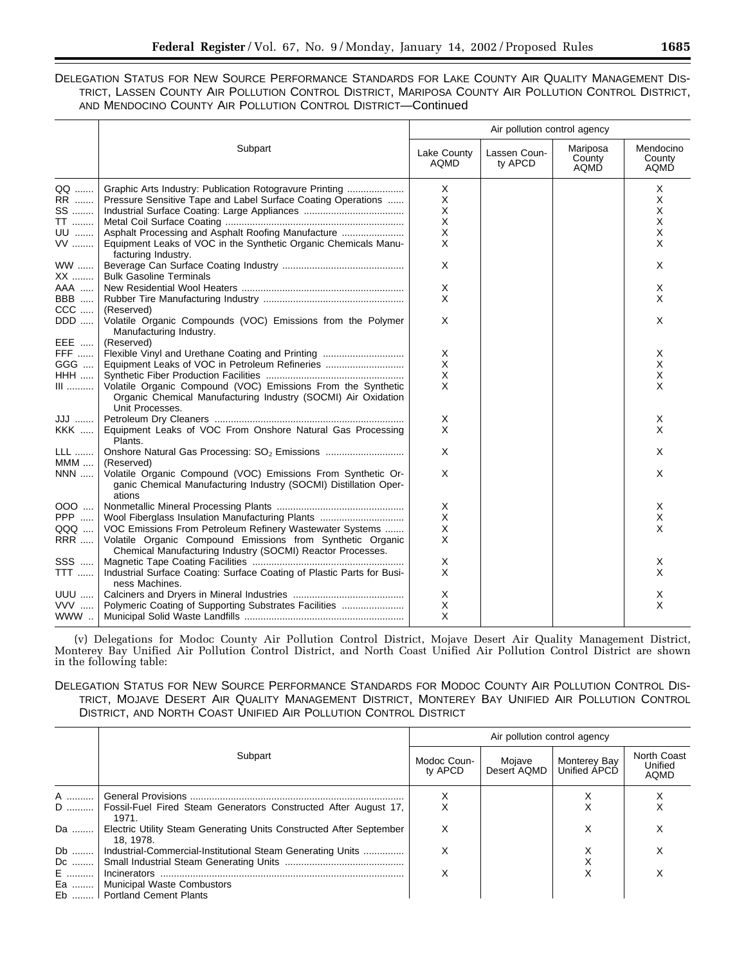|  |  |                                                               |  |  |  |  | DELEGATION STATUS FOR NEW SOURCE PERFORMANCE STANDARDS FOR LAKE COUNTY AIR QUALITY MANAGEMENT DIS-   |  |
|--|--|---------------------------------------------------------------|--|--|--|--|------------------------------------------------------------------------------------------------------|--|
|  |  |                                                               |  |  |  |  | TRICT, LASSEN COUNTY AIR POLLUTION CONTROL DISTRICT, MARIPOSA COUNTY AIR POLLUTION CONTROL DISTRICT, |  |
|  |  | AND MENDOCINO COUNTY AIR POLLUTION CONTROL DISTRICT—Continued |  |  |  |  |                                                                                                      |  |

|                        |                                                                                                                                                  |                     | Air pollution control agency |                            |                             |
|------------------------|--------------------------------------------------------------------------------------------------------------------------------------------------|---------------------|------------------------------|----------------------------|-----------------------------|
|                        | Subpart                                                                                                                                          | Lake County<br>AQMD | Lassen Coun-<br>ty APCD      | Mariposa<br>County<br>AQMĎ | Mendocino<br>County<br>AQMD |
| QQ                     |                                                                                                                                                  | X                   |                              |                            | X                           |
| RR                     | Pressure Sensitive Tape and Label Surface Coating Operations                                                                                     | X                   |                              |                            | X                           |
| SS                     |                                                                                                                                                  | X                   |                              |                            | X                           |
| $\overline{\text{TT}}$ |                                                                                                                                                  | X                   |                              |                            | X                           |
| UU                     |                                                                                                                                                  | X                   |                              |                            | X                           |
| $VV$                   | Equipment Leaks of VOC in the Synthetic Organic Chemicals Manu-<br>facturing Industry.                                                           | X                   |                              |                            | X                           |
| WW                     |                                                                                                                                                  | X                   |                              |                            | X                           |
| XX                     | <b>Bulk Gasoline Terminals</b>                                                                                                                   |                     |                              |                            |                             |
| AAA                    |                                                                                                                                                  | X                   |                              |                            | X                           |
| <b>BBB</b>             |                                                                                                                                                  | X                   |                              |                            | X                           |
| $CCC$                  | (Reserved)                                                                                                                                       |                     |                              |                            |                             |
| DDD                    | Volatile Organic Compounds (VOC) Emissions from the Polymer<br>Manufacturing Industry.                                                           | X                   |                              |                            | Χ                           |
| EEE                    | (Reserved)                                                                                                                                       |                     |                              |                            |                             |
| FFF                    | Flexible Vinyl and Urethane Coating and Printing                                                                                                 | X                   |                              |                            | X                           |
| GGG                    |                                                                                                                                                  | X                   |                              |                            | X                           |
| <b>HHH</b>             |                                                                                                                                                  | X                   |                              |                            | х                           |
| $III$                  | Volatile Organic Compound (VOC) Emissions From the Synthetic<br>Organic Chemical Manufacturing Industry (SOCMI) Air Oxidation<br>Unit Processes. | X                   |                              |                            | X                           |
| JJJ                    |                                                                                                                                                  | X                   |                              |                            | Χ                           |
| <b>KKK</b>             | Equipment Leaks of VOC From Onshore Natural Gas Processing<br>Plants.                                                                            | X                   |                              |                            | X                           |
| <b>LLL</b><br>$MMM$    | Onshore Natural Gas Processing: SO <sub>2</sub> Emissions<br>(Reserved)                                                                          | X                   |                              |                            | Χ                           |
| <b>NNN</b>             | Volatile Organic Compound (VOC) Emissions From Synthetic Or-<br>ganic Chemical Manufacturing Industry (SOCMI) Distillation Oper-<br>ations       | X                   |                              |                            | X                           |
| 000                    |                                                                                                                                                  | Χ                   |                              |                            | X.                          |
| <b>PPP</b>             | Wool Fiberglass Insulation Manufacturing Plants                                                                                                  | X                   |                              |                            | X                           |
| QQQ                    | VOC Emissions From Petroleum Refinery Wastewater Systems                                                                                         | X                   |                              |                            | X                           |
| <b>RRR</b>             | Volatile Organic Compound Emissions from Synthetic Organic                                                                                       | X                   |                              |                            |                             |
|                        | Chemical Manufacturing Industry (SOCMI) Reactor Processes.                                                                                       |                     |                              |                            |                             |
| SSS                    |                                                                                                                                                  | X                   |                              |                            | X                           |
| $TTT$                  | Industrial Surface Coating: Surface Coating of Plastic Parts for Busi-<br>ness Machines.                                                         | X                   |                              |                            | X                           |
| <b>UUU</b>             |                                                                                                                                                  | X                   |                              |                            | X                           |
| VVV                    | Polymeric Coating of Supporting Substrates Facilities                                                                                            | X                   |                              |                            | X                           |
| WWW                    |                                                                                                                                                  | X                   |                              |                            |                             |

(v) Delegations for Modoc County Air Pollution Control District, Mojave Desert Air Quality Management District, Monterey Bay Unified Air Pollution Control District, and North Coast Unified Air Pollution Control District are shown in the following table:

# DELEGATION STATUS FOR NEW SOURCE PERFORMANCE STANDARDS FOR MODOC COUNTY AIR POLLUTION CONTROL DIS-TRICT, MOJAVE DESERT AIR QUALITY MANAGEMENT DISTRICT, MONTEREY BAY UNIFIED AIR POLLUTION CONTROL DISTRICT, AND NORTH COAST UNIFIED AIR POLLUTION CONTROL DISTRICT

|    |                                                                                 | Air pollution control agency |                       |                              |                                       |  |  |
|----|---------------------------------------------------------------------------------|------------------------------|-----------------------|------------------------------|---------------------------------------|--|--|
|    | Subpart                                                                         | Modoc Coun-<br>ty APCD       | Mojave<br>Desert AQMD | Monterey Bay<br>Unified APCD | North Coast<br>Unified<br><b>AQMD</b> |  |  |
| A  |                                                                                 |                              |                       |                              |                                       |  |  |
| D  | Fossil-Fuel Fired Steam Generators Constructed After August 17,<br>1971.        | X                            |                       |                              |                                       |  |  |
| Da | Electric Utility Steam Generating Units Constructed After September<br>18.1978. | х                            |                       | X                            | х                                     |  |  |
|    | Db    Industrial-Commercial-Institutional Steam Generating Units                | X                            |                       |                              |                                       |  |  |
| Dc |                                                                                 |                              |                       |                              |                                       |  |  |
| E  | Incinerators                                                                    | X                            |                       | х                            |                                       |  |  |
|    | Ea    Municipal Waste Combustors                                                |                              |                       |                              |                                       |  |  |
|    | Eb    Portland Cement Plants                                                    |                              |                       |                              |                                       |  |  |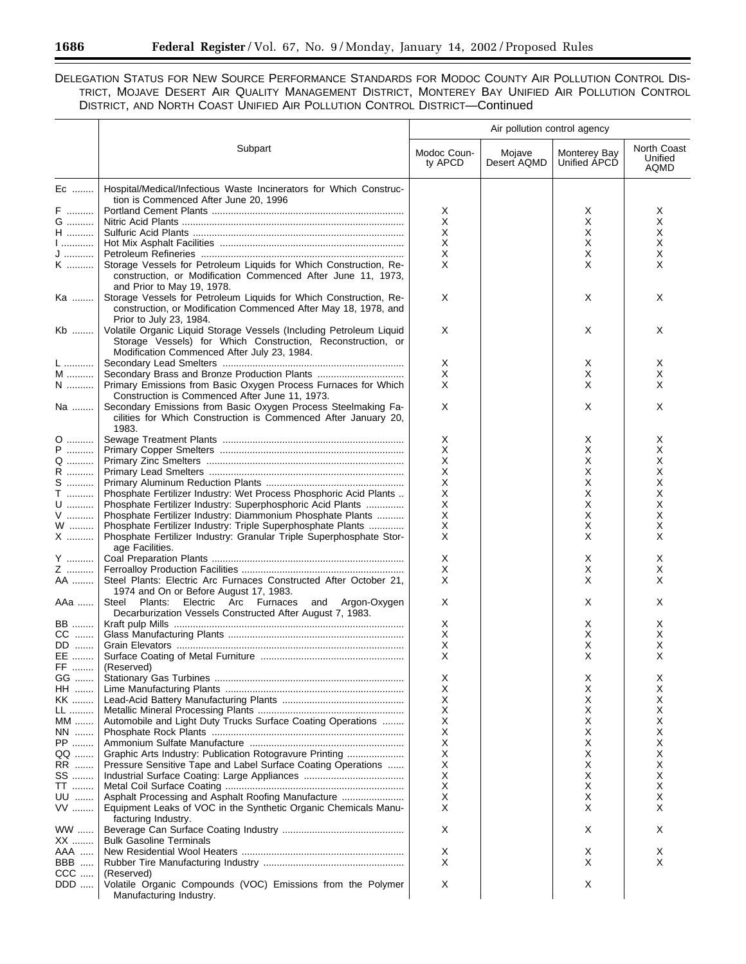÷.

DELEGATION STATUS FOR NEW SOURCE PERFORMANCE STANDARDS FOR MODOC COUNTY AIR POLLUTION CONTROL DIS-TRICT, MOJAVE DESERT AIR QUALITY MANAGEMENT DISTRICT, MONTEREY BAY UNIFIED AIR POLLUTION CONTROL DISTRICT, AND NORTH COAST UNIFIED AIR POLLUTION CONTROL DISTRICT—Continued

|               |                                                                                                                                                                 | Air pollution control agency |                       |                              |                                |
|---------------|-----------------------------------------------------------------------------------------------------------------------------------------------------------------|------------------------------|-----------------------|------------------------------|--------------------------------|
|               | Subpart                                                                                                                                                         | Modoc Coun-<br>ty APCD       | Mojave<br>Desert AQMD | Monterey Bay<br>Unified APCD | North Coast<br>Unified<br>AQMD |
| Ec            | Hospital/Medical/Infectious Waste Incinerators for Which Construc-<br>tion is Commenced After June 20, 1996                                                     |                              |                       |                              |                                |
| F             |                                                                                                                                                                 | Χ                            |                       | Х                            | х                              |
| G             |                                                                                                                                                                 | X                            |                       | Х                            | X                              |
| $H$           |                                                                                                                                                                 | X                            |                       | Х                            | х                              |
| 1             |                                                                                                                                                                 | X                            |                       | Х                            | X                              |
| J             | Storage Vessels for Petroleum Liquids for Which Construction, Re-                                                                                               | X<br>$\times$                |                       | Х                            | X<br>X                         |
| K             | construction, or Modification Commenced After June 11, 1973,<br>and Prior to May 19, 1978.                                                                      |                              |                       | X                            |                                |
| Ka            | Storage Vessels for Petroleum Liquids for Which Construction, Re-<br>construction, or Modification Commenced After May 18, 1978, and<br>Prior to July 23, 1984. | X                            |                       | X                            | X                              |
| Kb            | Volatile Organic Liquid Storage Vessels (Including Petroleum Liquid<br>Storage Vessels) for Which Construction, Reconstruction, or                              | X                            |                       | Х                            | X                              |
|               | Modification Commenced After July 23, 1984.                                                                                                                     |                              |                       |                              |                                |
| L             |                                                                                                                                                                 | Χ                            |                       | Х                            | х                              |
| M             |                                                                                                                                                                 | Х<br>X                       |                       | х                            | X                              |
| $\mathsf{N}$  | Primary Emissions from Basic Oxygen Process Furnaces for Which<br>Construction is Commenced After June 11, 1973.                                                | X                            |                       | X<br>Х                       | X<br>X                         |
| Na            | Secondary Emissions from Basic Oxygen Process Steelmaking Fa-<br>cilities for Which Construction is Commenced After January 20,<br>1983.                        |                              |                       |                              |                                |
| 0             |                                                                                                                                                                 | Χ                            |                       | х                            | X                              |
| ${\sf P}$     |                                                                                                                                                                 | X                            |                       | х                            | х                              |
| Q             |                                                                                                                                                                 | X                            |                       | X                            | Χ                              |
| R             |                                                                                                                                                                 | X                            |                       | х                            | Χ                              |
| $S$           |                                                                                                                                                                 | X                            |                       | х                            | Χ                              |
| T             | Phosphate Fertilizer Industry: Wet Process Phosphoric Acid Plants                                                                                               | X                            |                       | Х                            | Χ                              |
| $\mathsf{U}$  | Phosphate Fertilizer Industry: Superphosphoric Acid Plants                                                                                                      | X                            |                       | х                            | Χ                              |
| ${\sf V}$     | Phosphate Fertilizer Industry: Diammonium Phosphate Plants                                                                                                      | X                            |                       | Х                            | X                              |
| W<br>X        | Phosphate Fertilizer Industry: Triple Superphosphate Plants<br>Phosphate Fertilizer Industry: Granular Triple Superphosphate Stor-<br>age Facilities.           | Χ<br>X                       |                       | х<br>X                       | Χ<br>X                         |
| Y ………         |                                                                                                                                                                 | X                            |                       | Х                            | X                              |
| Z             |                                                                                                                                                                 | Х                            |                       | х                            | х                              |
| AA            | Steel Plants: Electric Arc Furnaces Constructed After October 21,<br>1974 and On or Before August 17, 1983.                                                     | X                            |                       | X                            | X                              |
| AAa           | Steel Plants: Electric Arc Furnaces and Argon-Oxygen<br>Decarburization Vessels Constructed After August 7, 1983.                                               | X                            |                       | X                            | X                              |
| BB            |                                                                                                                                                                 | X                            |                       | х                            | х                              |
| $CC$          |                                                                                                                                                                 | X                            |                       | Х                            | Χ                              |
| DD            |                                                                                                                                                                 | X                            |                       | Χ                            | X                              |
| EE<br>FF      | (Reserved)                                                                                                                                                      | х                            |                       | Χ                            |                                |
| GG<br>HH      |                                                                                                                                                                 | Х<br>X                       |                       | X<br>Х                       | х<br>X                         |
| KK            |                                                                                                                                                                 | X                            |                       | х                            | х                              |
| LL            |                                                                                                                                                                 | X                            |                       | Х                            | X                              |
| $MM$          | Automobile and Light Duty Trucks Surface Coating Operations                                                                                                     | X                            |                       | х                            | х                              |
| NN            |                                                                                                                                                                 | X                            |                       | Х                            | Χ                              |
| PP            |                                                                                                                                                                 | X                            |                       | Х                            | X                              |
| QQ            | Graphic Arts Industry: Publication Rotogravure Printing                                                                                                         | X                            |                       | Х                            | X                              |
| RR            | Pressure Sensitive Tape and Label Surface Coating Operations                                                                                                    | X                            |                       | Х                            | Χ                              |
| SS            |                                                                                                                                                                 | X                            |                       | Х                            | Χ                              |
| TT<br>UU      |                                                                                                                                                                 | X<br>X                       |                       | Χ<br>Χ                       | Χ<br>X                         |
| $\mathsf{VV}$ | Equipment Leaks of VOC in the Synthetic Organic Chemicals Manu-<br>facturing Industry.                                                                          | X                            |                       | X                            | X                              |
| $WW$          |                                                                                                                                                                 | Х                            |                       | Х                            | X                              |
| XX            | <b>Bulk Gasoline Terminals</b>                                                                                                                                  |                              |                       |                              |                                |
| AAA           |                                                                                                                                                                 | Х                            |                       | Х                            | X                              |
| BBB           |                                                                                                                                                                 | Х                            |                       | X                            | X                              |
| CCC           | (Reserved)                                                                                                                                                      |                              |                       |                              |                                |
| DDD           | Volatile Organic Compounds (VOC) Emissions from the Polymer<br>Manufacturing Industry.                                                                          | X                            |                       | X                            |                                |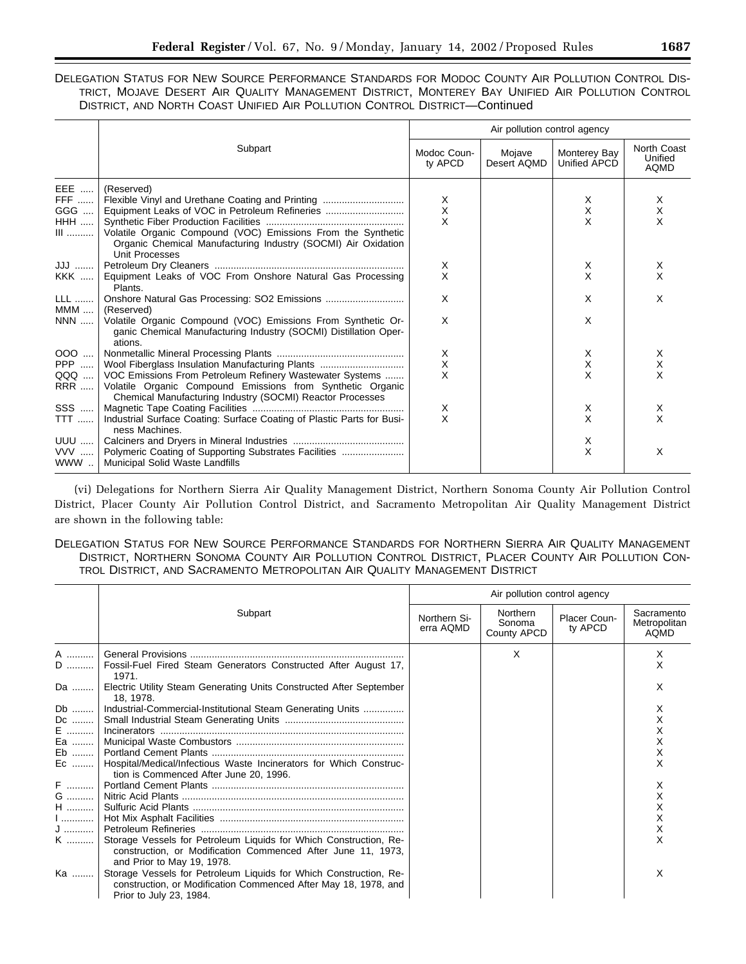|  | DELEGATION STATUS FOR NEW SOURCE PERFORMANCE STANDARDS FOR MODOC COUNTY AIR POLLUTION CONTROL DIS- |  |  |  |  |
|--|----------------------------------------------------------------------------------------------------|--|--|--|--|
|  | TRICT, MOJAVE DESERT AIR QUALITY MANAGEMENT DISTRICT, MONTEREY BAY UNIFIED AIR POLLUTION CONTROL   |  |  |  |  |
|  | DISTRICT, AND NORTH COAST UNIFIED AIR POLLUTION CONTROL DISTRICT—Continued                         |  |  |  |  |

|                                          |                                                                                                                                                                                                                                                                            | Air pollution control agency |                       |                              |                                |
|------------------------------------------|----------------------------------------------------------------------------------------------------------------------------------------------------------------------------------------------------------------------------------------------------------------------------|------------------------------|-----------------------|------------------------------|--------------------------------|
|                                          | Subpart                                                                                                                                                                                                                                                                    | Modoc Coun-<br>ty APCD       | Mojave<br>Desert AQMD | Monterey Bay<br>Unified APCD | North Coast<br>Unified<br>AQMD |
| EEE<br>FFF<br>GGG<br><b>HHH</b><br>$III$ | (Reserved)<br>Flexible Vinyl and Urethane Coating and Printing<br>Equipment Leaks of VOC in Petroleum Refineries<br>Volatile Organic Compound (VOC) Emissions From the Synthetic<br>Organic Chemical Manufacturing Industry (SOCMI) Air Oxidation<br><b>Unit Processes</b> | X<br>X<br>X                  |                       | Х<br>X<br>X                  | Χ<br>X<br>X                    |
| JJJ                                      |                                                                                                                                                                                                                                                                            | X                            |                       | Х                            | х                              |
| <b>KKK</b>                               | Equipment Leaks of VOC From Onshore Natural Gas Processing<br>Plants.                                                                                                                                                                                                      | X                            |                       | X                            | X                              |
| <b>LLL</b>  <br>$MMM$                    | (Reserved)                                                                                                                                                                                                                                                                 | X                            |                       | X                            | X                              |
| NNN                                      | Volatile Organic Compound (VOC) Emissions From Synthetic Or-<br>ganic Chemical Manufacturing Industry (SOCMI) Distillation Oper-<br>ations.                                                                                                                                | X                            |                       | X                            |                                |
|                                          |                                                                                                                                                                                                                                                                            | X                            |                       | Х                            | Χ                              |
| <b>PPP</b>                               | Wool Fiberglass Insulation Manufacturing Plants                                                                                                                                                                                                                            | $\times$                     |                       | X                            | X                              |
| QQQ<br>RRR                               | VOC Emissions From Petroleum Refinery Wastewater Systems<br>Volatile Organic Compound Emissions from Synthetic Organic<br>Chemical Manufacturing Industry (SOCMI) Reactor Processes                                                                                        | X                            |                       | X                            | X                              |
| SSS                                      |                                                                                                                                                                                                                                                                            | X                            |                       | Х                            | х                              |
| TTT                                      | Industrial Surface Coating: Surface Coating of Plastic Parts for Busi-<br>ness Machines.                                                                                                                                                                                   | $\times$                     |                       | X                            | X                              |
|                                          |                                                                                                                                                                                                                                                                            |                              |                       | Х                            |                                |
|                                          | VVV    Polymeric Coating of Supporting Substrates Facilities<br>WWW    Municipal Solid Waste Landfills                                                                                                                                                                     |                              |                       | X                            | X                              |

(vi) Delegations for Northern Sierra Air Quality Management District, Northern Sonoma County Air Pollution Control District, Placer County Air Pollution Control District, and Sacramento Metropolitan Air Quality Management District are shown in the following table:

# DELEGATION STATUS FOR NEW SOURCE PERFORMANCE STANDARDS FOR NORTHERN SIERRA AIR QUALITY MANAGEMENT DISTRICT, NORTHERN SONOMA COUNTY AIR POLLUTION CONTROL DISTRICT, PLACER COUNTY AIR POLLUTION CON-TROL DISTRICT, AND SACRAMENTO METROPOLITAN AIR QUALITY MANAGEMENT DISTRICT

|    |                                                                                                                                                                 | Air pollution control agency |                                   |                         |                                           |
|----|-----------------------------------------------------------------------------------------------------------------------------------------------------------------|------------------------------|-----------------------------------|-------------------------|-------------------------------------------|
|    | Subpart                                                                                                                                                         | Northern Si-<br>erra AQMD    | Northern<br>Sonoma<br>County APCD | Placer Coun-<br>ty APCD | Sacramento<br>Metropolitan<br><b>AQMD</b> |
| A  |                                                                                                                                                                 |                              | X                                 |                         | X                                         |
| D  | Fossil-Fuel Fired Steam Generators Constructed After August 17,<br>1971.                                                                                        |                              |                                   |                         | x                                         |
| Da | Electric Utility Steam Generating Units Constructed After September<br>18. 1978.                                                                                |                              |                                   |                         | х                                         |
| Db | Industrial-Commercial-Institutional Steam Generating Units                                                                                                      |                              |                                   |                         | х                                         |
| Dc |                                                                                                                                                                 |                              |                                   |                         |                                           |
| E  |                                                                                                                                                                 |                              |                                   |                         |                                           |
| Ea |                                                                                                                                                                 |                              |                                   |                         |                                           |
| Eb |                                                                                                                                                                 |                              |                                   |                         |                                           |
| Ec | Hospital/Medical/Infectious Waste Incinerators for Which Construc-<br>tion is Commenced After June 20, 1996.                                                    |                              |                                   |                         |                                           |
| F  |                                                                                                                                                                 |                              |                                   |                         |                                           |
| G  |                                                                                                                                                                 |                              |                                   |                         |                                           |
| H  |                                                                                                                                                                 |                              |                                   |                         |                                           |
| 1  |                                                                                                                                                                 |                              |                                   |                         |                                           |
| J  |                                                                                                                                                                 |                              |                                   |                         | х                                         |
| K  | Storage Vessels for Petroleum Liquids for Which Construction, Re-<br>construction, or Modification Commenced After June 11, 1973,<br>and Prior to May 19, 1978. |                              |                                   |                         | X                                         |
| Ka | Storage Vessels for Petroleum Liquids for Which Construction, Re-<br>construction, or Modification Commenced After May 18, 1978, and<br>Prior to July 23, 1984. |                              |                                   |                         | X                                         |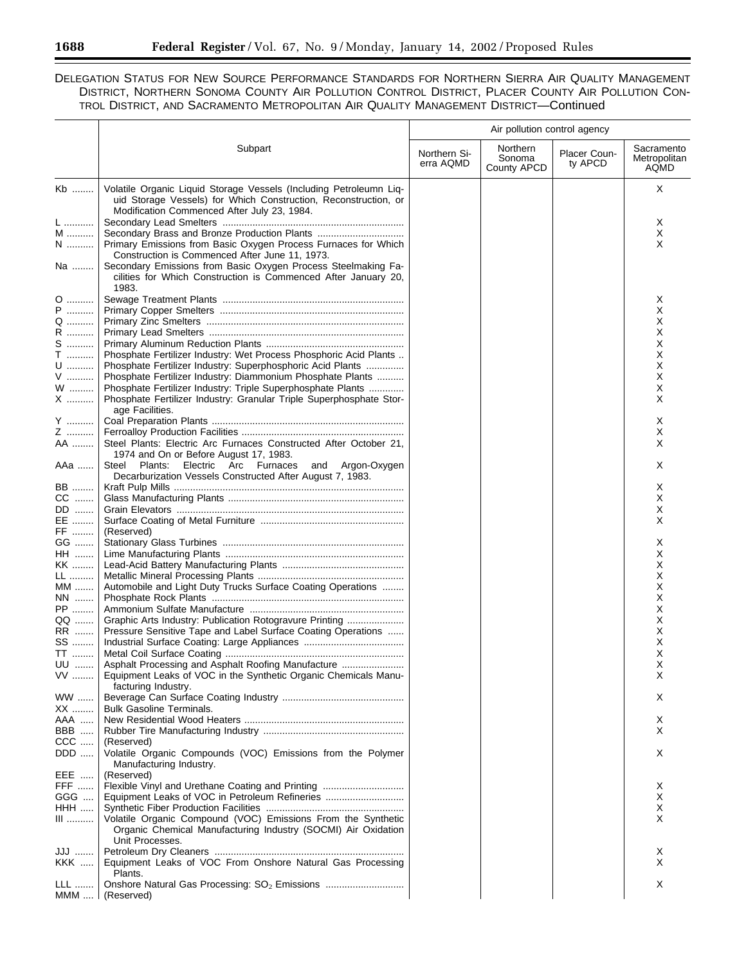# DELEGATION STATUS FOR NEW SOURCE PERFORMANCE STANDARDS FOR NORTHERN SIERRA AIR QUALITY MANAGEMENT DISTRICT, NORTHERN SONOMA COUNTY AIR POLLUTION CONTROL DISTRICT, PLACER COUNTY AIR POLLUTION CON-TROL DISTRICT, AND SACRAMENTO METROPOLITAN AIR QUALITY MANAGEMENT DISTRICT—Continued

|             |                                                                                                                                                                                      | Air pollution control agency |                                   |                         |                                    |
|-------------|--------------------------------------------------------------------------------------------------------------------------------------------------------------------------------------|------------------------------|-----------------------------------|-------------------------|------------------------------------|
|             | Subpart                                                                                                                                                                              | Northern Si-<br>erra AQMD    | Northern<br>Sonoma<br>County APCD | Placer Coun-<br>ty APCD | Sacramento<br>Metropolitan<br>AQMD |
| Kb          | Volatile Organic Liquid Storage Vessels (Including Petroleumn Liq-<br>uid Storage Vessels) for Which Construction, Reconstruction, or<br>Modification Commenced After July 23, 1984. |                              |                                   |                         | Χ                                  |
| L<br>M<br>N | Secondary Brass and Bronze Production Plants<br>Primary Emissions from Basic Oxygen Process Furnaces for Which<br>Construction is Commenced After June 11, 1973.                     |                              |                                   |                         | X<br>X<br>X                        |
| Na          | Secondary Emissions from Basic Oxygen Process Steelmaking Fa-<br>cilities for Which Construction is Commenced After January 20,<br>1983.                                             |                              |                                   |                         |                                    |
| 0<br>P<br>. |                                                                                                                                                                                      |                              |                                   |                         | X<br>X                             |
| Q<br>R      |                                                                                                                                                                                      |                              |                                   |                         | х<br>х                             |
| S           |                                                                                                                                                                                      |                              |                                   |                         | х                                  |
| $\mathsf T$ | Phosphate Fertilizer Industry: Wet Process Phosphoric Acid Plants                                                                                                                    |                              |                                   |                         | х                                  |
| U           | Phosphate Fertilizer Industry: Superphosphoric Acid Plants                                                                                                                           |                              |                                   |                         | х                                  |
| V<br>W      | Phosphate Fertilizer Industry: Diammonium Phosphate Plants<br>Phosphate Fertilizer Industry: Triple Superphosphate Plants                                                            |                              |                                   |                         | х<br>х                             |
| X           | Phosphate Fertilizer Industry: Granular Triple Superphosphate Stor-                                                                                                                  |                              |                                   |                         | х                                  |
|             | age Facilities.                                                                                                                                                                      |                              |                                   |                         |                                    |
| Y           |                                                                                                                                                                                      |                              |                                   |                         | X                                  |
| Z<br>AA     | Steel Plants: Electric Arc Furnaces Constructed After October 21,                                                                                                                    |                              |                                   |                         | X<br>X.                            |
|             | 1974 and On or Before August 17, 1983.                                                                                                                                               |                              |                                   |                         |                                    |
| AAa         | Steel<br>Electric Arc Furnaces<br>Plants:<br>and Argon-Oxygen<br>Decarburization Vessels Constructed After August 7, 1983.                                                           |                              |                                   |                         | X                                  |
| BB          |                                                                                                                                                                                      |                              |                                   |                         | X                                  |
| $CC$<br>DD  |                                                                                                                                                                                      |                              |                                   |                         | X<br>х                             |
| EE          |                                                                                                                                                                                      |                              |                                   |                         | х                                  |
| FF          | (Reserved)                                                                                                                                                                           |                              |                                   |                         |                                    |
| GG          |                                                                                                                                                                                      |                              |                                   |                         | х                                  |
| HH …….      |                                                                                                                                                                                      |                              |                                   |                         | х                                  |
| KK<br>LL    |                                                                                                                                                                                      |                              |                                   |                         | х<br>Х                             |
| MM          | Automobile and Light Duty Trucks Surface Coating Operations                                                                                                                          |                              |                                   |                         | Χ                                  |
| NN          |                                                                                                                                                                                      |                              |                                   |                         | Χ                                  |
| PP          |                                                                                                                                                                                      |                              |                                   |                         | X                                  |
| QQ<br>RR    | Graphic Arts Industry: Publication Rotogravure Printing                                                                                                                              |                              |                                   |                         | Х<br>X                             |
| SS          | Pressure Sensitive Tape and Label Surface Coating Operations                                                                                                                         |                              |                                   |                         | Х                                  |
| TT          |                                                                                                                                                                                      |                              |                                   |                         | X                                  |
| UU          | Asphalt Processing and Asphalt Roofing Manufacture                                                                                                                                   |                              |                                   |                         | х                                  |
| VV          | Equipment Leaks of VOC in the Synthetic Organic Chemicals Manu-                                                                                                                      |                              |                                   |                         | X                                  |
| WW          | facturing Industry.                                                                                                                                                                  |                              |                                   |                         | X.                                 |
| XX          | <b>Bulk Gasoline Terminals.</b>                                                                                                                                                      |                              |                                   |                         |                                    |
| AAA         |                                                                                                                                                                                      |                              |                                   |                         | X.                                 |
| BBB         |                                                                                                                                                                                      |                              |                                   |                         | X.                                 |
| CCC<br>DDD  | (Reserved)<br>Volatile Organic Compounds (VOC) Emissions from the Polymer                                                                                                            |                              |                                   |                         | X                                  |
| EEE         | Manufacturing Industry.<br>(Reserved)                                                                                                                                                |                              |                                   |                         |                                    |
| FFF         |                                                                                                                                                                                      |                              |                                   |                         | X                                  |
| GGG         | Equipment Leaks of VOC in Petroleum Refineries                                                                                                                                       |                              |                                   |                         | X                                  |
| <b>HHH</b>  |                                                                                                                                                                                      |                              |                                   |                         | X                                  |
| III         | Volatile Organic Compound (VOC) Emissions From the Synthetic<br>Organic Chemical Manufacturing Industry (SOCMI) Air Oxidation<br>Unit Processes.                                     |                              |                                   |                         | X                                  |
| JJJ         |                                                                                                                                                                                      |                              |                                   |                         | X                                  |
| KKK         | Equipment Leaks of VOC From Onshore Natural Gas Processing                                                                                                                           |                              |                                   |                         | X                                  |
| LLL         | Plants.<br>Onshore Natural Gas Processing: SO <sub>2</sub> Emissions                                                                                                                 |                              |                                   |                         | X                                  |
| $MMM$       | (Reserved)                                                                                                                                                                           |                              |                                   |                         |                                    |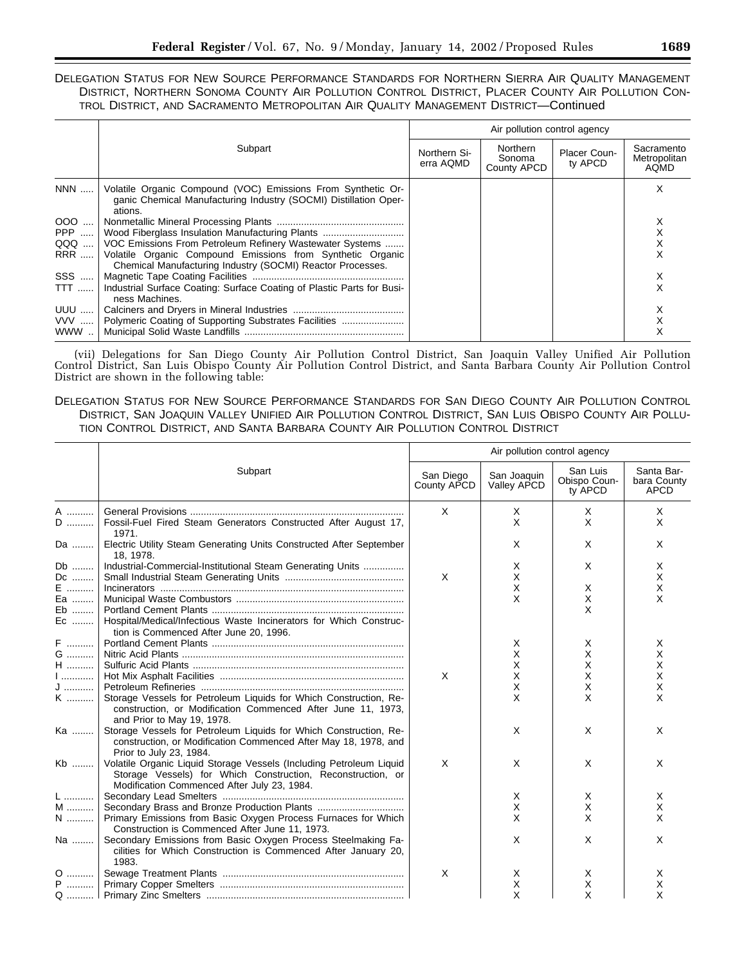# DELEGATION STATUS FOR NEW SOURCE PERFORMANCE STANDARDS FOR NORTHERN SIERRA AIR QUALITY MANAGEMENT DISTRICT, NORTHERN SONOMA COUNTY AIR POLLUTION CONTROL DISTRICT, PLACER COUNTY AIR POLLUTION CON-TROL DISTRICT, AND SACRAMENTO METROPOLITAN AIR QUALITY MANAGEMENT DISTRICT—Continued

|             |                                                                                                                                             | Air pollution control agency |                                   |                         |                                           |  |
|-------------|---------------------------------------------------------------------------------------------------------------------------------------------|------------------------------|-----------------------------------|-------------------------|-------------------------------------------|--|
|             | Subpart                                                                                                                                     | Northern Si-<br>erra AQMD    | Northern<br>Sonoma<br>County APCD | Placer Coun-<br>ty APCD | Sacramento<br>Metropolitan<br><b>AQMD</b> |  |
| NNN         | Volatile Organic Compound (VOC) Emissions From Synthetic Or-<br>ganic Chemical Manufacturing Industry (SOCMI) Distillation Oper-<br>ations. |                              |                                   |                         | x                                         |  |
| $000$       |                                                                                                                                             |                              |                                   |                         |                                           |  |
| PPP $\dots$ | Wood Fiberglass Insulation Manufacturing Plants                                                                                             |                              |                                   |                         |                                           |  |
| QQQ         | VOC Emissions From Petroleum Refinery Wastewater Systems                                                                                    |                              |                                   |                         |                                           |  |
| <b>RRR</b>  | Volatile Organic Compound Emissions from Synthetic Organic<br>Chemical Manufacturing Industry (SOCMI) Reactor Processes.                    |                              |                                   |                         |                                           |  |
| SSS         |                                                                                                                                             |                              |                                   |                         | х                                         |  |
| <b>TTT</b>  | Industrial Surface Coating: Surface Coating of Plastic Parts for Busi-<br>ness Machines.                                                    |                              |                                   |                         |                                           |  |
| UUU         |                                                                                                                                             |                              |                                   |                         | х                                         |  |
|             | VVV    Polymeric Coating of Supporting Substrates Facilities                                                                                |                              |                                   |                         |                                           |  |
| WWW         |                                                                                                                                             |                              |                                   |                         |                                           |  |

(vii) Delegations for San Diego County Air Pollution Control District, San Joaquin Valley Unified Air Pollution Control District, San Luis Obispo County Air Pollution Control District, and Santa Barbara County Air Pollution Control District are shown in the following table:

# DELEGATION STATUS FOR NEW SOURCE PERFORMANCE STANDARDS FOR SAN DIEGO COUNTY AIR POLLUTION CONTROL DISTRICT, SAN JOAQUIN VALLEY UNIFIED AIR POLLUTION CONTROL DISTRICT, SAN LUIS OBISPO COUNTY AIR POLLU-TION CONTROL DISTRICT, AND SANTA BARBARA COUNTY AIR POLLUTION CONTROL DISTRICT

|              |                                                                                                                                                                                   | Air pollution control agency |                            |                                     |                                          |  |
|--------------|-----------------------------------------------------------------------------------------------------------------------------------------------------------------------------------|------------------------------|----------------------------|-------------------------------------|------------------------------------------|--|
|              | Subpart                                                                                                                                                                           | San Diego<br>County APCD     | San Joaquin<br>Valley APCD | San Luis<br>Obispo Coun-<br>ty APCD | Santa Bar-<br>bara County<br><b>APCD</b> |  |
| A            |                                                                                                                                                                                   | $\times$                     | X                          | X                                   | X                                        |  |
| $\mathsf D$  | Fossil-Fuel Fired Steam Generators Constructed After August 17,<br>1971.                                                                                                          |                              | X                          | X                                   | X                                        |  |
| Da           | Electric Utility Steam Generating Units Constructed After September<br>18, 1978.                                                                                                  |                              | X                          | X                                   | X                                        |  |
| Db           | Industrial-Commercial-Institutional Steam Generating Units                                                                                                                        |                              | X                          | X                                   | X                                        |  |
| Dc           |                                                                                                                                                                                   | X                            | X                          |                                     | X                                        |  |
| E            |                                                                                                                                                                                   |                              | X                          | X                                   | X                                        |  |
| Ea           |                                                                                                                                                                                   |                              | X                          | X                                   | $\times$                                 |  |
| Eb           |                                                                                                                                                                                   |                              |                            | X                                   |                                          |  |
| Ec           | Hospital/Medical/Infectious Waste Incinerators for Which Construc-<br>tion is Commenced After June 20, 1996.                                                                      |                              |                            |                                     |                                          |  |
| F            |                                                                                                                                                                                   |                              | X                          | X                                   | X                                        |  |
| G            |                                                                                                                                                                                   |                              | X                          | X                                   | X                                        |  |
| $\sf H$      |                                                                                                                                                                                   |                              | X.                         | X                                   | X                                        |  |
| 1            |                                                                                                                                                                                   | X                            | X                          | X                                   | X                                        |  |
| J            |                                                                                                                                                                                   |                              | X                          | X                                   | X                                        |  |
| K            | Storage Vessels for Petroleum Liquids for Which Construction, Re-<br>construction, or Modification Commenced After June 11, 1973,<br>and Prior to May 19, 1978.                   |                              | X                          | X                                   | X                                        |  |
| Ka           | Storage Vessels for Petroleum Liquids for Which Construction, Re-<br>construction, or Modification Commenced After May 18, 1978, and<br>Prior to July 23, 1984.                   |                              | X                          | X                                   | X                                        |  |
| Kb           | Volatile Organic Liquid Storage Vessels (Including Petroleum Liquid<br>Storage Vessels) for Which Construction, Reconstruction, or<br>Modification Commenced After July 23, 1984. | X                            | X                          | X                                   | X                                        |  |
| L            |                                                                                                                                                                                   |                              | X                          | X                                   | X                                        |  |
| M            | Secondary Brass and Bronze Production Plants                                                                                                                                      |                              | х                          | X                                   | х                                        |  |
| $\mathsf{N}$ | Primary Emissions from Basic Oxygen Process Furnaces for Which<br>Construction is Commenced After June 11, 1973.                                                                  |                              | X                          | X                                   | X                                        |  |
| Na           | Secondary Emissions from Basic Oxygen Process Steelmaking Fa-<br>cilities for Which Construction is Commenced After January 20,<br>1983.                                          |                              | X                          | X                                   | X                                        |  |
| 0            |                                                                                                                                                                                   | X                            | X                          | Χ                                   | X                                        |  |
| P            |                                                                                                                                                                                   |                              | X                          | Χ                                   | X                                        |  |
|              |                                                                                                                                                                                   |                              | X                          | X                                   | X                                        |  |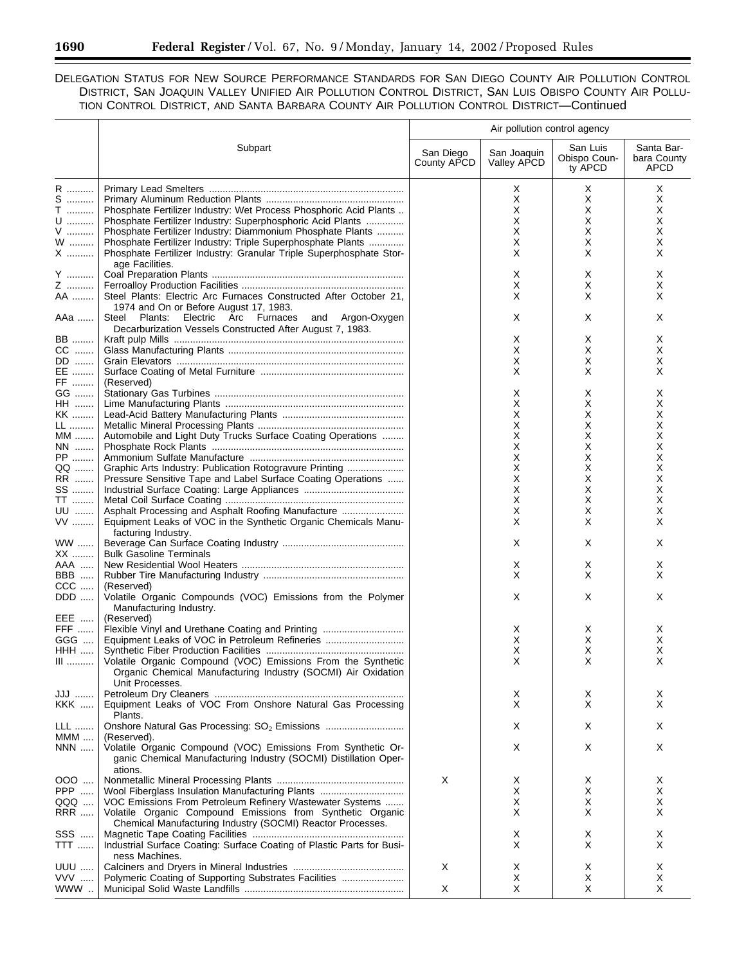# DELEGATION STATUS FOR NEW SOURCE PERFORMANCE STANDARDS FOR SAN DIEGO COUNTY AIR POLLUTION CONTROL DISTRICT, SAN JOAQUIN VALLEY UNIFIED AIR POLLUTION CONTROL DISTRICT, SAN LUIS OBISPO COUNTY AIR POLLU-TION CONTROL DISTRICT, AND SANTA BARBARA COUNTY AIR POLLUTION CONTROL DISTRICT—Continued

|                                                         |                                                                                                                                                                                                                                                                                                                                     | Air pollution control agency |                                 |                                     |                                          |
|---------------------------------------------------------|-------------------------------------------------------------------------------------------------------------------------------------------------------------------------------------------------------------------------------------------------------------------------------------------------------------------------------------|------------------------------|---------------------------------|-------------------------------------|------------------------------------------|
|                                                         | Subpart                                                                                                                                                                                                                                                                                                                             | San Diego<br>County APCD     | San Joaquin<br>Valley APCD      | San Luis<br>Obispo Coun-<br>ty APCD | Santa Bar-<br>bara County<br><b>APCD</b> |
| R<br>S<br>$\mathsf T$<br>$\mathsf{U}$<br>${\sf V}$<br>W | Phosphate Fertilizer Industry: Wet Process Phosphoric Acid Plants<br>Phosphate Fertilizer Industry: Superphosphoric Acid Plants<br>Phosphate Fertilizer Industry: Diammonium Phosphate Plants<br>Phosphate Fertilizer Industry: Triple Superphosphate Plants<br>Phosphate Fertilizer Industry: Granular Triple Superphosphate Stor- |                              | X<br>X<br>Х<br>X<br>X<br>Х<br>X | Χ<br>X<br>Χ<br>х<br>X<br>х<br>X     | X<br>X<br>X<br>X<br>X<br>X<br>X          |
| X<br>Y<br>Z                                             | age Facilities.                                                                                                                                                                                                                                                                                                                     |                              | х<br>Х                          | Χ<br>Χ                              | X<br>X                                   |
| AA<br>AAa                                               | Steel Plants: Electric Arc Furnaces Constructed After October 21,<br>1974 and On or Before August 17, 1983.<br>Steel Plants: Electric Arc Furnaces<br>and Argon-Oxygen<br>Decarburization Vessels Constructed After August 7, 1983.                                                                                                 |                              | X<br>х                          | X<br>Χ                              | X<br>X                                   |
| <b>BB</b><br>CC<br>DD<br>EE                             |                                                                                                                                                                                                                                                                                                                                     |                              | Х<br>Х<br>х<br>Х                | X<br>X<br>х<br>Х                    | X<br>X<br>X<br>X                         |
| FF<br>GG<br><b>HH</b><br>KK                             | (Reserved)                                                                                                                                                                                                                                                                                                                          |                              | х<br>X<br>X                     | X<br>X<br>X                         | X<br>X<br>X                              |
| LL<br>MM<br>$NN$<br>${\sf PP}$                          | Automobile and Light Duty Trucks Surface Coating Operations                                                                                                                                                                                                                                                                         |                              | X<br>Х<br>х<br>X                | X<br>X<br>х<br>х                    | х<br>х<br>х<br>х                         |
| $\sf QQ$<br>RR<br>SS                                    | Graphic Arts Industry: Publication Rotogravure Printing<br>Pressure Sensitive Tape and Label Surface Coating Operations                                                                                                                                                                                                             |                              | Χ<br>х<br>х                     | х<br>х<br>х                         | X<br>х<br>х                              |
| TT<br>UU<br>$\mathsf{VV}$                               | Asphalt Processing and Asphalt Roofing Manufacture<br>Equipment Leaks of VOC in the Synthetic Organic Chemicals Manu-<br>facturing Industry.                                                                                                                                                                                        |                              | X<br>X<br>Х                     | X<br>X<br>Х                         | X<br>X<br>X                              |
| <b>WW</b><br>XX<br>AAA                                  | <b>Bulk Gasoline Terminals</b>                                                                                                                                                                                                                                                                                                      |                              | X<br>х                          | X<br>X                              | X<br>X                                   |
| BBB<br>$CCC$<br>DDD                                     | (Reserved)<br>Volatile Organic Compounds (VOC) Emissions from the Polymer<br>Manufacturing Industry.                                                                                                                                                                                                                                |                              | X<br>X                          | X<br>X                              | X<br>X                                   |
| EEE<br>FFF<br>GGG<br><b>HHH</b>                         | (Reserved)<br>Flexible Vinyl and Urethane Coating and Printing                                                                                                                                                                                                                                                                      |                              | х<br>х<br>X                     | х<br>х<br>Х                         | X<br>Х<br>х                              |
| $\hfill\blacksquare$                                    | Volatile Organic Compound (VOC) Emissions From the Synthetic<br>Organic Chemical Manufacturing Industry (SOCMI) Air Oxidation<br>Unit Processes.                                                                                                                                                                                    |                              | Χ                               | x                                   |                                          |
| JJJ<br><b>KKK</b><br><b>LLL</b>                         | Equipment Leaks of VOC From Onshore Natural Gas Processing<br>Plants.                                                                                                                                                                                                                                                               |                              | Х<br>X<br>X                     | X<br>X<br>Χ                         | X<br>X<br>X                              |
| $MMM$<br>NNN                                            | (Reserved).<br>Volatile Organic Compound (VOC) Emissions From Synthetic Or-<br>ganic Chemical Manufacturing Industry (SOCMI) Distillation Oper-                                                                                                                                                                                     |                              | X                               | Χ                                   | X                                        |
| $000$<br>PPP<br>QQQ<br><b>RRR</b>                       | ations.<br>Wool Fiberglass Insulation Manufacturing Plants<br>VOC Emissions From Petroleum Refinery Wastewater Systems<br>Volatile Organic Compound Emissions from Synthetic Organic<br>Chemical Manufacturing Industry (SOCMI) Reactor Processes.                                                                                  | X                            | Х<br>Х<br>X<br>Х                | Х<br>х<br>X<br>X                    | X<br>X<br>X<br>X                         |
| SSS<br><b>TTT</b>                                       | Industrial Surface Coating: Surface Coating of Plastic Parts for Busi-<br>ness Machines.                                                                                                                                                                                                                                            |                              | Х<br>X                          | Х<br>X                              | X<br>X                                   |
| <b>UUU</b><br><b>VVV</b><br>www                         | Polymeric Coating of Supporting Substrates Facilities                                                                                                                                                                                                                                                                               | Χ<br>X                       | X<br>X<br>Χ                     | Χ<br>Х<br>X                         | X<br>X<br>X                              |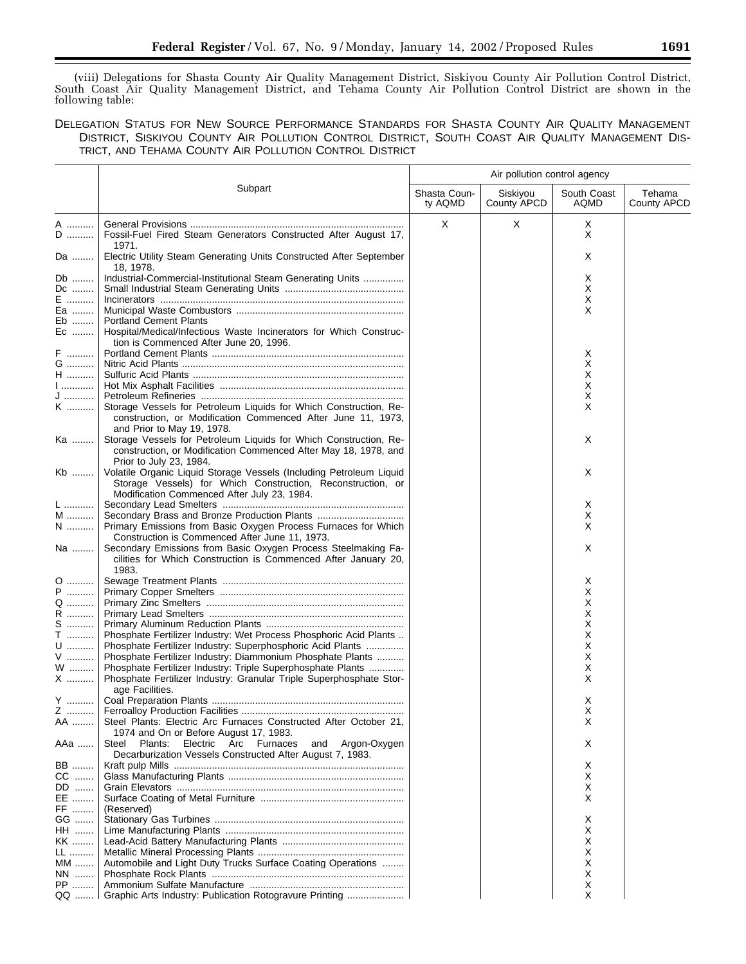(viii) Delegations for Shasta County Air Quality Management District, Siskiyou County Air Pollution Control District, South Coast Air Quality Management District, and Tehama County Air Pollution Control District are shown in the following table:

DELEGATION STATUS FOR NEW SOURCE PERFORMANCE STANDARDS FOR SHASTA COUNTY AIR QUALITY MANAGEMENT DISTRICT, SISKIYOU COUNTY AIR POLLUTION CONTROL DISTRICT, SOUTH COAST AIR QUALITY MANAGEMENT DIS-TRICT, AND TEHAMA COUNTY AIR POLLUTION CONTROL DISTRICT

|              |                                                                                                                                          |                         | Air pollution control agency |                     |                       |
|--------------|------------------------------------------------------------------------------------------------------------------------------------------|-------------------------|------------------------------|---------------------|-----------------------|
|              | Subpart                                                                                                                                  | Shasta Coun-<br>ty AQMD | Siskiyou<br>County APCD      | South Coast<br>AQMD | Tehama<br>County APCD |
| A            |                                                                                                                                          | X                       | X                            | Х                   |                       |
| D            | Fossil-Fuel Fired Steam Generators Constructed After August 17,                                                                          |                         |                              | Χ                   |                       |
| Da           | 1971.<br>Electric Utility Steam Generating Units Constructed After September<br>18, 1978.                                                |                         |                              | Х                   |                       |
| Db           | Industrial-Commercial-Institutional Steam Generating Units                                                                               |                         |                              | Х                   |                       |
| Dc           |                                                                                                                                          |                         |                              | Х                   |                       |
| E ………        |                                                                                                                                          |                         |                              | Х                   |                       |
| Ea<br>Eb     | <b>Portland Cement Plants</b>                                                                                                            |                         |                              | X                   |                       |
| Ec           | Hospital/Medical/Infectious Waste Incinerators for Which Construc-<br>tion is Commenced After June 20, 1996.                             |                         |                              |                     |                       |
| F            |                                                                                                                                          |                         |                              | х                   |                       |
| G            |                                                                                                                                          |                         |                              | X                   |                       |
| $\sf H$      |                                                                                                                                          |                         |                              | Х                   |                       |
| $1$          |                                                                                                                                          |                         |                              | Х                   |                       |
| J<br>K       | Storage Vessels for Petroleum Liquids for Which Construction, Re-                                                                        |                         |                              | Х<br>X              |                       |
|              | construction, or Modification Commenced After June 11, 1973,<br>and Prior to May 19, 1978.                                               |                         |                              |                     |                       |
| Ka           | Storage Vessels for Petroleum Liquids for Which Construction, Re-                                                                        |                         |                              | Χ                   |                       |
|              | construction, or Modification Commenced After May 18, 1978, and                                                                          |                         |                              |                     |                       |
|              | Prior to July 23, 1984.                                                                                                                  |                         |                              |                     |                       |
| Kb           | Volatile Organic Liquid Storage Vessels (Including Petroleum Liquid                                                                      |                         |                              | Χ                   |                       |
|              | Storage Vessels) for Which Construction, Reconstruction, or<br>Modification Commenced After July 23, 1984.                               |                         |                              |                     |                       |
| L            |                                                                                                                                          |                         |                              | х                   |                       |
| M            |                                                                                                                                          |                         |                              | Х                   |                       |
| $N$          | Primary Emissions from Basic Oxygen Process Furnaces for Which                                                                           |                         |                              | X                   |                       |
|              | Construction is Commenced After June 11, 1973.                                                                                           |                         |                              |                     |                       |
| Na           | Secondary Emissions from Basic Oxygen Process Steelmaking Fa-<br>cilities for Which Construction is Commenced After January 20,<br>1983. |                         |                              | X                   |                       |
| 0            |                                                                                                                                          |                         |                              | х                   |                       |
| P            |                                                                                                                                          |                         |                              | Х                   |                       |
| Q            |                                                                                                                                          |                         |                              | х                   |                       |
| R<br>$S$     |                                                                                                                                          |                         |                              | х                   |                       |
| $\mathsf T$  | Phosphate Fertilizer Industry: Wet Process Phosphoric Acid Plants                                                                        |                         |                              | х<br>х              |                       |
| U            | Phosphate Fertilizer Industry: Superphosphoric Acid Plants                                                                               |                         |                              | х                   |                       |
| ${\sf V}$    | Phosphate Fertilizer Industry: Diammonium Phosphate Plants                                                                               |                         |                              | х                   |                       |
| W            | Phosphate Fertilizer Industry: Triple Superphosphate Plants                                                                              |                         |                              | х                   |                       |
| ${\sf X}$    | Phosphate Fertilizer Industry: Granular Triple Superphosphate Stor-<br>age Facilities.                                                   |                         |                              | X                   |                       |
| Y            |                                                                                                                                          |                         |                              | Х                   |                       |
| AA …….       | Steel Plants: Electric Arc Furnaces Constructed After October 21,                                                                        |                         |                              | х<br>Х              |                       |
|              | 1974 and On or Before August 17, 1983.                                                                                                   |                         |                              |                     |                       |
| AAa          | Electric Arc Furnaces<br>and Argon-Oxygen<br>Steel<br>Plants:<br>Decarburization Vessels Constructed After August 7, 1983.               |                         |                              | X                   |                       |
| BB           |                                                                                                                                          |                         |                              | Х                   |                       |
| CC           |                                                                                                                                          |                         |                              | х                   |                       |
| DD<br>EE     |                                                                                                                                          |                         |                              | х<br>X              |                       |
| FF           | (Reserved)                                                                                                                               |                         |                              |                     |                       |
| GG           |                                                                                                                                          |                         |                              | X                   |                       |
| HH …….       |                                                                                                                                          |                         |                              | х                   |                       |
| KK           |                                                                                                                                          |                         |                              | X                   |                       |
| LL           |                                                                                                                                          |                         |                              | х                   |                       |
| MM           | Automobile and Light Duty Trucks Surface Coating Operations                                                                              |                         |                              | х                   |                       |
| NN           |                                                                                                                                          |                         |                              | х                   |                       |
| PP ………<br>QQ | Graphic Arts Industry: Publication Rotogravure Printing                                                                                  |                         |                              | Х<br>X              |                       |
|              |                                                                                                                                          |                         |                              |                     |                       |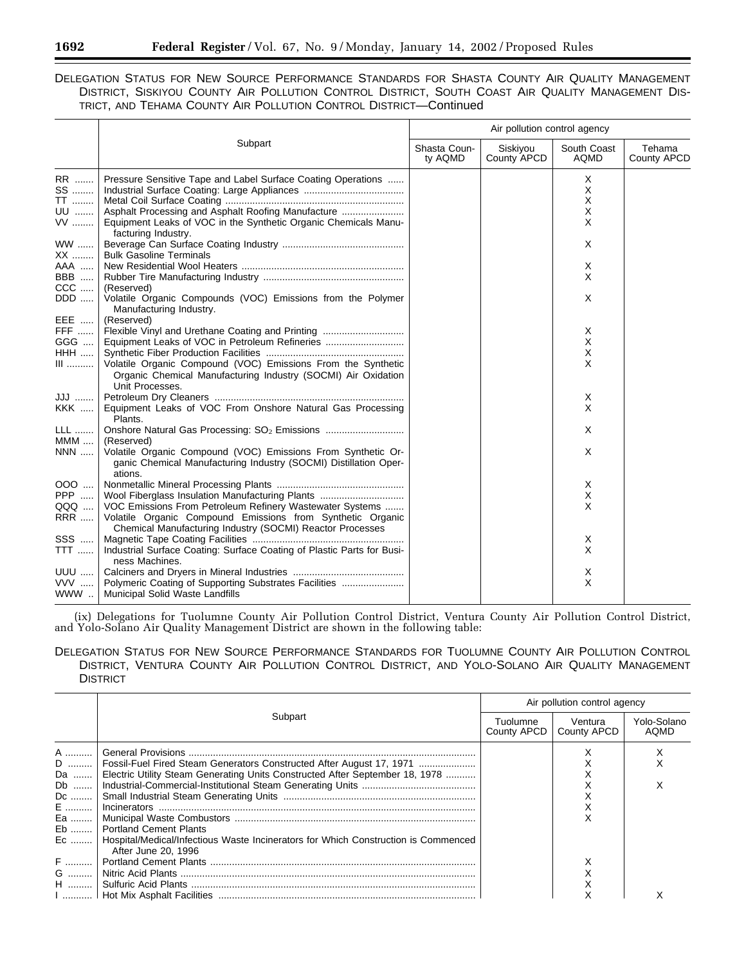# DELEGATION STATUS FOR NEW SOURCE PERFORMANCE STANDARDS FOR SHASTA COUNTY AIR QUALITY MANAGEMENT DISTRICT, SISKIYOU COUNTY AIR POLLUTION CONTROL DISTRICT, SOUTH COAST AIR QUALITY MANAGEMENT DIS-TRICT, AND TEHAMA COUNTY AIR POLLUTION CONTROL DISTRICT—Continued

|                                          |                                                                                                                                                                                                                                        | Air pollution control agency |                         |                            |                       |  |
|------------------------------------------|----------------------------------------------------------------------------------------------------------------------------------------------------------------------------------------------------------------------------------------|------------------------------|-------------------------|----------------------------|-----------------------|--|
|                                          | Subpart                                                                                                                                                                                                                                | Shasta Coun-<br>ty AQMD      | Siskiyou<br>County APCD | South Coast<br><b>AQMD</b> | Tehama<br>County APCD |  |
| RR<br>SS<br><b>TT</b><br>UU<br>$VV$      | Pressure Sensitive Tape and Label Surface Coating Operations<br>Asphalt Processing and Asphalt Roofing Manufacture<br>Equipment Leaks of VOC in the Synthetic Organic Chemicals Manu-                                                  |                              |                         | Χ<br>X<br>X<br>X<br>X      |                       |  |
| <b>WW</b><br>XX                          | facturing Industry.<br><b>Bulk Gasoline Terminals</b>                                                                                                                                                                                  |                              |                         | X                          |                       |  |
| AAA<br><b>BBB</b><br>$CCC$               | (Reserved)                                                                                                                                                                                                                             |                              |                         | X<br>X                     |                       |  |
| DDD<br>EEE                               | Volatile Organic Compounds (VOC) Emissions from the Polymer<br>Manufacturing Industry.<br>(Reserved)                                                                                                                                   |                              |                         | X                          |                       |  |
| <b>FFF</b><br>GGG<br><b>HHH</b><br>$III$ | Flexible Vinyl and Urethane Coating and Printing<br>Volatile Organic Compound (VOC) Emissions From the Synthetic                                                                                                                       |                              |                         | Χ<br>X<br>X<br>X           |                       |  |
| JJJ   <br><b>KKK</b>                     | Organic Chemical Manufacturing Industry (SOCMI) Air Oxidation<br>Unit Processes.<br>Equipment Leaks of VOC From Onshore Natural Gas Processing                                                                                         |                              |                         | Χ<br>X                     |                       |  |
| <b>LLL</b><br>$MMM$                      | Plants.<br>(Reserved)                                                                                                                                                                                                                  |                              |                         | X                          |                       |  |
| <b>NNN</b>                               | Volatile Organic Compound (VOC) Emissions From Synthetic Or-<br>ganic Chemical Manufacturing Industry (SOCMI) Distillation Oper-<br>ations.                                                                                            |                              |                         | X                          |                       |  |
| 000<br>PPP<br>QQQ<br><b>RRR</b>          | Wool Fiberglass Insulation Manufacturing Plants<br>VOC Emissions From Petroleum Refinery Wastewater Systems<br>Volatile Organic Compound Emissions from Synthetic Organic<br>Chemical Manufacturing Industry (SOCMI) Reactor Processes |                              |                         | Χ<br>X<br>X                |                       |  |
| SSS<br>TTT                               | Industrial Surface Coating: Surface Coating of Plastic Parts for Busi-<br>ness Machines.                                                                                                                                               |                              |                         | Χ<br>X                     |                       |  |
| <b>UUU</b><br>VVV<br>WWW                 | Polymeric Coating of Supporting Substrates Facilities<br>Municipal Solid Waste Landfills                                                                                                                                               |                              |                         | Χ<br>X                     |                       |  |

(ix) Delegations for Tuolumne County Air Pollution Control District, Ventura County Air Pollution Control District, and Yolo-Solano Air Quality Management District are shown in the following table:

## DELEGATION STATUS FOR NEW SOURCE PERFORMANCE STANDARDS FOR TUOLUMNE COUNTY AIR POLLUTION CONTROL DISTRICT, VENTURA COUNTY AIR POLLUTION CONTROL DISTRICT, AND YOLO-SOLANO AIR QUALITY MANAGEMENT **DISTRICT**

|                                        |                                                                                                                                                                                                                                                                                                               | Air pollution control agency |                        |                            |  |
|----------------------------------------|---------------------------------------------------------------------------------------------------------------------------------------------------------------------------------------------------------------------------------------------------------------------------------------------------------------|------------------------------|------------------------|----------------------------|--|
|                                        | Subpart                                                                                                                                                                                                                                                                                                       | Tuolumne<br>County APCD      | Ventura<br>County APCD | Yolo-Solano<br><b>AOMD</b> |  |
| A<br>Da   <br>Db<br>Dc<br>E<br>Eb<br>F | D    Fossil-Fuel Fired Steam Generators Constructed After August 17, 1971<br>Electric Utility Steam Generating Units Constructed After September 18, 1978<br><b>Portland Cement Plants</b><br>Ec    Hospital/Medical/Infectious Waste Incinerators for Which Construction is Commenced<br>After June 20, 1996 |                              |                        |                            |  |
| G<br>H                                 |                                                                                                                                                                                                                                                                                                               |                              |                        |                            |  |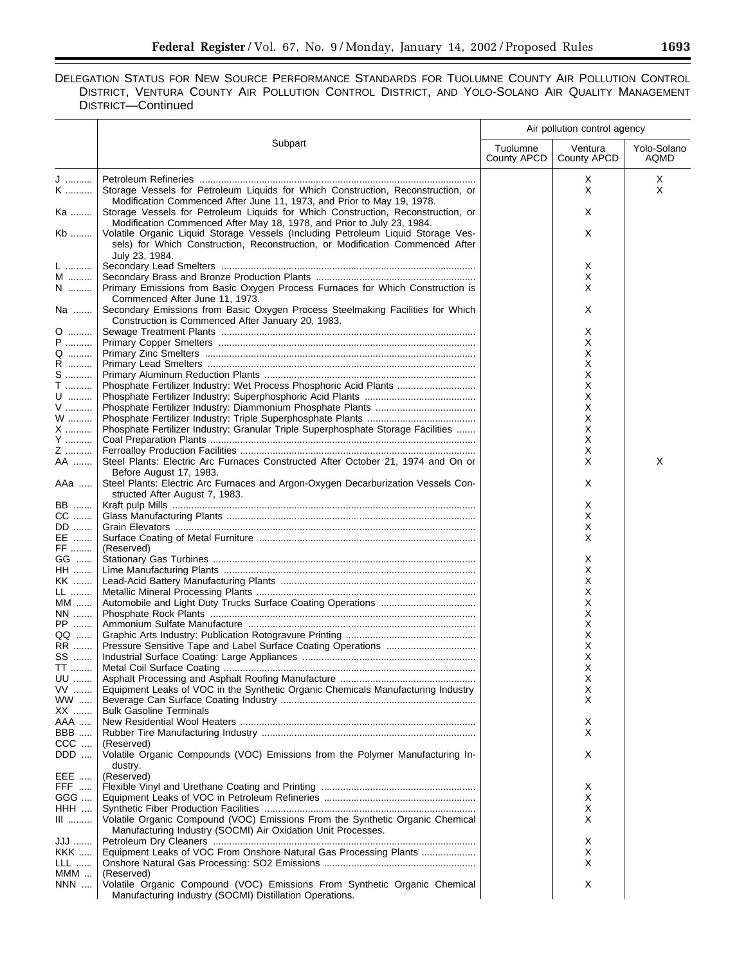# DELEGATION STATUS FOR NEW SOURCE PERFORMANCE STANDARDS FOR TUOLUMNE COUNTY AIR POLLUTION CONTROL DISTRICT, VENTURA COUNTY AIR POLLUTION CONTROL DISTRICT, AND YOLO-SOLANO AIR QUALITY MANAGEMENT DISTRICT—Continued

|               |                                                                                                                                                                                     |                         | Air pollution control agency |                     |
|---------------|-------------------------------------------------------------------------------------------------------------------------------------------------------------------------------------|-------------------------|------------------------------|---------------------|
|               | Subpart                                                                                                                                                                             | Tuolumne<br>County APCD | Ventura<br>County APCD       | Yolo-Solano<br>AQMD |
|               |                                                                                                                                                                                     |                         |                              |                     |
| J<br>K        | Storage Vessels for Petroleum Liquids for Which Construction, Reconstruction, or                                                                                                    |                         | Х<br>X                       | Χ<br>X              |
| Ka            | Modification Commenced After June 11, 1973, and Prior to May 19, 1978.<br>Storage Vessels for Petroleum Liquids for Which Construction, Reconstruction, or                          |                         | Х                            |                     |
|               | Modification Commenced After May 18, 1978, and Prior to July 23, 1984.                                                                                                              |                         |                              |                     |
| Kb            | Volatile Organic Liquid Storage Vessels (Including Petroleum Liquid Storage Ves-<br>sels) for Which Construction, Reconstruction, or Modification Commenced After<br>July 23, 1984. |                         | Χ                            |                     |
| L             |                                                                                                                                                                                     |                         | Х                            |                     |
| M             |                                                                                                                                                                                     |                         | х                            |                     |
| $N$           | Primary Emissions from Basic Oxygen Process Furnaces for Which Construction is<br>Commenced After June 11, 1973.                                                                    |                         | Х                            |                     |
| Na            | Secondary Emissions from Basic Oxygen Process Steelmaking Facilities for Which<br>Construction is Commenced After January 20, 1983.                                                 |                         | X                            |                     |
| 0             |                                                                                                                                                                                     |                         | х                            |                     |
| P             |                                                                                                                                                                                     |                         | х                            |                     |
| Q             |                                                                                                                                                                                     |                         | х                            |                     |
| R             |                                                                                                                                                                                     |                         | х                            |                     |
| S             |                                                                                                                                                                                     |                         | х                            |                     |
| $\mathsf T$   | Phosphate Fertilizer Industry: Wet Process Phosphoric Acid Plants                                                                                                                   |                         | х                            |                     |
| $\mathsf{U}$  |                                                                                                                                                                                     |                         | х                            |                     |
| ${\sf V}$     |                                                                                                                                                                                     |                         | Х                            |                     |
| W             |                                                                                                                                                                                     |                         | х                            |                     |
| X             | Phosphate Fertilizer Industry: Granular Triple Superphosphate Storage Facilities                                                                                                    |                         | Х                            |                     |
| Y             |                                                                                                                                                                                     |                         | х                            |                     |
| Z             |                                                                                                                                                                                     |                         | х                            |                     |
| AA            | Steel Plants: Electric Arc Furnaces Constructed After October 21, 1974 and On or<br>Before August 17, 1983.                                                                         |                         | Х                            | X                   |
| AAa           | Steel Plants: Electric Arc Furnaces and Argon-Oxygen Decarburization Vessels Con-<br>structed After August 7, 1983.                                                                 |                         | Х                            |                     |
| BB            |                                                                                                                                                                                     |                         | х                            |                     |
| CC            |                                                                                                                                                                                     |                         | х                            |                     |
| DD            |                                                                                                                                                                                     |                         | х                            |                     |
| EE            |                                                                                                                                                                                     |                         | Х                            |                     |
| $\mathsf{FF}$ | (Reserved)                                                                                                                                                                          |                         |                              |                     |
| GG            |                                                                                                                                                                                     |                         | х                            |                     |
| HH            |                                                                                                                                                                                     |                         | х                            |                     |
| KK            |                                                                                                                                                                                     |                         | Х                            |                     |
| LL            |                                                                                                                                                                                     |                         | Х                            |                     |
| MM            |                                                                                                                                                                                     |                         | Х                            |                     |
| NN            |                                                                                                                                                                                     |                         | Х                            |                     |
| PP            |                                                                                                                                                                                     |                         | х                            |                     |
| QQ            |                                                                                                                                                                                     |                         | х                            |                     |
| RR            |                                                                                                                                                                                     |                         | Х                            |                     |
| SS            |                                                                                                                                                                                     |                         | х                            |                     |
| TT            |                                                                                                                                                                                     |                         | Х                            |                     |
| UU            |                                                                                                                                                                                     |                         | Х                            |                     |
| VV            | Equipment Leaks of VOC in the Synthetic Organic Chemicals Manufacturing Industry                                                                                                    |                         | X                            |                     |
| WW            |                                                                                                                                                                                     |                         | Х                            |                     |
| XX            | <b>Bulk Gasoline Terminals</b>                                                                                                                                                      |                         |                              |                     |
| AAA           |                                                                                                                                                                                     |                         | х                            |                     |
| BBB           |                                                                                                                                                                                     |                         | X                            |                     |
| $CCC$<br>DDD  | (Reserved)<br>Volatile Organic Compounds (VOC) Emissions from the Polymer Manufacturing In-<br>dustry.                                                                              |                         | Х                            |                     |
| EEE           | (Reserved)                                                                                                                                                                          |                         |                              |                     |
| FFF           |                                                                                                                                                                                     |                         |                              |                     |
| GGG           |                                                                                                                                                                                     |                         | х<br>X                       |                     |
| HHH           |                                                                                                                                                                                     |                         | X                            |                     |
| $III$         | Volatile Organic Compound (VOC) Emissions From the Synthetic Organic Chemical                                                                                                       |                         | Х                            |                     |
|               | Manufacturing Industry (SOCMI) Air Oxidation Unit Processes.                                                                                                                        |                         |                              |                     |
| JJJ           |                                                                                                                                                                                     |                         | х                            |                     |
| KKK           | Equipment Leaks of VOC From Onshore Natural Gas Processing Plants                                                                                                                   |                         | X                            |                     |
| LLL           |                                                                                                                                                                                     |                         | Х                            |                     |
| MMM           | (Reserved)                                                                                                                                                                          |                         |                              |                     |
| <b>NNN</b>    | Volatile Organic Compound (VOC) Emissions From Synthetic Organic Chemical                                                                                                           |                         | Х                            |                     |
|               | Manufacturing Industry (SOCMI) Distillation Operations.                                                                                                                             |                         |                              |                     |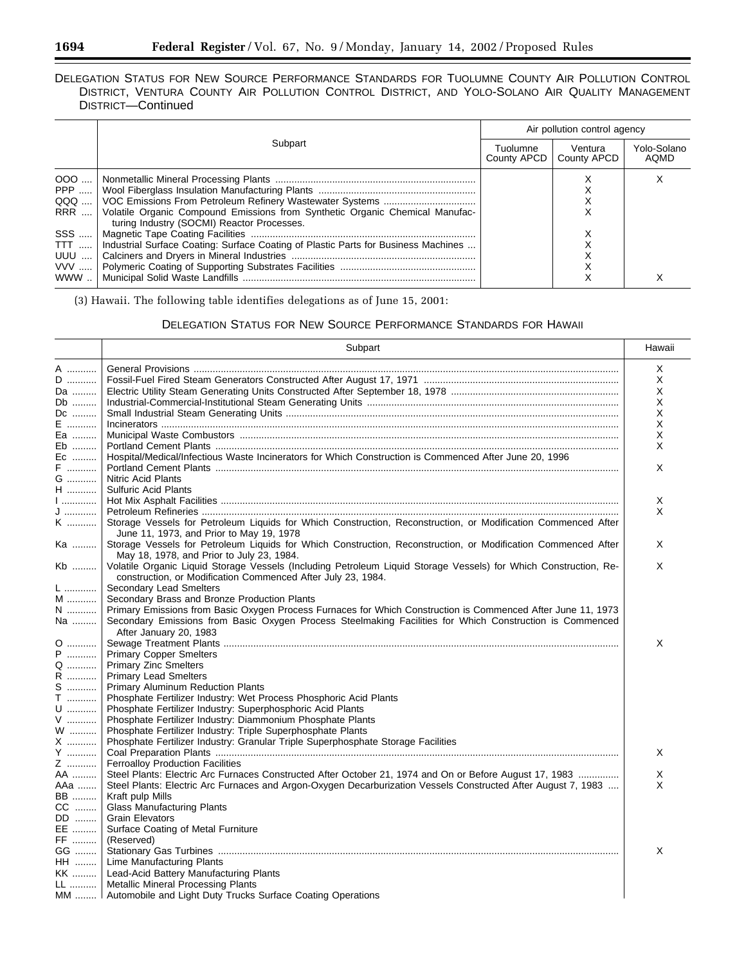## DELEGATION STATUS FOR NEW SOURCE PERFORMANCE STANDARDS FOR TUOLUMNE COUNTY AIR POLLUTION CONTROL DISTRICT, VENTURA COUNTY AIR POLLUTION CONTROL DISTRICT, AND YOLO-SOLANO AIR QUALITY MANAGEMENT DISTRICT—Continued

|                                   | Subpart                                                                                                                                                                                                                 | Air pollution control agency |                        |                     |  |
|-----------------------------------|-------------------------------------------------------------------------------------------------------------------------------------------------------------------------------------------------------------------------|------------------------------|------------------------|---------------------|--|
|                                   |                                                                                                                                                                                                                         | Tuolumne<br>County APCD      | Ventura<br>County APCD | Yolo-Solano<br>AOMD |  |
| $000$<br>QQQ<br>SSS<br>TTT<br>UUU | RRR    Volatile Organic Compound Emissions from Synthetic Organic Chemical Manufac-<br>turing Industry (SOCMI) Reactor Processes.<br>Industrial Surface Coating: Surface Coating of Plastic Parts for Business Machines |                              |                        |                     |  |
| WWW                               |                                                                                                                                                                                                                         |                              |                        |                     |  |

(3) Hawaii. The following table identifies delegations as of June 15, 2001:

# DELEGATION STATUS FOR NEW SOURCE PERFORMANCE STANDARDS FOR HAWAII

|                           | Subpart                                                                                                                                                                          | Hawaii |
|---------------------------|----------------------------------------------------------------------------------------------------------------------------------------------------------------------------------|--------|
| A                         |                                                                                                                                                                                  | X      |
| D                         |                                                                                                                                                                                  | Χ      |
| Da                        |                                                                                                                                                                                  | Χ      |
| Db                        |                                                                                                                                                                                  | X      |
| Dc                        |                                                                                                                                                                                  | Χ      |
| E                         |                                                                                                                                                                                  | X      |
| Ea                        |                                                                                                                                                                                  | X      |
| Eb                        |                                                                                                                                                                                  | X      |
| Ec                        | Hospital/Medical/Infectious Waste Incinerators for Which Construction is Commenced After June 20, 1996                                                                           |        |
| F                         |                                                                                                                                                                                  | X      |
| G                         | <b>Nitric Acid Plants</b>                                                                                                                                                        |        |
| H                         | <b>Sulfuric Acid Plants</b>                                                                                                                                                      |        |
| $\mathsf{L}_{\mathsf{u}}$ |                                                                                                                                                                                  | X      |
| J                         |                                                                                                                                                                                  | X      |
| K                         | Storage Vessels for Petroleum Liquids for Which Construction, Reconstruction, or Modification Commenced After<br>June 11, 1973, and Prior to May 19, 1978                        |        |
| Ka                        | Storage Vessels for Petroleum Liquids for Which Construction, Reconstruction, or Modification Commenced After<br>May 18, 1978, and Prior to July 23, 1984.                       | X      |
| Kb                        | Volatile Organic Liquid Storage Vessels (Including Petroleum Liquid Storage Vessels) for Which Construction, Re-<br>construction, or Modification Commenced After July 23, 1984. | X      |
| L                         | Secondary Lead Smelters                                                                                                                                                          |        |
| M                         | Secondary Brass and Bronze Production Plants                                                                                                                                     |        |
| N                         | Primary Emissions from Basic Oxygen Process Furnaces for Which Construction is Commenced After June 11, 1973                                                                     |        |
| Na                        | Secondary Emissions from Basic Oxygen Process Steelmaking Facilities for Which Construction is Commenced                                                                         |        |
|                           | After January 20, 1983                                                                                                                                                           |        |
| 0                         |                                                                                                                                                                                  | X      |
| P                         | <b>Primary Copper Smelters</b>                                                                                                                                                   |        |
| Q                         | <b>Primary Zinc Smelters</b>                                                                                                                                                     |        |
| R                         | <b>Primary Lead Smelters</b>                                                                                                                                                     |        |
| S                         | <b>Primary Aluminum Reduction Plants</b>                                                                                                                                         |        |
| <b>T</b>                  | Phosphate Fertilizer Industry: Wet Process Phosphoric Acid Plants                                                                                                                |        |
| $U$                       | Phosphate Fertilizer Industry: Superphosphoric Acid Plants                                                                                                                       |        |
| V                         | Phosphate Fertilizer Industry: Diammonium Phosphate Plants                                                                                                                       |        |
| W                         | Phosphate Fertilizer Industry: Triple Superphosphate Plants                                                                                                                      |        |
| X                         | Phosphate Fertilizer Industry: Granular Triple Superphosphate Storage Facilities                                                                                                 |        |
| Y                         |                                                                                                                                                                                  | X      |
| Z                         | <b>Ferroalloy Production Facilities</b>                                                                                                                                          |        |
| AA ………                    | Steel Plants: Electric Arc Furnaces Constructed After October 21, 1974 and On or Before August 17, 1983                                                                          | Χ      |
| AAa                       | Steel Plants: Electric Arc Furnaces and Argon-Oxygen Decarburization Vessels Constructed After August 7, 1983                                                                    | X      |
| <b>BB</b>                 | Kraft pulp Mills                                                                                                                                                                 |        |
| CC                        | <b>Glass Manufacturing Plants</b>                                                                                                                                                |        |
| DD                        | <b>Grain Elevators</b>                                                                                                                                                           |        |
| EE                        | Surface Coating of Metal Furniture                                                                                                                                               |        |
| FF ………                    | (Reserved)                                                                                                                                                                       |        |
| GG                        |                                                                                                                                                                                  | X      |
| HH                        | Lime Manufacturing Plants                                                                                                                                                        |        |
| KK                        | Lead-Acid Battery Manufacturing Plants                                                                                                                                           |        |
|                           | LL    Metallic Mineral Processing Plants                                                                                                                                         |        |
|                           | MM    Automobile and Light Duty Trucks Surface Coating Operations                                                                                                                |        |

-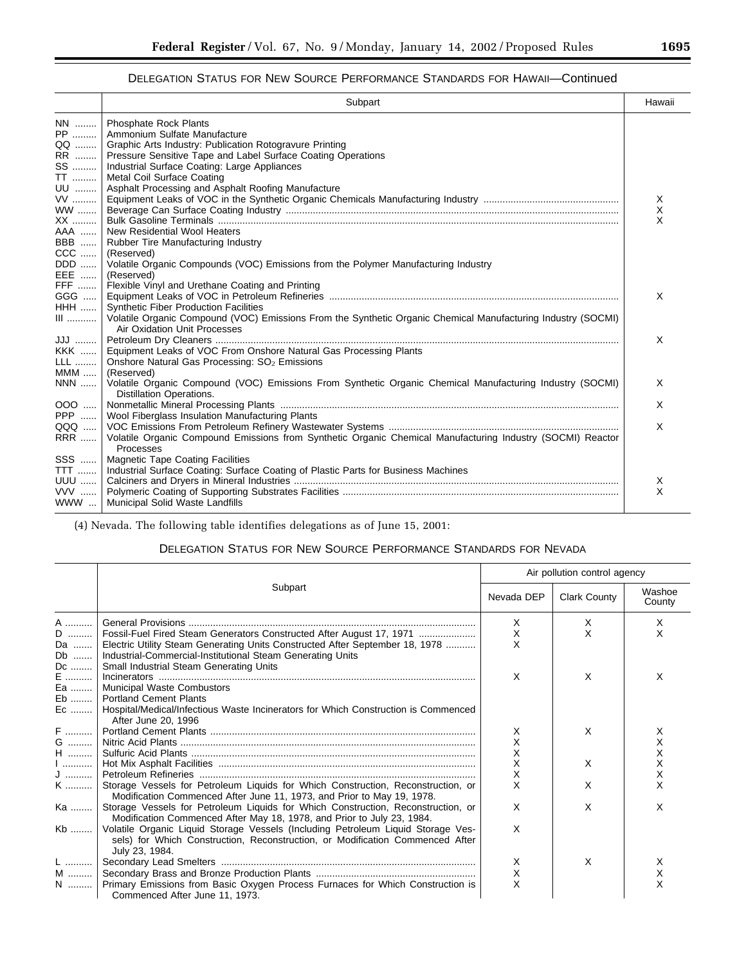÷.

# DELEGATION STATUS FOR NEW SOURCE PERFORMANCE STANDARDS FOR HAWAII—Continued

|                                            | Subpart                                                                                                                                                                                                                                    | Hawaii |
|--------------------------------------------|--------------------------------------------------------------------------------------------------------------------------------------------------------------------------------------------------------------------------------------------|--------|
| NN   <br>PP<br>QQ                          | Phosphate Rock Plants<br>Ammonium Sulfate Manufacture<br>Graphic Arts Industry: Publication Rotogravure Printing                                                                                                                           |        |
| RR   <br>SS<br>TT<br>UU<br>VV<br><b>WW</b> | Pressure Sensitive Tape and Label Surface Coating Operations<br>Industrial Surface Coating: Large Appliances<br>Metal Coil Surface Coating<br>Asphalt Processing and Asphalt Roofing Manufacture                                           | X<br>X |
| XX<br>AAA                                  | New Residential Wool Heaters<br>BBB    Rubber Tire Manufacturing Industry<br>CCC    (Reserved)<br>DDD    Volatile Organic Compounds (VOC) Emissions from the Polymer Manufacturing Industry                                                | X      |
| FFF                                        | EEE    (Reserved)<br>Flexible Vinyl and Urethane Coating and Printing<br>HHH  Synthetic Fiber Production Facilities<br>III    Volatile Organic Compound (VOC) Emissions From the Synthetic Organic Chemical Manufacturing Industry (SOCMI) | X      |
| LLL                                        | Air Oxidation Unit Processes<br>KKK    Equipment Leaks of VOC From Onshore Natural Gas Processing Plants<br>Onshore Natural Gas Processing: SO <sub>2</sub> Emissions                                                                      | X      |
| $MMM$                                      | (Reserved)<br>NNN  Volatile Organic Compound (VOC) Emissions From Synthetic Organic Chemical Manufacturing Industry (SOCMI)<br>Distillation Operations.                                                                                    | X      |
| $000$                                      |                                                                                                                                                                                                                                            | X      |
| PPP $\dots$<br>QQQ<br><b>RRR</b>           | Wool Fiberglass Insulation Manufacturing Plants<br>Volatile Organic Compound Emissions from Synthetic Organic Chemical Manufacturing Industry (SOCMI) Reactor<br>Processes                                                                 | X      |
|                                            | SSS    Magnetic Tape Coating Facilities<br>TTT    Industrial Surface Coating: Surface Coating of Plastic Parts for Business Machines<br>WWW    Municipal Solid Waste Landfills                                                             | Χ<br>X |

(4) Nevada. The following table identifies delegations as of June 15, 2001:

# DELEGATION STATUS FOR NEW SOURCE PERFORMANCE STANDARDS FOR NEVADA

|               | Subpart<br>Nevada DEP                                                                                                                                                               |   | Air pollution control agency |                  |  |
|---------------|-------------------------------------------------------------------------------------------------------------------------------------------------------------------------------------|---|------------------------------|------------------|--|
|               |                                                                                                                                                                                     |   | <b>Clark County</b>          | Washoe<br>County |  |
| A             |                                                                                                                                                                                     | X | X                            | X                |  |
| D             | Fossil-Fuel Fired Steam Generators Constructed After August 17, 1971                                                                                                                | X | X                            | X                |  |
| Da            | Electric Utility Steam Generating Units Constructed After September 18, 1978                                                                                                        | X |                              |                  |  |
| Db            | Industrial-Commercial-Institutional Steam Generating Units                                                                                                                          |   |                              |                  |  |
| Dc            | <b>Small Industrial Steam Generating Units</b>                                                                                                                                      |   |                              |                  |  |
| E             |                                                                                                                                                                                     | X | X                            | X                |  |
| Ea            | Municipal Waste Combustors                                                                                                                                                          |   |                              |                  |  |
| Eb            | <b>Portland Cement Plants</b>                                                                                                                                                       |   |                              |                  |  |
| Ec            | Hospital/Medical/Infectious Waste Incinerators for Which Construction is Commenced<br>After June 20, 1996                                                                           |   |                              |                  |  |
| F             |                                                                                                                                                                                     | X | X                            | х                |  |
| ${\mathsf G}$ |                                                                                                                                                                                     | X |                              | х                |  |
| H             |                                                                                                                                                                                     | X |                              | X                |  |
| $1$           |                                                                                                                                                                                     | X | X                            | Χ                |  |
| J             |                                                                                                                                                                                     | X |                              | X                |  |
| K             | Storage Vessels for Petroleum Liquids for Which Construction, Reconstruction, or<br>Modification Commenced After June 11, 1973, and Prior to May 19, 1978.                          | X | X                            | x                |  |
| Ka            | Storage Vessels for Petroleum Liquids for Which Construction, Reconstruction, or<br>Modification Commenced After May 18, 1978, and Prior to July 23, 1984.                          | X | X                            | X                |  |
| Kb            | Volatile Organic Liquid Storage Vessels (Including Petroleum Liquid Storage Ves-<br>sels) for Which Construction, Reconstruction, or Modification Commenced After<br>July 23, 1984. | X |                              |                  |  |
| L  1          |                                                                                                                                                                                     | X | X                            | X                |  |
| M             |                                                                                                                                                                                     | Χ |                              | х                |  |
| N             | Primary Emissions from Basic Oxygen Process Furnaces for Which Construction is                                                                                                      | X |                              | X                |  |
|               | Commenced After June 11, 1973.                                                                                                                                                      |   |                              |                  |  |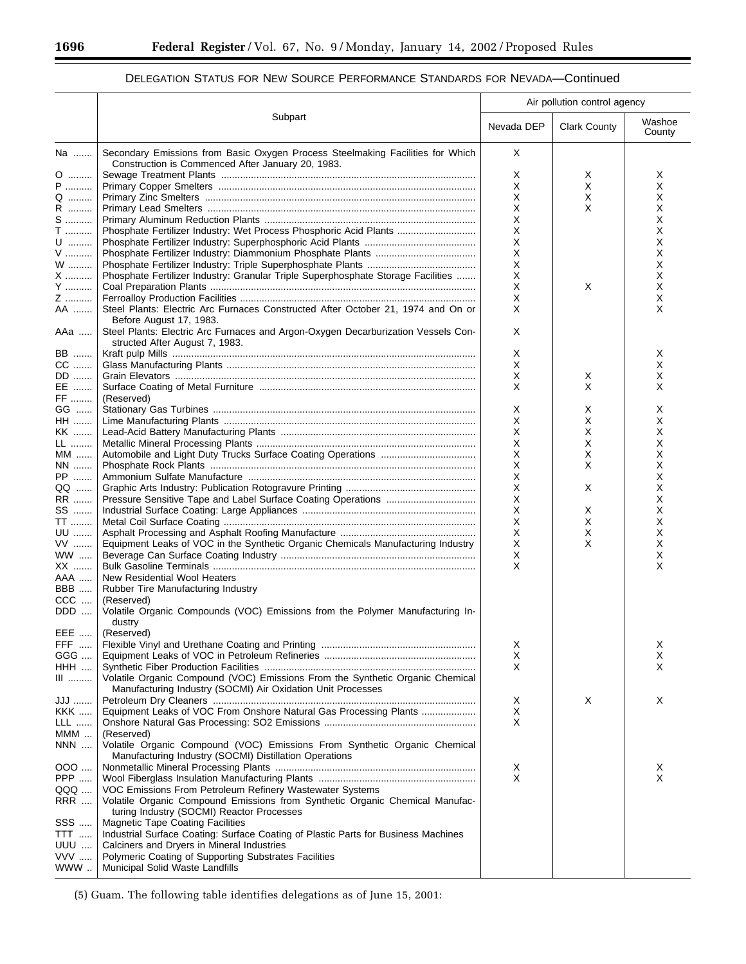#### Subpart Air pollution control agency Nevada DEP Clark County Washoe **County** Na ....... Secondary Emissions from Basic Oxygen Process Steelmaking Facilities for Which Construction is Commenced After January 20, 1983. X O ......... Sewage Treatment Plants .............................................................................................. XXX P .......... Primary Copper Smelters ............................................................................................... X X X Q ......... Primary Zinc Smelters .................................................................................................... X X X R ......... Primary Lead Smelters ................................................................................................... X X X S .......... Primary Aluminum Reduction Plants .............................................................................. X X T .......... Phosphate Fertilizer Industry: Wet Process Phosphoric Acid Plants ............................. X X U ......... Phosphate Fertilizer Industry: Superphosphoric Acid Plants ......................................... X X V .......... Phosphate Fertilizer Industry: Diammonium Phosphate Plants ..................................... X X W ......... Phosphate Fertilizer Industry: Triple Superphosphate Plants ........................................ X X X .......... Phosphate Fertilizer Industry: Granular Triple Superphosphate Storage Facilities ....... X X Y .......... Coal Preparation Plants .................................................................................................. X X X Z .......... Ferroalloy Production Facilities ....................................................................................... X X AA ....... Steel Plants: Electric Arc Furnaces Constructed After October 21, 1974 and On or Before August 17, 1983.  $\mathsf{X}$  x x AAa ..... Steel Plants: Electric Arc Furnaces and Argon-Oxygen Decarburization Vessels Constructed After August 7, 1983. X BB ....... Kraft pulp Mills ................................................................................................................ X X CC ....... Glass Manufacturing Plants ............................................................................................ X X DD ....... Grain Elevators ............................................................................................................... X X X EE ....... Surface Coating of Metal Furniture ................................................................................ X X X FF ........ (Reserved)<br>GG ...... Stationary GG ...... Stationary Gas Turbines .................................................................................................X X X HH ....... Lime Manufacturing Plants ............................................................................................. XXX KK ....... Lead-Acid Battery Manufacturing Plants ........................................................................ X X X LL ........ Metallic Mineral Processing Plants ................................................................................. X X X MM ...... Automobile and Light Duty Trucks Surface Coating Operations ................................... X X X NN ....... Phosphate Rock Plants ..................................................................................................X X X PP ....... Ammonium Sulfate Manufacture .................................................................................... X X QQ ...... Graphic Arts Industry: Publication Rotogravure Printing ................................................ X X X RR ....... Pressure Sensitive Tape and Label Surface Coating Operations ................................. X X SS ....... Industrial Surface Coating: Large Appliances ................................................................ X X X TT ........ Metal Coil Surface Coating ............................................................................................. X X X UU ....... Asphalt Processing and Asphalt Roofing Manufacture .................................................. X X X VV ....... Equipment Leaks of VOC in the Synthetic Organic Chemicals Manufacturing Industry X X X WW ..... Beverage Can Surface Coating Industry ........................................................................ X X XX ....... Bulk Gasoline Terminals ................................................................................................. X X AAA ..... New Residential Wool Heaters<br>BBB ..... Rubber Tire Manufacturing Indu Rubber Tire Manufacturing Industry CCC .... (Reserved)<br>DDD .... Volatile Ord Volatile Organic Compounds (VOC) Emissions from the Polymer Manufacturing Industry EEE ..... (Reserved) FFF ..... Flexible Vinyl and Urethane Coating and Printing ......................................................... X X GGG .... Equipment Leaks of VOC in Petroleum Refineries ........................................................ X X HHH .... Synthetic Fiber Production Facilities .............................................................................. X X Volatile Organic Compound (VOC) Emissions From the Synthetic Organic Chemical Manufacturing Industry (SOCMI) Air Oxidation Unit Processes JJJ ....... Petroleum Dry Cleaners ................................................................................................. X X X KKK ..... Equipment Leaks of VOC From Onshore Natural Gas Processing Plants .................... X LLL ...... Onshore Natural Gas Processing: SO2 Emissions ........................................................ X (Reserved) NNN .... Volatile Organic Compound (VOC) Emissions From Synthetic Organic Chemical Manufacturing Industry (SOCMI) Distillation Operations OOO .... Nonmetallic Mineral Processing Plants .......................................................................... X X PPP ..... Wool Fiberglass Insulation Manufacturing Plants .......................................................... X X QQQ .... VOC Emissions From Petroleum Refinery Wastewater Systems<br>RRR .... Volatile Organic Compound Emissions from Synthetic Organic Volatile Organic Compound Emissions from Synthetic Organic Chemical Manufacturing Industry (SOCMI) Reactor Processes SSS ..... | Magnetic Tape Coating Facilities TTT ..... | Industrial Surface Coating: Surface Coating of Plastic Parts for Business Machines<br>UUU .... | Calciners and Dryers in Mineral Industries UUU .... Calciners and Dryers in Mineral Industries<br>VVV ..... Polymeric Coating of Supporting Substrate VVV ..... | Polymeric Coating of Supporting Substrates Facilities<br>WWW ... | Municipal Solid Waste Landfills **Municipal Solid Waste Landfills**

## DELEGATION STATUS FOR NEW SOURCE PERFORMANCE STANDARDS FOR NEVADA—Continued

(5) Guam. The following table identifies delegations as of June 15, 2001: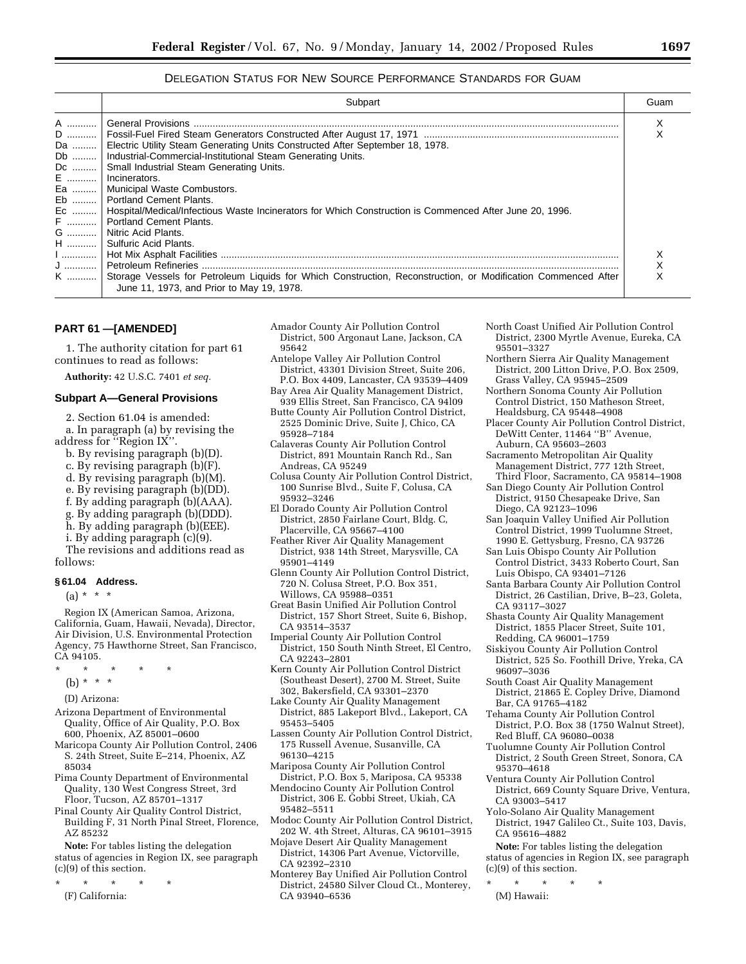### DELEGATION STATUS FOR NEW SOURCE PERFORMANCE STANDARDS FOR GUAM

|      | Subpart                                                                                                          | Guam |
|------|------------------------------------------------------------------------------------------------------------------|------|
| A  l |                                                                                                                  |      |
|      |                                                                                                                  |      |
|      | Da    Electric Utility Steam Generating Units Constructed After September 18, 1978.                              |      |
|      | Db    Industrial-Commercial-Institutional Steam Generating Units.                                                |      |
|      | Dc    Small Industrial Steam Generating Units.                                                                   |      |
|      | E    Incinerators.                                                                                               |      |
|      | Ea    Municipal Waste Combustors.                                                                                |      |
|      | Eb    Portland Cement Plants.                                                                                    |      |
|      | Ec    Hospital/Medical/Infectious Waste Incinerators for Which Construction is Commenced After June 20, 1996.    |      |
|      | F    Portland Cement Plants.                                                                                     |      |
|      | G    Nitric Acid Plants.                                                                                         |      |
|      | H  Sulfuric Acid Plants.                                                                                         |      |
|      |                                                                                                                  |      |
|      |                                                                                                                  |      |
|      | K  Storage Vessels for Petroleum Liquids for Which Construction, Reconstruction, or Modification Commenced After |      |
|      | June 11, 1973, and Prior to May 19, 1978.                                                                        |      |

### **PART 61 —[AMENDED]**

1. The authority citation for part 61 continues to read as follows:

**Authority:** 42 U.S.C. 7401 *et seq.*

## **Subpart A—General Provisions**

2. Section 61.04 is amended: a. In paragraph (a) by revising the address for ''Region IX''.

- b. By revising paragraph (b)(D).
- c. By revising paragraph (b)(F).
- d. By revising paragraph (b)(M).
- e. By revising paragraph (b)(DD).
- f. By adding paragraph (b)(AAA).
- g. By adding paragraph (b)(DDD).
- h. By adding paragraph (b)(EEE).
- i. By adding paragraph (c)(9).

The revisions and additions read as follows:

#### **§ 61.04 Address.**

(a) \* \* \*

Region IX (American Samoa, Arizona, California, Guam, Hawaii, Nevada), Director, Air Division, U.S. Environmental Protection Agency, 75 Hawthorne Street, San Francisco, CA 94105.

- \* \* \* \* \*
	- (b) \* \* \*
	- (D) Arizona:
- Arizona Department of Environmental Quality, Office of Air Quality, P.O. Box 600, Phoenix, AZ 85001–0600
- Maricopa County Air Pollution Control, 2406 S. 24th Street, Suite E–214, Phoenix, AZ 85034
- Pima County Department of Environmental Quality, 130 West Congress Street, 3rd Floor, Tucson, AZ 85701–1317
- Pinal County Air Quality Control District, Building F, 31 North Pinal Street, Florence, AZ 85232

**Note:** For tables listing the delegation status of agencies in Region IX, see paragraph (c)(9) of this section.

\* \* \* \* \* (F) California:

- Amador County Air Pollution Control District, 500 Argonaut Lane, Jackson, CA 95642
- Antelope Valley Air Pollution Control District, 43301 Division Street, Suite 206, P.O. Box 4409, Lancaster, CA 93539–4409
- Bay Area Air Quality Management District, 939 Ellis Street, San Francisco, CA 94l09
- Butte County Air Pollution Control District, 2525 Dominic Drive, Suite J, Chico, CA 95928–7184
- Calaveras County Air Pollution Control District, 891 Mountain Ranch Rd., San Andreas, CA 95249
- Colusa County Air Pollution Control District, 100 Sunrise Blvd., Suite F, Colusa, CA 95932–3246
- El Dorado County Air Pollution Control District, 2850 Fairlane Court, Bldg. C, Placerville, CA 95667–4100
- Feather River Air Quality Management District, 938 14th Street, Marysville, CA 95901–4149
- Glenn County Air Pollution Control District, 720 N. Colusa Street, P.O. Box 351, Willows, CA 95988–0351
- Great Basin Unified Air Pollution Control District, 157 Short Street, Suite 6, Bishop, CA 93514–3537
- Imperial County Air Pollution Control District, 150 South Ninth Street, El Centro,
- CA 92243–2801 Kern County Air Pollution Control District (Southeast Desert), 2700 M. Street, Suite
- 302, Bakersfield, CA 93301–2370 Lake County Air Quality Management
- District, 885 Lakeport Blvd., Lakeport, CA 95453–5405
- Lassen County Air Pollution Control District, 175 Russell Avenue, Susanville, CA 96130–4215
- Mariposa County Air Pollution Control District, P.O. Box 5, Mariposa, CA 95338
- Mendocino County Air Pollution Control District, 306 E. Gobbi Street, Ukiah, CA 95482–5511
- Modoc County Air Pollution Control District, 202 W. 4th Street, Alturas, CA 96101–3915
- Mojave Desert Air Quality Management District, 14306 Part Avenue, Victorville, CA 92392–2310
- Monterey Bay Unified Air Pollution Control District, 24580 Silver Cloud Ct., Monterey, CA 93940–6536

| North Coast Unified Air Pollution Control |
|-------------------------------------------|
| District, 2300 Myrtle Avenue, Eureka, CA  |
| 95501-3327                                |

- Northern Sierra Air Quality Management District, 200 Litton Drive, P.O. Box 2509,
- Grass Valley, CA 95945–2509 Northern Sonoma County Air Pollution Control District, 150 Matheson Street, Healdsburg, CA 95448–4908
- Placer County Air Pollution Control District, DeWitt Center, 11464 ''B'' Avenue,
- Auburn, CA 95603–2603 Sacramento Metropolitan Air Quality Management District, 777 12th Street,
- Third Floor, Sacramento, CA 95814–1908 San Diego County Air Pollution Control District, 9150 Chesapeake Drive, San Diego, CA 92123–1096
- San Joaquin Valley Unified Air Pollution Control District, 1999 Tuolumne Street, 1990 E. Gettysburg, Fresno, CA 93726
- San Luis Obispo County Air Pollution Control District, 3433 Roberto Court, San Luis Obispo, CA 93401–7126
- Santa Barbara County Air Pollution Control District, 26 Castilian, Drive, B–23, Goleta, CA 93117–3027
- Shasta County Air Quality Management District, 1855 Placer Street, Suite 101, Redding, CA 96001–1759
- Siskiyou County Air Pollution Control District, 525 So. Foothill Drive, Yreka, CA 96097–3036
- South Coast Air Quality Management District, 21865 E. Copley Drive, Diamond Bar, CA 91765–4182
- Tehama County Air Pollution Control District, P.O. Box 38 (1750 Walnut Street), Red Bluff, CA 96080–0038
- Tuolumne County Air Pollution Control District, 2 South Green Street, Sonora, CA 95370–4618
- Ventura County Air Pollution Control District, 669 County Square Drive, Ventura, CA 93003–5417
- Yolo-Solano Air Quality Management District, 1947 Galileo Ct., Suite 103, Davis, CA 95616–4882

**Note:** For tables listing the delegation status of agencies in Region IX, see paragraph (c)(9) of this section.

\* \* \* \* \* (M) Hawaii: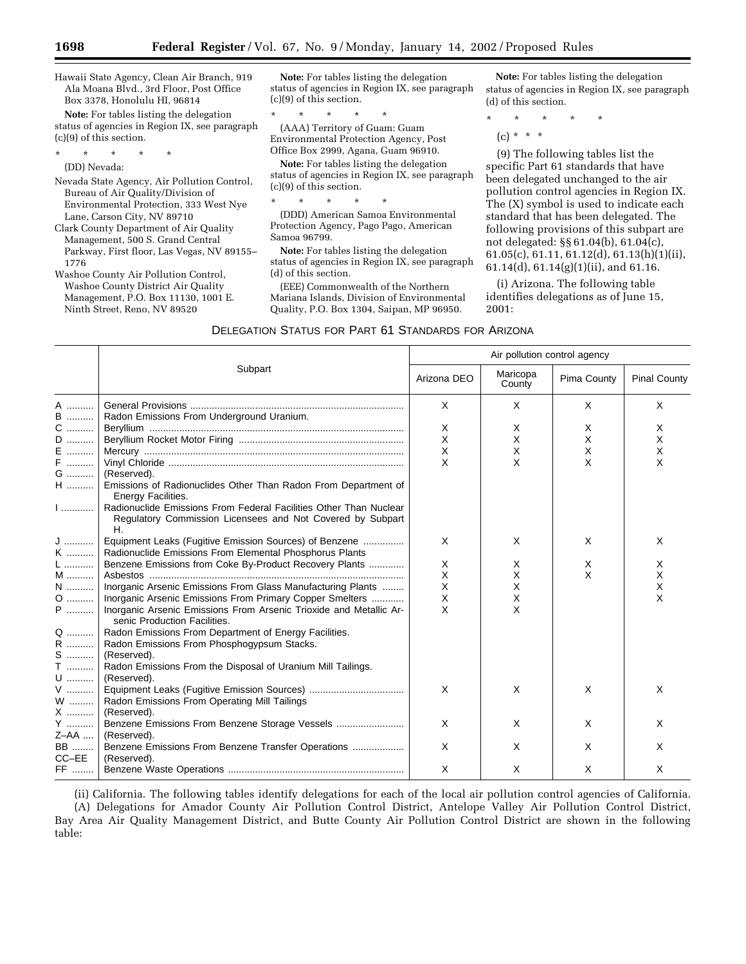Hawaii State Agency, Clean Air Branch, 919 Ala Moana Blvd., 3rd Floor, Post Office Box 3378, Honolulu HI, 96814

**Note:** For tables listing the delegation status of agencies in Region IX, see paragraph (c)(9) of this section.

\* \* \* \* \*

(DD) Nevada:

- Nevada State Agency, Air Pollution Control, Bureau of Air Quality/Division of Environmental Protection, 333 West Nye Lane, Carson City, NV 89710
- Clark County Department of Air Quality Management, 500 S. Grand Central Parkway, First floor, Las Vegas, NV 89155– 1776
- Washoe County Air Pollution Control, Washoe County District Air Quality Management, P.O. Box 11130, 1001 E. Ninth Street, Reno, NV 89520

**Note:** For tables listing the delegation status of agencies in Region IX, see paragraph (c)(9) of this section.

\* \* \* \* \* (AAA) Territory of Guam: Guam Environmental Protection Agency, Post Office Box 2999, Agana, Guam 96910.

**Note:** For tables listing the delegation status of agencies in Region IX, see paragraph (c)(9) of this section.

\* \* \* \* \*

(DDD) American Samoa Environmental Protection Agency, Pago Pago, American Samoa 96799.

**Note:** For tables listing the delegation status of agencies in Region IX, see paragraph (d) of this section.

(EEE) Commonwealth of the Northern Mariana Islands, Division of Environmental Quality, P.O. Box 1304, Saipan, MP 96950.

**Note:** For tables listing the delegation status of agencies in Region IX, see paragraph (d) of this section.

- \* \* \* \* \*
	- $(c) * * * *$

(9) The following tables list the specific Part 61 standards that have been delegated unchanged to the air pollution control agencies in Region IX. The (X) symbol is used to indicate each standard that has been delegated. The following provisions of this subpart are not delegated: §§ 61.04(b), 61.04(c), 61.05(c), 61.11, 61.12(d), 61.13(h)(1)(ii), 61.14(d), 61.14(g)(1)(ii), and 61.16.

(i) Arizona. The following table identifies delegations as of June 15, 2001:

|             |                                                                                                                                       | Air pollution control agency |                    |             |                     |
|-------------|---------------------------------------------------------------------------------------------------------------------------------------|------------------------------|--------------------|-------------|---------------------|
|             | Subpart                                                                                                                               | Arizona DEO                  | Maricopa<br>County | Pima County | <b>Pinal County</b> |
| A           |                                                                                                                                       | $\times$                     | X                  | $\times$    | X                   |
| <b>B</b>    | Radon Emissions From Underground Uranium.                                                                                             |                              |                    |             |                     |
| $C$         |                                                                                                                                       | X                            | X                  | X           | X                   |
| D           |                                                                                                                                       | X                            | X                  | X           | X                   |
| E           |                                                                                                                                       | $\times$                     | X                  | X           | X                   |
| F           |                                                                                                                                       | $\times$                     | X                  | X           | X                   |
| G           | (Reserved).                                                                                                                           |                              |                    |             |                     |
| H           | Emissions of Radionuclides Other Than Radon From Department of<br>Energy Facilities.                                                  |                              |                    |             |                     |
|             | Radionuclide Emissions From Federal Facilities Other Than Nuclear<br>Regulatory Commission Licensees and Not Covered by Subpart<br>Н. |                              |                    |             |                     |
| J           | Equipment Leaks (Fugitive Emission Sources) of Benzene                                                                                | $\times$                     | X                  | $\times$    | X                   |
| K           | Radionuclide Emissions From Elemental Phosphorus Plants                                                                               |                              |                    |             |                     |
| $L$         | Benzene Emissions from Coke By-Product Recovery Plants                                                                                | X                            | X                  | X           | X                   |
| M           |                                                                                                                                       | $\times$                     | $\times$           | X           | X                   |
| N           | Inorganic Arsenic Emissions From Glass Manufacturing Plants                                                                           | $\times$                     | X                  |             | X                   |
| 0           | Inorganic Arsenic Emissions From Primary Copper Smelters                                                                              | X                            | X                  |             | X                   |
| P           | Inorganic Arsenic Emissions From Arsenic Trioxide and Metallic Ar-<br>senic Production Facilities.                                    | $\times$                     | $\times$           |             |                     |
|             | Radon Emissions From Department of Energy Facilities.                                                                                 |                              |                    |             |                     |
| Q   <br>R   | Radon Emissions From Phosphogypsum Stacks.                                                                                            |                              |                    |             |                     |
| S           | (Reserved).                                                                                                                           |                              |                    |             |                     |
| $\mathsf T$ | Radon Emissions From the Disposal of Uranium Mill Tailings.                                                                           |                              |                    |             |                     |
| U           | (Reserved).                                                                                                                           |                              |                    |             |                     |
| V           |                                                                                                                                       | X                            | X                  | X           | X                   |
| W           | Radon Emissions From Operating Mill Tailings                                                                                          |                              |                    |             |                     |
| X  1        | (Reserved).                                                                                                                           |                              |                    |             |                     |
| Y           | Benzene Emissions From Benzene Storage Vessels                                                                                        | X                            | X                  | X           | X                   |
| Z-AA        | (Reserved).                                                                                                                           |                              |                    |             |                     |
| <b>BB</b>   | Benzene Emissions From Benzene Transfer Operations                                                                                    | X                            | X                  | X           | X                   |
| $CC-EE$     | (Reserved).                                                                                                                           |                              |                    |             |                     |
| FF          |                                                                                                                                       | X                            | X                  | X           | х                   |

(ii) California. The following tables identify delegations for each of the local air pollution control agencies of California. (A) Delegations for Amador County Air Pollution Control District, Antelope Valley Air Pollution Control District, Bay Area Air Quality Management District, and Butte County Air Pollution Control District are shown in the following table: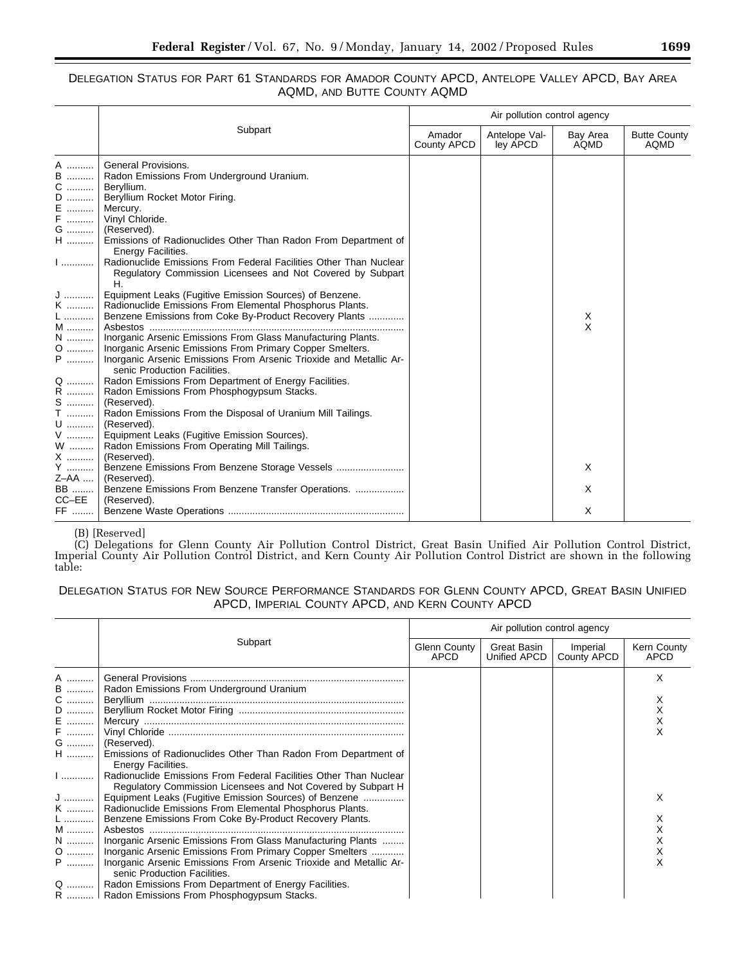# DELEGATION STATUS FOR PART 61 STANDARDS FOR AMADOR COUNTY APCD, ANTELOPE VALLEY APCD, BAY AREA AQMD, AND BUTTE COUNTY AQMD

|                                                                                                                                                                                                                                                                         |                                                                                                                                                                                                                                                                                                                                                                                                                                                                                                                                                                                                                                                                                                                                                                                                                                                                                                                                                                                                                                   | Air pollution control agency |                           |                  |                                    |
|-------------------------------------------------------------------------------------------------------------------------------------------------------------------------------------------------------------------------------------------------------------------------|-----------------------------------------------------------------------------------------------------------------------------------------------------------------------------------------------------------------------------------------------------------------------------------------------------------------------------------------------------------------------------------------------------------------------------------------------------------------------------------------------------------------------------------------------------------------------------------------------------------------------------------------------------------------------------------------------------------------------------------------------------------------------------------------------------------------------------------------------------------------------------------------------------------------------------------------------------------------------------------------------------------------------------------|------------------------------|---------------------------|------------------|------------------------------------|
|                                                                                                                                                                                                                                                                         | Subpart                                                                                                                                                                                                                                                                                                                                                                                                                                                                                                                                                                                                                                                                                                                                                                                                                                                                                                                                                                                                                           | Amador<br>County APCD        | Antelope Val-<br>ley APCD | Bay Area<br>AQMD | <b>Butte County</b><br><b>AQMD</b> |
| A<br>B<br>C<br>$\begin{bmatrix} 0 &  &  &  \\ E &  &  &  \\ F &  &  &  \end{bmatrix}$<br>G   <br>$\mathsf{H}$<br>J  J<br>K<br>$\mathsf{L}$<br>M<br>N<br>$\begin{array}{c} \mathsf{Q} \text{ } \\ \mathsf{R} \text{ } \end{array}$<br>$S$<br>$\mathsf T$<br>$\mathsf{U}$ | <b>General Provisions.</b><br>Radon Emissions From Underground Uranium.<br>Beryllium.<br>Beryllium Rocket Motor Firing.<br>Mercury.<br>Vinyl Chloride.<br>(Reserved).<br>Emissions of Radionuclides Other Than Radon From Department of<br>Energy Facilities.<br>I  Radionuclide Emissions From Federal Facilities Other Than Nuclear<br>Regulatory Commission Licensees and Not Covered by Subpart<br>Η.<br>Equipment Leaks (Fugitive Emission Sources) of Benzene.<br>Radionuclide Emissions From Elemental Phosphorus Plants.<br>Benzene Emissions from Coke By-Product Recovery Plants<br>Inorganic Arsenic Emissions From Glass Manufacturing Plants.<br>Inorganic Arsenic Emissions From Primary Copper Smelters.<br>Inorganic Arsenic Emissions From Arsenic Trioxide and Metallic Ar-<br>senic Production Facilities.<br>Radon Emissions From Department of Energy Facilities.<br>Radon Emissions From Phosphogypsum Stacks.<br>(Reserved).<br>Radon Emissions From the Disposal of Uranium Mill Tailings.<br>(Reserved). |                              |                           | X<br>X           |                                    |
| ${\sf V}$<br>W<br>X   <br>Y                                                                                                                                                                                                                                             | Equipment Leaks (Fugitive Emission Sources).<br>Radon Emissions From Operating Mill Tailings.<br>(Reserved).                                                                                                                                                                                                                                                                                                                                                                                                                                                                                                                                                                                                                                                                                                                                                                                                                                                                                                                      |                              |                           | X                |                                    |
| $Z - AA$<br>BB   <br>$CC-EE$                                                                                                                                                                                                                                            | (Reserved).<br>Benzene Emissions From Benzene Transfer Operations.<br>(Reserved).                                                                                                                                                                                                                                                                                                                                                                                                                                                                                                                                                                                                                                                                                                                                                                                                                                                                                                                                                 |                              |                           | X                |                                    |
| FF                                                                                                                                                                                                                                                                      |                                                                                                                                                                                                                                                                                                                                                                                                                                                                                                                                                                                                                                                                                                                                                                                                                                                                                                                                                                                                                                   |                              |                           | X                |                                    |

### (B) [Reserved]

(C) Delegations for Glenn County Air Pollution Control District, Great Basin Unified Air Pollution Control District, Imperial County Air Pollution Control District, and Kern County Air Pollution Control District are shown in the following table:

# DELEGATION STATUS FOR NEW SOURCE PERFORMANCE STANDARDS FOR GLENN COUNTY APCD, GREAT BASIN UNIFIED APCD, IMPERIAL COUNTY APCD, AND KERN COUNTY APCD

|                              |                                                                                                                                                                                                                                                                                                                                                          | Air pollution control agency |                             |                         |                            |  |
|------------------------------|----------------------------------------------------------------------------------------------------------------------------------------------------------------------------------------------------------------------------------------------------------------------------------------------------------------------------------------------------------|------------------------------|-----------------------------|-------------------------|----------------------------|--|
|                              | Subpart                                                                                                                                                                                                                                                                                                                                                  | Glenn County<br>APCD         | Great Basin<br>Unified APCD | Imperial<br>County APCD | Kern County<br><b>APCD</b> |  |
| A<br><b>B</b><br>C<br>E<br>F | Radon Emissions From Underground Uranium<br>G    (Reserved).<br>H  Emissions of Radionuclides Other Than Radon From Department of                                                                                                                                                                                                                        |                              |                             |                         | X                          |  |
| 1<br>L<br>M                  | Energy Facilities.<br>Radionuclide Emissions From Federal Facilities Other Than Nuclear<br>Regulatory Commission Licensees and Not Covered by Subpart H<br>J  Equipment Leaks (Fugitive Emission Sources) of Benzene<br>K    Radionuclide Emissions From Elemental Phosphorus Plants.<br>Benzene Emissions From Coke By-Product Recovery Plants.         |                              |                             |                         |                            |  |
| P                            | N    Inorganic Arsenic Emissions From Glass Manufacturing Plants<br>O    Inorganic Arsenic Emissions From Primary Copper Smelters<br>Inorganic Arsenic Emissions From Arsenic Trioxide and Metallic Ar-<br>senic Production Facilities.<br>Q    Radon Emissions From Department of Energy Facilities.<br>R    Radon Emissions From Phosphogypsum Stacks. |                              |                             |                         |                            |  |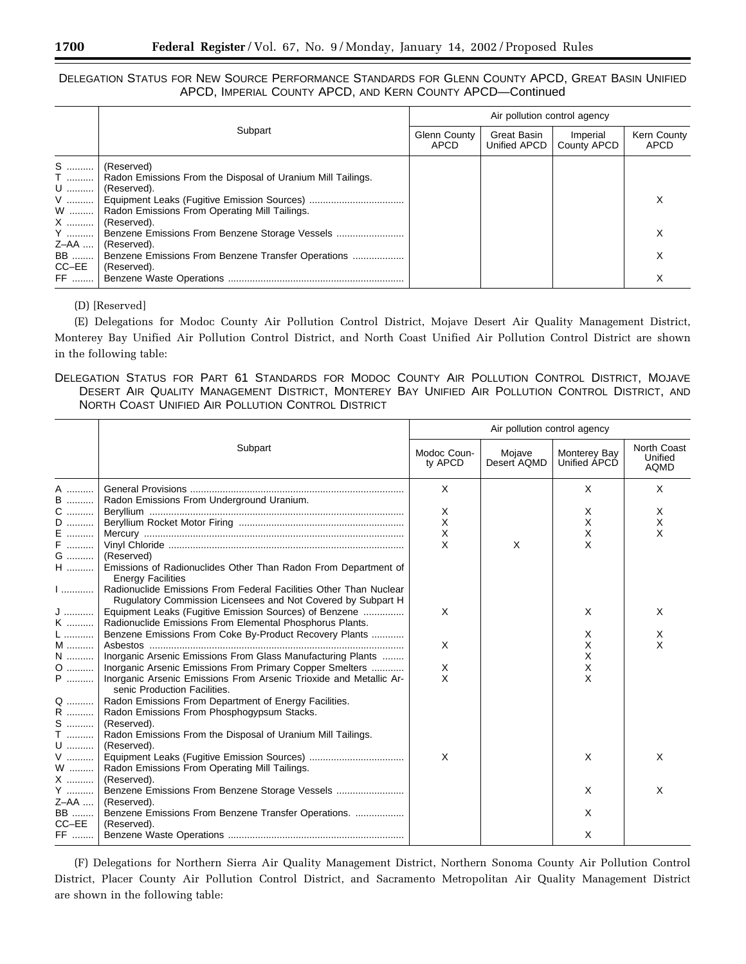DELEGATION STATUS FOR NEW SOURCE PERFORMANCE STANDARDS FOR GLENN COUNTY APCD, GREAT BASIN UNIFIED APCD, IMPERIAL COUNTY APCD, AND KERN COUNTY APCD—Continued

|           | Subpart                                                     | Air pollution control agency |                             |                         |                     |  |
|-----------|-------------------------------------------------------------|------------------------------|-----------------------------|-------------------------|---------------------|--|
|           |                                                             | Glenn County<br>APCD         | Great Basin<br>Unified APCD | Imperial<br>County APCD | Kern County<br>APCD |  |
| S         | (Reserved)                                                  |                              |                             |                         |                     |  |
| T  1      | Radon Emissions From the Disposal of Uranium Mill Tailings. |                              |                             |                         |                     |  |
| U         | (Reserved).                                                 |                              |                             |                         |                     |  |
|           |                                                             |                              |                             |                         |                     |  |
| W         | Radon Emissions From Operating Mill Tailings.               |                              |                             |                         |                     |  |
|           | $X$   (Reserved).                                           |                              |                             |                         |                     |  |
|           | Y    Benzene Emissions From Benzene Storage Vessels         |                              |                             |                         |                     |  |
| Z-AA      | (Reserved).                                                 |                              |                             |                         |                     |  |
| <b>BB</b> | Benzene Emissions From Benzene Transfer Operations          |                              |                             |                         | х                   |  |
| CC-EE     | (Reserved).                                                 |                              |                             |                         |                     |  |
| FF        |                                                             |                              |                             |                         |                     |  |

(D) [Reserved]

(E) Delegations for Modoc County Air Pollution Control District, Mojave Desert Air Quality Management District, Monterey Bay Unified Air Pollution Control District, and North Coast Unified Air Pollution Control District are shown in the following table:

# DELEGATION STATUS FOR PART 61 STANDARDS FOR MODOC COUNTY AIR POLLUTION CONTROL DISTRICT, MOJAVE DESERT AIR QUALITY MANAGEMENT DISTRICT, MONTEREY BAY UNIFIED AIR POLLUTION CONTROL DISTRICT, AND NORTH COAST UNIFIED AIR POLLUTION CONTROL DISTRICT

|              |                                                                                                    |                        | Air pollution control agency |                              |                                       |
|--------------|----------------------------------------------------------------------------------------------------|------------------------|------------------------------|------------------------------|---------------------------------------|
|              | Subpart                                                                                            | Modoc Coun-<br>ty APCD | Mojave<br>Desert AQMD        | Monterey Bay<br>Unified ÁPCD | North Coast<br>Unified<br><b>AQMD</b> |
| A            |                                                                                                    | $\times$               |                              | $\times$                     | X                                     |
| <b>B</b>     | Radon Emissions From Underground Uranium.                                                          |                        |                              |                              |                                       |
| C            |                                                                                                    | X                      |                              | X                            | X                                     |
| D            |                                                                                                    | X                      |                              | X                            | X                                     |
| E<br>.       |                                                                                                    | $\pmb{\times}$         |                              | X                            | X                                     |
| F            |                                                                                                    | X                      | X                            | X                            |                                       |
| G            | (Reserved)                                                                                         |                        |                              |                              |                                       |
| $\mathsf{H}$ | Emissions of Radionuclides Other Than Radon From Department of                                     |                        |                              |                              |                                       |
|              | <b>Energy Facilities</b>                                                                           |                        |                              |                              |                                       |
| $\ $         | Radionuclide Emissions From Federal Facilities Other Than Nuclear                                  |                        |                              |                              |                                       |
|              | Rugulatory Commission Licensees and Not Covered by Subpart H                                       |                        |                              |                              |                                       |
| J  I         | Equipment Leaks (Fugitive Emission Sources) of Benzene                                             | X                      |                              | X                            | X                                     |
| K            | Radionuclide Emissions From Elemental Phosphorus Plants.                                           |                        |                              |                              |                                       |
| $\mathsf{L}$ | Benzene Emissions From Coke By-Product Recovery Plants                                             |                        |                              | Х                            | X                                     |
| M            |                                                                                                    | $\times$               |                              | X                            | X                                     |
| $N$          | Inorganic Arsenic Emissions From Glass Manufacturing Plants                                        |                        |                              | X                            |                                       |
| 0            | Inorganic Arsenic Emissions From Primary Copper Smelters                                           | Χ                      |                              | х                            |                                       |
| $\mathsf{P}$ | Inorganic Arsenic Emissions From Arsenic Trioxide and Metallic Ar-<br>senic Production Facilities. | X                      |                              | X                            |                                       |
|              | Q    Radon Emissions From Department of Energy Facilities.                                         |                        |                              |                              |                                       |
| R            | Radon Emissions From Phosphogypsum Stacks.                                                         |                        |                              |                              |                                       |
| $S$          | (Reserved).                                                                                        |                        |                              |                              |                                       |
| $\mathsf T$  | Radon Emissions From the Disposal of Uranium Mill Tailings.                                        |                        |                              |                              |                                       |
| U            | (Reserved).                                                                                        |                        |                              |                              |                                       |
| ${\sf V}$    |                                                                                                    | X                      |                              | X                            | X                                     |
| W            | Radon Emissions From Operating Mill Tailings.                                                      |                        |                              |                              |                                       |
| X            | (Reserved).                                                                                        |                        |                              |                              |                                       |
| Y            | Benzene Emissions From Benzene Storage Vessels                                                     |                        |                              | X                            | X                                     |
| Z-AA         | (Reserved).                                                                                        |                        |                              |                              |                                       |
| <b>BB</b>    | Benzene Emissions From Benzene Transfer Operations.                                                |                        |                              | X                            |                                       |
| $CC-EE$      | (Reserved).                                                                                        |                        |                              |                              |                                       |
| FF           |                                                                                                    |                        |                              | X                            |                                       |

(F) Delegations for Northern Sierra Air Quality Management District, Northern Sonoma County Air Pollution Control District, Placer County Air Pollution Control District, and Sacramento Metropolitan Air Quality Management District are shown in the following table: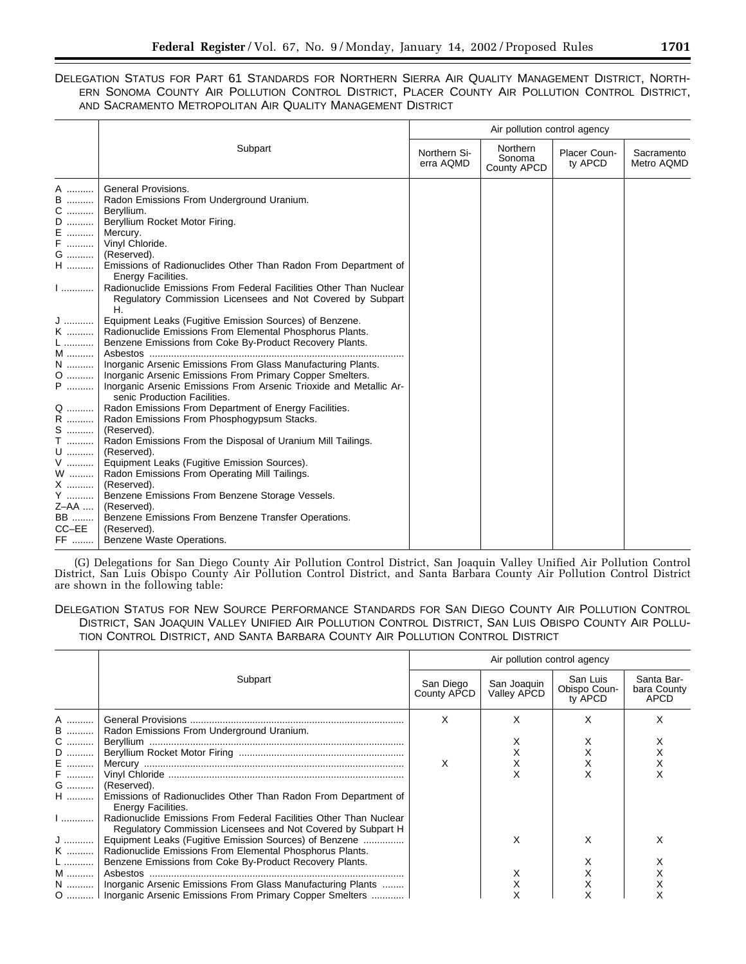# DELEGATION STATUS FOR PART 61 STANDARDS FOR NORTHERN SIERRA AIR QUALITY MANAGEMENT DISTRICT, NORTH-ERN SONOMA COUNTY AIR POLLUTION CONTROL DISTRICT, PLACER COUNTY AIR POLLUTION CONTROL DISTRICT, AND SACRAMENTO METROPOLITAN AIR QUALITY MANAGEMENT DISTRICT

|                                                                                                                                                                                                                 |                                                                                                                                                                                                                                                                                                                                                                                                                                                                                                                                                                                                                                                          | Air pollution control agency |                                   |                         |                          |
|-----------------------------------------------------------------------------------------------------------------------------------------------------------------------------------------------------------------|----------------------------------------------------------------------------------------------------------------------------------------------------------------------------------------------------------------------------------------------------------------------------------------------------------------------------------------------------------------------------------------------------------------------------------------------------------------------------------------------------------------------------------------------------------------------------------------------------------------------------------------------------------|------------------------------|-----------------------------------|-------------------------|--------------------------|
|                                                                                                                                                                                                                 | Subpart                                                                                                                                                                                                                                                                                                                                                                                                                                                                                                                                                                                                                                                  | Northern Si-<br>erra AQMD    | Northern<br>Sonoma<br>County APCD | Placer Coun-<br>ty APCD | Sacramento<br>Metro AQMD |
| B<br>.<br>$C$<br>D<br>${\sf E}$<br>${\sf F}$<br>G<br>$\sf H$<br>   ا<br>${\sf K}$<br>${\mathsf L}$<br>M<br>N                                                                                                    | A    General Provisions.<br>Radon Emissions From Underground Uranium.<br>Beryllium.<br>Beryllium Rocket Motor Firing.<br>Mercury.<br>Vinyl Chloride.<br>(Reserved).<br>Emissions of Radionuclides Other Than Radon From Department of<br>Energy Facilities.<br>Radionuclide Emissions From Federal Facilities Other Than Nuclear<br>Regulatory Commission Licensees and Not Covered by Subpart<br>Η.<br>Equipment Leaks (Fugitive Emission Sources) of Benzene.<br>Radionuclide Emissions From Elemental Phosphorus Plants.<br>Benzene Emissions from Coke By-Product Recovery Plants.<br>Inorganic Arsenic Emissions From Glass Manufacturing Plants.   |                              |                                   |                         |                          |
| $0$<br>${\sf P}$<br>$\begin{array}{c} \mathsf{Q} \dots \dots \dots \dots \\ \mathsf{R} \dots \dots \dots \dots \end{array}$<br>S<br>$\mathsf T$<br>U<br>${\sf V}$<br>W<br>X<br>Y<br>Z-AA<br>BB<br>$CC-EE$<br>FF | Inorganic Arsenic Emissions From Primary Copper Smelters.<br>Inorganic Arsenic Emissions From Arsenic Trioxide and Metallic Ar-<br>senic Production Facilities.<br>Radon Emissions From Department of Energy Facilities.<br>Radon Emissions From Phosphogypsum Stacks.<br>(Reserved).<br>Radon Emissions From the Disposal of Uranium Mill Tailings.<br>(Reserved).<br>Equipment Leaks (Fugitive Emission Sources).<br>Radon Emissions From Operating Mill Tailings.<br>(Reserved).<br>Benzene Emissions From Benzene Storage Vessels.<br>(Reserved).<br>Benzene Emissions From Benzene Transfer Operations.<br>(Reserved).<br>Benzene Waste Operations. |                              |                                   |                         |                          |

(G) Delegations for San Diego County Air Pollution Control District, San Joaquin Valley Unified Air Pollution Control District, San Luis Obispo County Air Pollution Control District, and Santa Barbara County Air Pollution Control District are shown in the following table:

DELEGATION STATUS FOR NEW SOURCE PERFORMANCE STANDARDS FOR SAN DIEGO COUNTY AIR POLLUTION CONTROL DISTRICT, SAN JOAQUIN VALLEY UNIFIED AIR POLLUTION CONTROL DISTRICT, SAN LUIS OBISPO COUNTY AIR POLLU-TION CONTROL DISTRICT, AND SANTA BARBARA COUNTY AIR POLLUTION CONTROL DISTRICT

|      |                                                                                                                                   | Air pollution control agency |                            |                                     |                                   |
|------|-----------------------------------------------------------------------------------------------------------------------------------|------------------------------|----------------------------|-------------------------------------|-----------------------------------|
|      | Subpart                                                                                                                           | San Diego<br>County APCD     | San Joaquin<br>Valley APCD | San Luis<br>Obispo Coun-<br>ty APCD | Santa Bar-<br>bara County<br>APCD |
| A    |                                                                                                                                   | x                            | Χ                          |                                     |                                   |
| B    | Radon Emissions From Underground Uranium.                                                                                         |                              |                            |                                     |                                   |
| C    |                                                                                                                                   |                              | х                          |                                     |                                   |
|      |                                                                                                                                   |                              | Χ                          |                                     |                                   |
| E    |                                                                                                                                   | X                            | Χ                          |                                     |                                   |
| F    |                                                                                                                                   |                              | X                          |                                     |                                   |
|      | G    (Reserved).                                                                                                                  |                              |                            |                                     |                                   |
|      | H    Emissions of Radionuclides Other Than Radon From Department of<br>Energy Facilities.                                         |                              |                            |                                     |                                   |
| $\ $ | Radionuclide Emissions From Federal Facilities Other Than Nuclear<br>Regulatory Commission Licensees and Not Covered by Subpart H |                              |                            |                                     |                                   |
|      | J  Equipment Leaks (Fugitive Emission Sources) of Benzene                                                                         |                              | X                          |                                     |                                   |
|      | K    Radionuclide Emissions From Elemental Phosphorus Plants.                                                                     |                              |                            |                                     |                                   |
| L    | Benzene Emissions from Coke By-Product Recovery Plants.                                                                           |                              |                            |                                     |                                   |
| M    | Asbestos                                                                                                                          |                              | Χ                          |                                     |                                   |
|      | N    Inorganic Arsenic Emissions From Glass Manufacturing Plants                                                                  |                              | Χ                          |                                     |                                   |
|      | O    Inorganic Arsenic Emissions From Primary Copper Smelters                                                                     |                              |                            |                                     |                                   |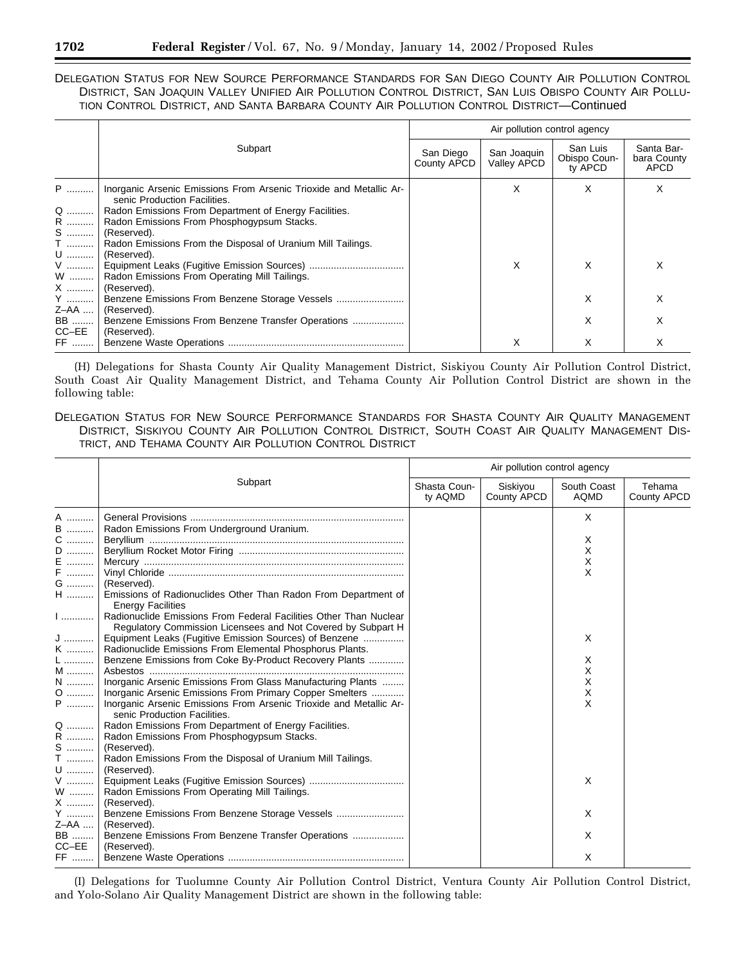DELEGATION STATUS FOR NEW SOURCE PERFORMANCE STANDARDS FOR SAN DIEGO COUNTY AIR POLLUTION CONTROL DISTRICT, SAN JOAQUIN VALLEY UNIFIED AIR POLLUTION CONTROL DISTRICT, SAN LUIS OBISPO COUNTY AIR POLLU-TION CONTROL DISTRICT, AND SANTA BARBARA COUNTY AIR POLLUTION CONTROL DISTRICT—Continued

|       |                                                                                                    | Air pollution control agency |                            |                                     |                                          |
|-------|----------------------------------------------------------------------------------------------------|------------------------------|----------------------------|-------------------------------------|------------------------------------------|
|       | Subpart                                                                                            | San Diego<br>County APCD     | San Joaquin<br>Valley APCD | San Luis<br>Obispo Coun-<br>ty APCD | Santa Bar-<br>bara County<br><b>APCD</b> |
| P     | Inorganic Arsenic Emissions From Arsenic Trioxide and Metallic Ar-<br>senic Production Facilities. |                              | X                          | X                                   | X                                        |
| Q     | Radon Emissions From Department of Energy Facilities.                                              |                              |                            |                                     |                                          |
|       | R    Radon Emissions From Phosphogypsum Stacks.                                                    |                              |                            |                                     |                                          |
|       | S    (Reserved).                                                                                   |                              |                            |                                     |                                          |
|       | T    Radon Emissions From the Disposal of Uranium Mill Tailings.                                   |                              |                            |                                     |                                          |
| U     | (Reserved).                                                                                        |                              |                            |                                     |                                          |
|       |                                                                                                    |                              | X                          | X                                   | х                                        |
|       | W    Radon Emissions From Operating Mill Tailings.                                                 |                              |                            |                                     |                                          |
| X     | (Reserved).                                                                                        |                              |                            |                                     |                                          |
| Y     |                                                                                                    |                              |                            | X                                   | х                                        |
| Z-AA  | (Reserved).                                                                                        |                              |                            |                                     |                                          |
| BB    | Benzene Emissions From Benzene Transfer Operations                                                 |                              |                            | X                                   | X                                        |
| CC–EE | (Reserved).                                                                                        |                              |                            |                                     |                                          |
|       |                                                                                                    |                              | X                          | X                                   | X                                        |

(H) Delegations for Shasta County Air Quality Management District, Siskiyou County Air Pollution Control District, South Coast Air Quality Management District, and Tehama County Air Pollution Control District are shown in the following table:

DELEGATION STATUS FOR NEW SOURCE PERFORMANCE STANDARDS FOR SHASTA COUNTY AIR QUALITY MANAGEMENT DISTRICT, SISKIYOU COUNTY AIR POLLUTION CONTROL DISTRICT, SOUTH COAST AIR QUALITY MANAGEMENT DIS-TRICT, AND TEHAMA COUNTY AIR POLLUTION CONTROL DISTRICT

|                                                                                                |                                                                                                                                                                                                                                                                                                                                                                                                                                                                             | Air pollution control agency |                         |                                 |                       |
|------------------------------------------------------------------------------------------------|-----------------------------------------------------------------------------------------------------------------------------------------------------------------------------------------------------------------------------------------------------------------------------------------------------------------------------------------------------------------------------------------------------------------------------------------------------------------------------|------------------------------|-------------------------|---------------------------------|-----------------------|
|                                                                                                | Subpart                                                                                                                                                                                                                                                                                                                                                                                                                                                                     | Shasta Coun-<br>ty AQMD      | Siskiyou<br>County APCD | South Coast<br>AQMD             | Tehama<br>County APCD |
| A<br><b>B</b><br>C   <br>D<br>E<br>F   <br>G   <br>H  I<br>1<br>ا  ا<br>K   <br>$\mathsf{L}$ ] | Radon Emissions From Underground Uranium.<br>(Reserved).<br>Emissions of Radionuclides Other Than Radon From Department of<br><b>Energy Facilities</b><br>Radionuclide Emissions From Federal Facilities Other Than Nuclear<br>Regulatory Commission Licensees and Not Covered by Subpart H<br>Equipment Leaks (Fugitive Emission Sources) of Benzene<br>Radionuclide Emissions From Elemental Phosphorus Plants.<br>Benzene Emissions from Coke By-Product Recovery Plants |                              |                         | X<br>Χ<br>X<br>X<br>X<br>X<br>х |                       |
| N   <br>$0$  <br>P   <br>R   <br>$T$  <br>V                                                    | Inorganic Arsenic Emissions From Glass Manufacturing Plants<br>Inorganic Arsenic Emissions From Primary Copper Smelters<br>Inorganic Arsenic Emissions From Arsenic Trioxide and Metallic Ar-<br>senic Production Facilities.<br>Q    Radon Emissions From Department of Energy Facilities.<br>Radon Emissions From Phosphogypsum Stacks.<br>S    (Reserved).<br>Radon Emissions From the Disposal of Uranium Mill Tailings.<br>$U$ (Reserved).                             |                              |                         | X<br>X<br>Χ<br>X<br>X           |                       |
| W   <br>Y                                                                                      | Radon Emissions From Operating Mill Tailings.<br>$X$ (Reserved).<br>$Z$ –AA    (Reserved).                                                                                                                                                                                                                                                                                                                                                                                  |                              |                         | X                               |                       |
| BB   <br>$CC-EE$<br>FF                                                                         | Benzene Emissions From Benzene Transfer Operations<br>(Reserved).                                                                                                                                                                                                                                                                                                                                                                                                           |                              |                         | X<br>X                          |                       |

(I) Delegations for Tuolumne County Air Pollution Control District, Ventura County Air Pollution Control District, and Yolo-Solano Air Quality Management District are shown in the following table: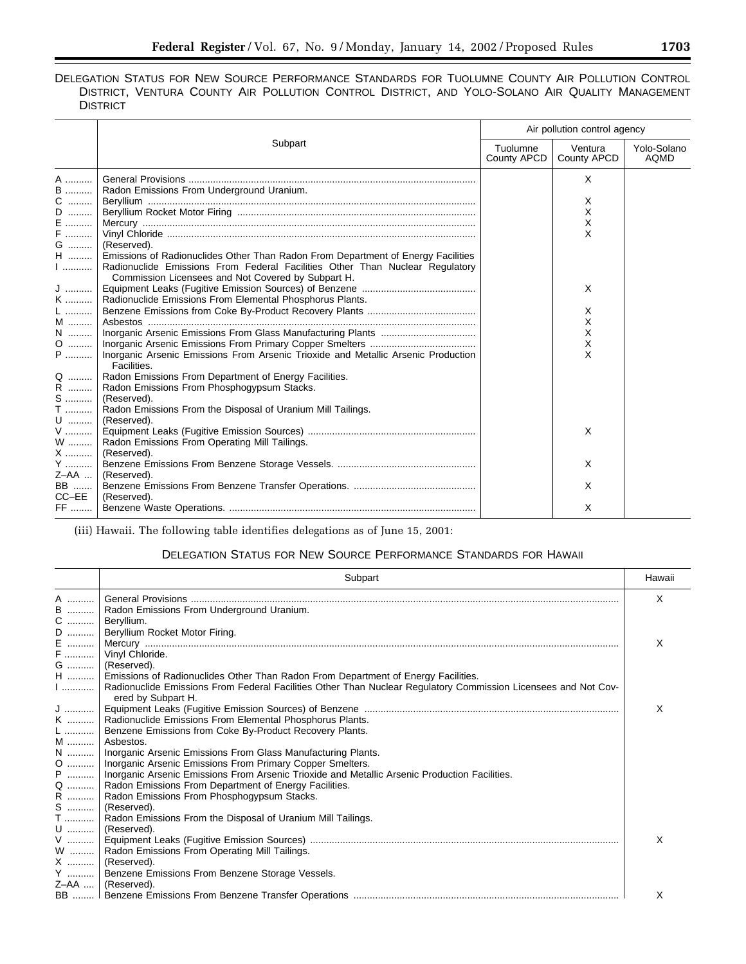# DELEGATION STATUS FOR NEW SOURCE PERFORMANCE STANDARDS FOR TUOLUMNE COUNTY AIR POLLUTION CONTROL DISTRICT, VENTURA COUNTY AIR POLLUTION CONTROL DISTRICT, AND YOLO-SOLANO AIR QUALITY MANAGEMENT **DISTRICT**

|                                                                                                  | Subpart                                                                                                                                                                                                                | Air pollution control agency |                        |                            |
|--------------------------------------------------------------------------------------------------|------------------------------------------------------------------------------------------------------------------------------------------------------------------------------------------------------------------------|------------------------------|------------------------|----------------------------|
|                                                                                                  |                                                                                                                                                                                                                        | Tuolumne<br>County APCD      | Ventura<br>County APCD | Yolo-Solano<br><b>AQMD</b> |
| A                                                                                                |                                                                                                                                                                                                                        |                              | X                      |                            |
|                                                                                                  | Radon Emissions From Underground Uranium.                                                                                                                                                                              |                              | X                      |                            |
|                                                                                                  |                                                                                                                                                                                                                        |                              | X<br>Х                 |                            |
| G                                                                                                | (Reserved).                                                                                                                                                                                                            |                              | X                      |                            |
| H                                                                                                | Emissions of Radionuclides Other Than Radon From Department of Energy Facilities<br>Radionuclide Emissions From Federal Facilities Other Than Nuclear Regulatory<br>Commission Licensees and Not Covered by Subpart H. |                              |                        |                            |
| $\begin{array}{c} \mathsf{J} \text{ } \\ \mathsf{K} \text{ } \\ \mathsf{L} \text{ } \end{array}$ | Radionuclide Emissions From Elemental Phosphorus Plants.                                                                                                                                                               |                              | X                      |                            |
| M                                                                                                |                                                                                                                                                                                                                        |                              | X<br>X                 |                            |
| N   <br>$0$                                                                                      |                                                                                                                                                                                                                        |                              | X<br>х                 |                            |
| $\mathsf{P}$ $^\mathsf{T}$                                                                       | Inorganic Arsenic Emissions From Arsenic Trioxide and Metallic Arsenic Production<br>Facilities.                                                                                                                       |                              | X                      |                            |
|                                                                                                  | Q    Radon Emissions From Department of Energy Facilities.<br>R    Radon Emissions From Phosphogypsum Stacks.<br>$S$   (Reserved).                                                                                     |                              |                        |                            |
|                                                                                                  | T    Radon Emissions From the Disposal of Uranium Mill Tailings.                                                                                                                                                       |                              |                        |                            |
|                                                                                                  | W    Radon Emissions From Operating Mill Tailings.                                                                                                                                                                     |                              | X                      |                            |
|                                                                                                  | $X$   (Reserved).<br>$Z-AA$   (Reserved).                                                                                                                                                                              |                              | X                      |                            |
|                                                                                                  | $CC-EE$ (Reserved).                                                                                                                                                                                                    |                              | X                      |                            |
| FF                                                                                               |                                                                                                                                                                                                                        |                              | X                      |                            |

(iii) Hawaii. The following table identifies delegations as of June 15, 2001:

# DELEGATION STATUS FOR NEW SOURCE PERFORMANCE STANDARDS FOR HAWAII

|   | Subpart                                                                                                                                                                                               | Hawaii |
|---|-------------------------------------------------------------------------------------------------------------------------------------------------------------------------------------------------------|--------|
| A |                                                                                                                                                                                                       | X      |
|   | B  Radon Emissions From Underground Uranium.<br>C  Beryllium.                                                                                                                                         |        |
|   |                                                                                                                                                                                                       |        |
|   |                                                                                                                                                                                                       |        |
|   |                                                                                                                                                                                                       | X      |
|   | F  Vinyl Chloride.<br>G  (Reserved).                                                                                                                                                                  |        |
|   |                                                                                                                                                                                                       |        |
|   | H    Emissions of Radionuclides Other Than Radon From Department of Energy Facilities.                                                                                                                |        |
|   | Radionuclide Emissions From Federal Facilities Other Than Nuclear Regulatory Commission Licensees and Not Cov-<br>ered by Subpart H.                                                                  |        |
|   |                                                                                                                                                                                                       | X      |
|   |                                                                                                                                                                                                       |        |
|   |                                                                                                                                                                                                       |        |
|   |                                                                                                                                                                                                       |        |
|   | N    Inorganic Arsenic Emissions From Glass Manufacturing Plants.<br>O    Inorganic Arsenic Emissions From Primary Copper Smelters.<br>P    Inorganic Arsenic Emissions From Arsenic Trioxide and Met |        |
|   |                                                                                                                                                                                                       |        |
|   |                                                                                                                                                                                                       |        |
|   |                                                                                                                                                                                                       |        |
|   |                                                                                                                                                                                                       |        |
|   |                                                                                                                                                                                                       |        |
|   | Radon Emissions From the Disposal of Uranium Mill Tailings.                                                                                                                                           |        |
|   | U    (Reserved).                                                                                                                                                                                      |        |
|   |                                                                                                                                                                                                       | X      |
|   | W    Radon Emissions From Operating Mill Tailings.                                                                                                                                                    |        |
|   | X    (Reserved).                                                                                                                                                                                      |        |
|   | Y    Benzene Emissions From Benzene Storage Vessels.                                                                                                                                                  |        |
|   | $Z$ –AA  (Reserved).                                                                                                                                                                                  |        |
|   |                                                                                                                                                                                                       | X      |

۰